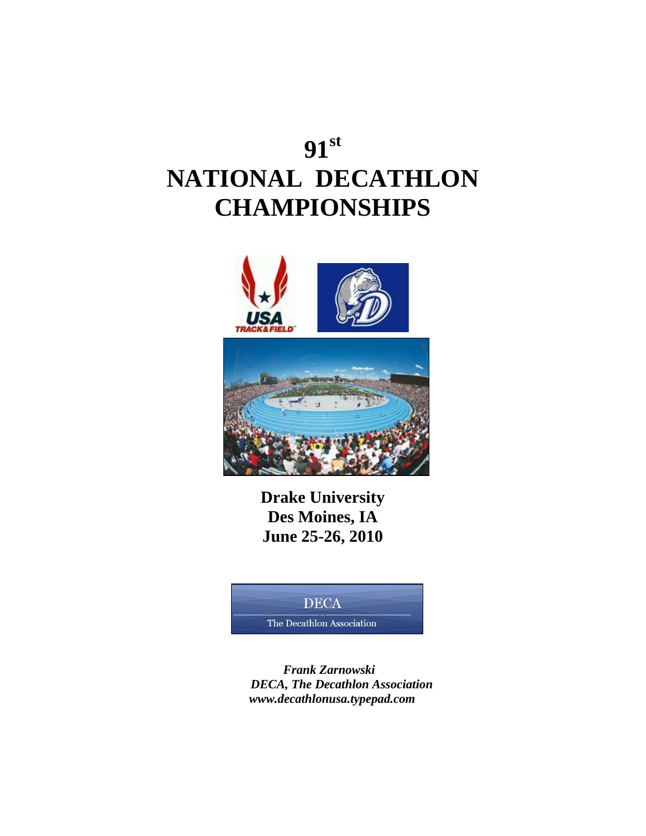# **91 st NATIONAL DECATHLON CHAMPIONSHIPS**



**Drake University Des Moines, IA June 25-26, 2010**

### **DECA**

The Decathlon Association

 *Frank Zarnowski DECA, The Decathlon Association www.decathlonusa.typepad.com*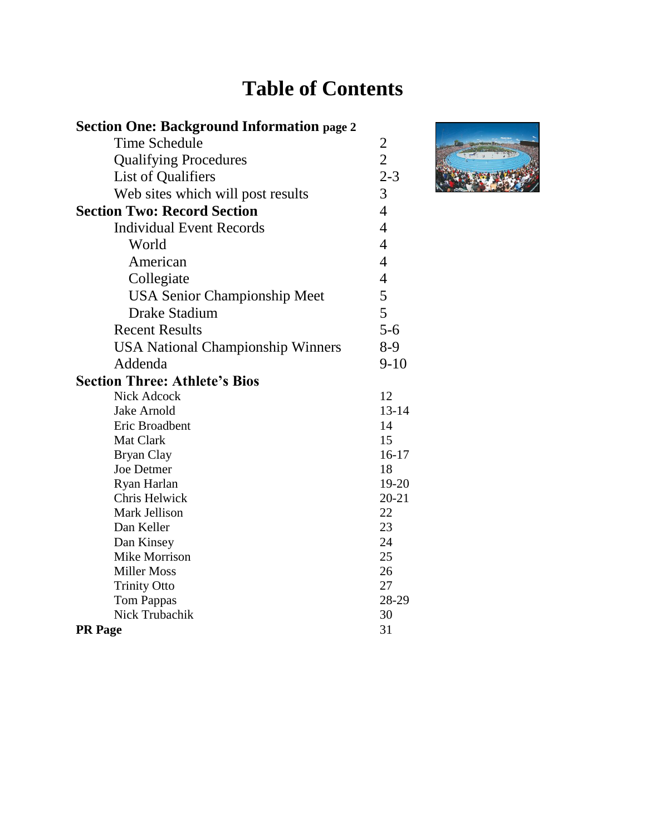# **Table of Contents**

| <b>Section One: Background Information page 2</b> |                |
|---------------------------------------------------|----------------|
| Time Schedule                                     | $\overline{2}$ |
| <b>Qualifying Procedures</b>                      | $\overline{c}$ |
| List of Qualifiers                                | $2 - 3$        |
| Web sites which will post results                 | 3              |
| <b>Section Two: Record Section</b>                | $\overline{4}$ |
| <b>Individual Event Records</b>                   | $\overline{4}$ |
| World                                             | $\overline{4}$ |
|                                                   |                |
| American                                          | $\overline{4}$ |
| Collegiate                                        | $\overline{4}$ |
| <b>USA Senior Championship Meet</b>               | 5              |
| <b>Drake Stadium</b>                              | 5              |
| <b>Recent Results</b>                             | $5 - 6$        |
| <b>USA National Championship Winners</b>          | $8-9$          |
| Addenda                                           | $9-10$         |
| <b>Section Three: Athlete's Bios</b>              |                |
| <b>Nick Adcock</b>                                | 12             |
| Jake Arnold                                       | $13 - 14$      |
| Eric Broadbent                                    | 14             |
| Mat Clark                                         | 15             |
| <b>Bryan Clay</b>                                 | $16 - 17$      |
| <b>Joe Detmer</b>                                 | 18             |
| Ryan Harlan                                       | 19-20          |
| Chris Helwick                                     | $20 - 21$      |
| Mark Jellison                                     | 22             |
| Dan Keller                                        | 23             |
| Dan Kinsey                                        | 24             |
| <b>Mike Morrison</b>                              | 25             |
| <b>Miller Moss</b>                                | 26             |
| <b>Trinity Otto</b>                               | 27             |
| <b>Tom Pappas</b>                                 | 28-29          |
| <b>Nick Trubachik</b>                             | 30             |
| <b>PR</b> Page                                    | 31             |

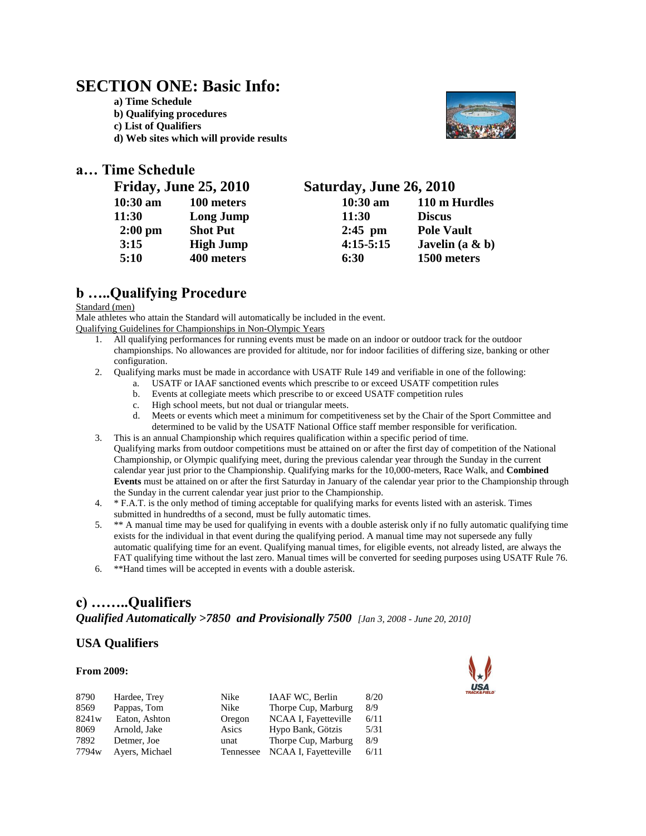### **SECTION ONE: Basic Info:**

**a) Time Schedule b) Qualifying procedures c) List of Qualifiers d) Web sites which will provide results** 



### **a… Time Schedule**

| <b>Friday, June 25, 2010</b> |                  | Saturday, June 26, 2010 |                   |
|------------------------------|------------------|-------------------------|-------------------|
| $10:30$ am                   | 100 meters       | $10:30$ am              | 110 m Hurdles     |
| 11:30                        | Long Jump        | 11:30                   | <b>Discus</b>     |
| $2:00 \text{ pm}$            | <b>Shot Put</b>  | $2:45$ pm               | <b>Pole Vault</b> |
| 3:15                         | <b>High Jump</b> | $4:15-5:15$             | Javelin $(a & b)$ |
| 5:10                         | 400 meters       | 6:30                    | 1500 meters       |

### **b …..Qualifying Procedure**

#### Standard (men)

Male athletes who attain the Standard will automatically be included in the event.

Qualifying Guidelines for Championships in Non-Olympic Years

- 1. All qualifying performances for running events must be made on an indoor or outdoor track for the outdoor championships. No allowances are provided for altitude, nor for indoor facilities of differing size, banking or other configuration.
- 2. Qualifying marks must be made in accordance with USATF Rule 149 and verifiable in one of the following:
	- a. USATF or IAAF sanctioned events which prescribe to or exceed USATF competition rules
	- b. Events at collegiate meets which prescribe to or exceed USATF competition rules
	- c. High school meets, but not dual or triangular meets.
	- d. Meets or events which meet a minimum for competitiveness set by the Chair of the Sport Committee and determined to be valid by the USATF National Office staff member responsible for verification.
- 3. This is an annual Championship which requires qualification within a specific period of time. Qualifying marks from outdoor competitions must be attained on or after the first day of competition of the National Championship, or Olympic qualifying meet, during the previous calendar year through the Sunday in the current calendar year just prior to the Championship. Qualifying marks for the 10,000-meters, Race Walk, and **Combined Events** must be attained on or after the first Saturday in January of the calendar year prior to the Championship through the Sunday in the current calendar year just prior to the Championship.
- 4. \* F.A.T. is the only method of timing acceptable for qualifying marks for events listed with an asterisk. Times submitted in hundredths of a second, must be fully automatic times.
- 5. \*\* A manual time may be used for qualifying in events with a double asterisk only if no fully automatic qualifying time exists for the individual in that event during the qualifying period. A manual time may not supersede any fully automatic qualifying time for an event. Qualifying manual times, for eligible events, not already listed, are always the FAT qualifying time without the last zero. Manual times will be converted for seeding purposes using USATF Rule 76.

6. \*\*Hand times will be accepted in events with a double asterisk.

### **c) ……..Qualifiers**  *Qualified Automatically >7850 and Provisionally 7500 [Jan 3, 2008 - June 20, 2010]*

### **USA Qualifiers**

#### **From 2009:**



| 8790  | Hardee, Trey   | Nike      | IAAF WC, Berlin      | 8/20 |
|-------|----------------|-----------|----------------------|------|
| 8569  | Pappas, Tom    | Nike      | Thorpe Cup, Marburg  | 8/9  |
| 8241w | Eaton, Ashton  | Oregon    | NCAA I, Fayetteville | 6/11 |
| 8069  | Arnold, Jake   | Asics     | Hypo Bank, Götzis    | 5/31 |
| 7892  | Detmer, Joe    | unat      | Thorpe Cup, Marburg  | 8/9  |
| 7794w | Ayers, Michael | Tennessee | NCAA I, Fayetteville | 6/11 |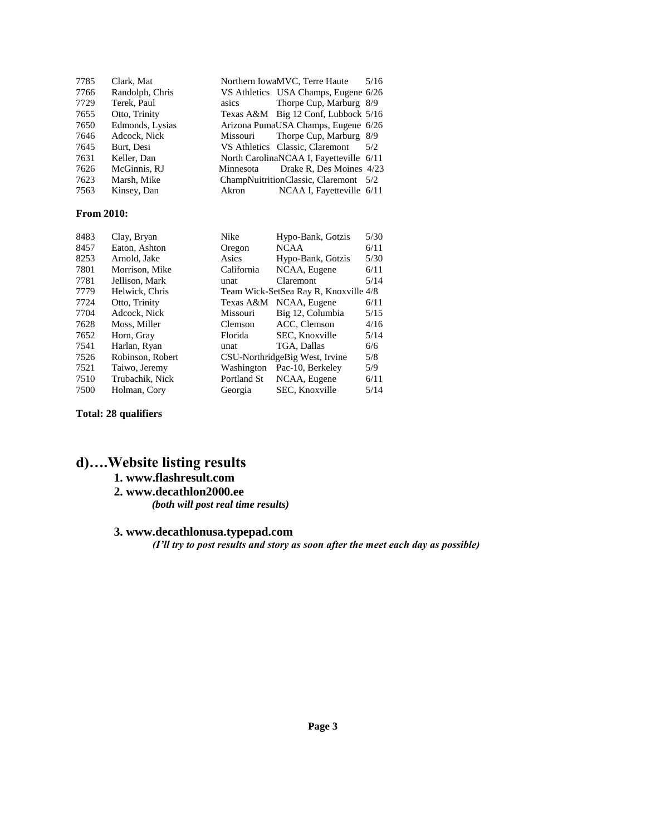| 7785 | Clark, Mat      |           | Northern IowaMVC, Terre Haute<br>5/16   |
|------|-----------------|-----------|-----------------------------------------|
| 7766 | Randolph, Chris |           | VS Athletics USA Champs, Eugene 6/26    |
| 7729 | Terek, Paul     | asics     | Thorpe Cup, Marburg 8/9                 |
| 7655 | Otto, Trinity   |           | Texas A&M Big 12 Conf, Lubbock 5/16     |
| 7650 | Edmonds, Lysias |           | Arizona PumaUSA Champs, Eugene 6/26     |
| 7646 | Adcock, Nick    |           | Missouri Thorpe Cup, Marburg 8/9        |
| 7645 | Burt, Desi      |           | VS Athletics Classic, Claremont<br>5/2  |
| 7631 | Keller, Dan     |           | North CarolinaNCAA I, Fayetteville 6/11 |
| 7626 | McGinnis, RJ    | Minnesota | Drake R, Des Moines 4/23                |
| 7623 | Marsh, Mike     |           | ChampNuitritionClassic, Claremont 5/2   |
| 7563 | Kinsey, Dan     | Akron     | NCAA I, Fayetteville 6/11               |

#### **From 2010:**

| 8483 | Clay, Bryan      | Nike        | Hypo-Bank, Gotzis                     | 5/30 |
|------|------------------|-------------|---------------------------------------|------|
| 8457 | Eaton, Ashton    | Oregon      | <b>NCAA</b>                           | 6/11 |
| 8253 | Arnold, Jake     | Asics       | Hypo-Bank, Gotzis                     | 5/30 |
| 7801 | Morrison, Mike   | California  | NCAA, Eugene                          | 6/11 |
| 7781 | Jellison, Mark   | unat        | <b>Claremont</b>                      | 5/14 |
| 7779 | Helwick, Chris   |             | Team Wick-SetSea Ray R, Knoxville 4/8 |      |
| 7724 | Otto, Trinity    | Texas A&M   | NCAA, Eugene                          | 6/11 |
| 7704 | Adcock, Nick     | Missouri    | Big 12, Columbia                      | 5/15 |
| 7628 | Moss, Miller     | Clemson     | ACC, Clemson                          | 4/16 |
| 7652 | Horn, Gray       | Florida     | SEC, Knoxville                        | 5/14 |
| 7541 | Harlan, Ryan     | unat        | TGA, Dallas                           | 6/6  |
| 7526 | Robinson, Robert |             | CSU-NorthridgeBig West, Irvine        | 5/8  |
| 7521 | Taiwo, Jeremy    | Washington  | Pac-10, Berkeley                      | 5/9  |
| 7510 | Trubachik, Nick  | Portland St | NCAA, Eugene                          | 6/11 |
| 7500 | Holman, Cory     | Georgia     | SEC, Knoxville                        | 5/14 |

**Total: 28 qualifiers**

## **d)….Website listing results**

### **1. www.flashresult.com**

#### **2. www.decathlon2000.ee**

*(both will post real time results)* 

### **3. www.decathlonusa.typepad.com**

 *(I'll try to post results and story as soon after the meet each day as possible)*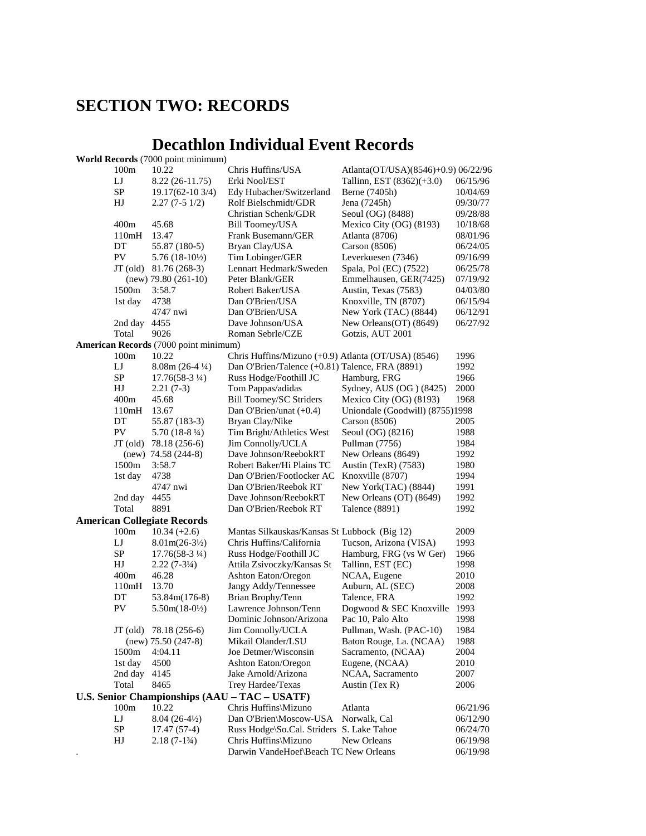## **SECTION TWO: RECORDS**

## **Decathlon Individual Event Records**

|                  | <b>World Records</b> (7000 point minimum) |                                                     |                                              |          |
|------------------|-------------------------------------------|-----------------------------------------------------|----------------------------------------------|----------|
| 100m             | 10.22                                     | Chris Huffins/USA                                   | Atlanta(OT/USA)(8546)+0.9) 06/22/96          |          |
| LJ               | 8.22 (26-11.75)                           | Erki Nool/EST                                       | Tallinn, EST $(8362)(+3.0)$                  | 06/15/96 |
| SP               | 19.17(62-10 3/4)                          | Edy Hubacher/Switzerland                            | Berne (7405h)                                | 10/04/69 |
| HJ               | $2.27(7-51/2)$                            | Rolf Bielschmidt/GDR                                | Jena (7245h)                                 | 09/30/77 |
|                  |                                           | Christian Schenk/GDR                                | Seoul (OG) (8488)                            | 09/28/88 |
| 400m             | 45.68                                     | <b>Bill Toomey/USA</b>                              | Mexico City (OG) (8193)                      | 10/18/68 |
| 110mH            | 13.47                                     | Frank Busemann/GER                                  | Atlanta (8706)                               | 08/01/96 |
| DT               | 55.87 (180-5)                             | Bryan Clay/USA                                      | Carson $(8506)$                              | 06/24/05 |
| ${\rm PV}$       | $5.76(18-10\frac{1}{2})$                  | Tim Lobinger/GER                                    | Leverkuesen (7346)                           | 09/16/99 |
|                  | $JT$ (old) $81.76$ (268-3)                | Lennart Hedmark/Sweden                              | Spala, Pol (EC) (7522)                       | 06/25/78 |
|                  | $(new)$ 79.80 (261-10)                    | Peter Blank/GER                                     | Emmelhausen, GER(7425)                       | 07/19/92 |
| 1500m            | 3:58.7                                    | Robert Baker/USA                                    | Austin, Texas (7583)                         | 04/03/80 |
| 1st day          | 4738                                      | Dan O'Brien/USA                                     | Knoxville, TN (8707)                         | 06/15/94 |
|                  | 4747 nwi                                  | Dan O'Brien/USA                                     | New York (TAC) (8844)                        | 06/12/91 |
| 2nd day          | 4455                                      | Dave Johnson/USA                                    | New Orleans(OT) (8649)                       | 06/27/92 |
| Total            | 9026                                      | Roman Sebrle/CZE                                    | Gotzis, AUT 2001                             |          |
|                  | American Records (7000 point minimum)     |                                                     |                                              |          |
| 100m             | 10.22                                     | Chris Huffins/Mizuno (+0.9) Atlanta (OT/USA) (8546) |                                              | 1996     |
| LJ               | $8.08m(26-4\frac{1}{4})$                  | Dan O'Brien/Talence (+0.81) Talence, FRA (8891)     |                                              | 1992     |
| SP               | $17.76(58-3\frac{1}{4})$                  | Russ Hodge/Foothill JC                              | Hamburg, FRG                                 | 1966     |
| HJ               | $2.21(7-3)$                               | Tom Pappas/adidas                                   | Sydney, AUS (OG) (8425)                      | 2000     |
| 400m             | 45.68                                     | <b>Bill Toomey/SC Striders</b>                      | Mexico City (OG) (8193)                      | 1968     |
| 110mH            | 13.67                                     | Dan O'Brien/unat $(+0.4)$                           | Uniondale (Goodwill) (8755)1998              |          |
| DT               | 55.87 (183-3)                             | Bryan Clay/Nike                                     | Carson $(8506)$                              | 2005     |
| ${\rm PV}$       | 5.70 $(18-8\frac{1}{4})$                  | Tim Bright/Athletics West                           | Seoul (OG) (8216)                            | 1988     |
| $JT$ (old)       | 78.18 (256-6)                             | Jim Connolly/UCLA                                   | Pullman (7756)                               | 1984     |
|                  | $(new)$ 74.58 (244-8)                     | Dave Johnson/ReebokRT                               | New Orleans (8649)                           | 1992     |
| 1500m            | 3:58.7                                    | Robert Baker/Hi Plains TC                           | Austin (TexR) (7583)                         | 1980     |
| 1st day          | 4738                                      | Dan O'Brien/Footlocker AC                           | Knoxville (8707)                             | 1994     |
|                  | 4747 nwi                                  | Dan O'Brien/Reebok RT                               | New York(TAC) (8844)                         | 1991     |
| 2nd day          | 4455                                      | Dave Johnson/ReebokRT                               | New Orleans (OT) (8649)                      | 1992     |
| Total            | 8891                                      | Dan O'Brien/Reebok RT                               | Talence (8891)                               | 1992     |
|                  | <b>American Collegiate Records</b>        |                                                     |                                              |          |
| 100m             | $10.34 (+2.6)$                            | Mantas Silkauskas/Kansas St Lubbock (Big 12)        |                                              | 2009     |
| LJ               | $8.01m(26-3\frac{1}{2})$                  | Chris Huffins/California                            | Tucson, Arizona (VISA)                       | 1993     |
| <b>SP</b>        | $17.76(58-3\frac{1}{4})$                  | Russ Hodge/Foothill JC                              |                                              | 1966     |
| HJ               | $2.22(7-3\frac{1}{4})$                    | Attila Zsivoczky/Kansas St                          | Hamburg, FRG (vs W Ger)<br>Tallinn, EST (EC) | 1998     |
| 400m             | 46.28                                     | Ashton Eaton/Oregon                                 |                                              | 2010     |
| 110mH            | 13.70                                     | Jangy Addy/Tennessee                                | NCAA, Eugene<br>Auburn, AL (SEC)             | 2008     |
| DT               | 53.84m(176-8)                             | Brian Brophy/Tenn                                   | Talence, FRA                                 | 1992     |
| PV               | $5.50m(18-0\frac{1}{2})$                  | Lawrence Johnson/Tenn                               | Dogwood & SEC Knoxville 1993                 |          |
|                  |                                           | Dominic Johnson/Arizona                             | Pac 10, Palo Alto                            | 1998     |
|                  |                                           | Jim Connolly/UCLA                                   | Pullman, Wash. (PAC-10)                      | 1984     |
|                  | JT (old) 78.18 (256-6)                    |                                                     |                                              |          |
|                  | $(new)$ 75.50 (247-8)                     | Mikail Olander/LSU                                  | Baton Rouge, La. (NCAA)                      | 1988     |
| 1500m            | 4:04.11                                   | Joe Detmer/Wisconsin                                | Sacramento, (NCAA)                           | 2004     |
| 1st day          | 4500                                      | <b>Ashton Eaton/Oregon</b>                          | Eugene, (NCAA)                               | 2010     |
| 2nd day          | 4145                                      | Jake Arnold/Arizona                                 | NCAA, Sacramento                             | 2007     |
| Total            | 8465                                      | Trey Hardee/Texas                                   | Austin (Tex R)                               | 2006     |
|                  |                                           | U.S. Senior Championships (AAU - TAC - USATF)       |                                              |          |
| 100 <sub>m</sub> | 10.22                                     | Chris Huffins\Mizuno                                | Atlanta                                      | 06/21/96 |
| LJ               | $8.04(26-4\frac{1}{2})$                   | Dan O'Brien\Moscow-USA                              | Norwalk, Cal                                 | 06/12/90 |
| ${\rm SP}$       | $17.47(57-4)$                             | Russ Hodge\So.Cal. Striders S. Lake Tahoe           |                                              | 06/24/70 |
| HJ               | $2.18(7-1\frac{3}{4})$                    | Chris Huffins\Mizuno                                | New Orleans                                  | 06/19/98 |
|                  |                                           | Darwin VandeHoef\Beach TC New Orleans               |                                              | 06/19/98 |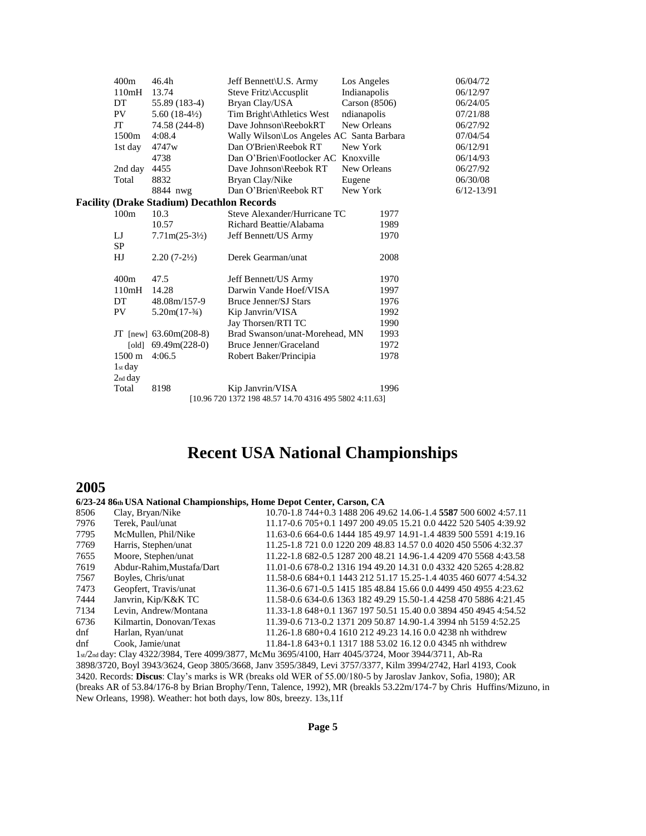| 400m             | 46.4h                                             | Jeff Bennett\U.S. Army                                 | Los Angeles   |      | 06/04/72       |
|------------------|---------------------------------------------------|--------------------------------------------------------|---------------|------|----------------|
| 110mH            | 13.74                                             | Steve Fritz\Accusplit                                  | Indianapolis  |      | 06/12/97       |
| DT               | 55.89 (183-4)                                     | Bryan Clay/USA                                         | Carson (8506) |      | 06/24/05       |
| PV               | $5.60(18-4\frac{1}{2})$                           | Tim Bright\Athletics West                              | ndianapolis   |      | 07/21/88       |
| JT               | 74.58 (244-8)                                     | Dave Johnson\ReebokRT                                  | New Orleans   |      | 06/27/92       |
| 1500m            | 4:08.4                                            | Wally Wilson\Los Angeles AC Santa Barbara              |               |      | 07/04/54       |
| 1st day          | 4747w                                             | Dan O'Brien\Reebok RT                                  | New York      |      | 06/12/91       |
|                  | 4738                                              | Dan O'Brien\Footlocker AC                              | Knoxville     |      | 06/14/93       |
| 2nd day          | 4455                                              | Dave Johnson\Reebok RT                                 | New Orleans   |      | 06/27/92       |
| Total            | 8832                                              | Bryan Clay/Nike                                        | Eugene        |      | 06/30/08       |
|                  | 8844 nwg                                          | Dan O'Brien\Reebok RT                                  | New York      |      | $6/12 - 13/91$ |
|                  | <b>Facility (Drake Stadium) Decathlon Records</b> |                                                        |               |      |                |
| 100m             | 10.3                                              | Steve Alexander/Hurricane TC                           |               | 1977 |                |
|                  | 10.57                                             | Richard Beattie/Alabama                                |               | 1989 |                |
| IJ               | $7.71m(25-3\frac{1}{2})$                          | Jeff Bennett/US Army                                   |               | 1970 |                |
| <b>SP</b>        |                                                   |                                                        |               |      |                |
| HJ               | $2.20(7-2\frac{1}{2})$                            | Derek Gearman/unat                                     |               | 2008 |                |
| 400m             | 47.5                                              | Jeff Bennett/US Army                                   |               | 1970 |                |
| 110mH            | 14.28                                             | Darwin Vande Hoef/VISA                                 |               | 1997 |                |
| DT               | 48.08m/157-9                                      | Bruce Jenner/SJ Stars                                  |               | 1976 |                |
| PV               | $5.20m(17-3/4)$                                   | Kip Janvrin/VISA                                       |               | 1992 |                |
|                  |                                                   | Jay Thorsen/RTI TC                                     |               | 1990 |                |
|                  | JT [new] $63.60m(208-8)$                          | Brad Swanson/unat-Morehead, MN                         |               | 1993 |                |
|                  | [old] $69.49m(228-0)$                             | Bruce Jenner/Graceland                                 |               | 1972 |                |
| $1500 \text{ m}$ | 4:06.5                                            | Robert Baker/Principia                                 |               | 1978 |                |
| $1st$ day        |                                                   |                                                        |               |      |                |
| $2nd$ day        |                                                   |                                                        |               |      |                |
| Total            | 8198                                              | Kip Janvrin/VISA                                       |               | 1996 |                |
|                  |                                                   | [10.96 720 1372 198 48.57 14.70 4316 495 5802 4:11.63] |               |      |                |

## **Recent USA National Championships**

### **2005**

#### **6/23-24 86th USA National Championships, Home Depot Center, Carson, CA**

| 8506 | Clay, Bryan/Nike          | 10.70-1.8 744+0.3 1488 206 49.62 14.06-1.4 5587 500 6002 4:57.11 |
|------|---------------------------|------------------------------------------------------------------|
| 7976 | Terek, Paul/unat          | 11.17-0.6 705+0.1 1497 200 49.05 15.21 0.0 4422 520 5405 4:39.92 |
| 7795 | McMullen, Phil/Nike       | 11.63-0.6 664-0.6 1444 185 49.97 14.91-1.4 4839 500 5591 4:19.16 |
| 7769 | Harris, Stephen/unat      | 11.25-1.8 721 0.0 1220 209 48.83 14.57 0.0 4020 450 5506 4:32.37 |
| 7655 | Moore, Stephen/unat       | 11.22-1.8 682-0.5 1287 200 48.21 14.96-1.4 4209 470 5568 4:43.58 |
| 7619 | Abdur-Rahim, Mustafa/Dart | 11.01-0.6 678-0.2 1316 194 49.20 14.31 0.0 4332 420 5265 4:28.82 |
| 7567 | Boyles, Chris/unat        | 11.58-0.6 684+0.1 1443 212 51.17 15.25-1.4 4035 460 6077 4:54.32 |
| 7473 | Geopfert, Travis/unat     | 11.36-0.6 671-0.5 1415 185 48.84 15.66 0.0 4499 450 4955 4:23.62 |
| 7444 | Janvrin, Kip/K&K TC       | 11.58-0.6 634-0.6 1363 182 49.29 15.50-1.4 4258 470 5886 4:21.45 |
| 7134 | Levin, Andrew/Montana     | 11.33-1.8 648+0.1 1367 197 50.51 15.40 0.0 3894 450 4945 4:54.52 |
| 6736 | Kilmartin, Donovan/Texas  | 11.39-0.6 713-0.2 1371 209 50.87 14.90-1.4 3994 nh 5159 4:52.25  |
| dnf  | Harlan, Ryan/unat         | 11.26-1.8 680+0.4 1610 212 49.23 14.16 0.0 4238 nh withdrew      |
| dnf  | Cook. Jamie/unat          | 11.84-1.8 643+0.1 1317 188 53.02 16.12 0.0 4345 nh withdrew      |
|      |                           |                                                                  |

1st/2nd day: Clay 4322/3984, Tere 4099/3877, McMu 3695/4100, Harr 4045/3724, Moor 3944/3711, Ab-Ra 3898/3720, Boyl 3943/3624, Geop 3805/3668, Janv 3595/3849, Levi 3757/3377, Kilm 3994/2742, Harl 4193, Cook 3420. Records: **Discus**: Clay's marks is WR (breaks old WER of 55.00/180-5 by Jaroslav Jankov, Sofia, 1980); AR (breaks AR of 53.84/176-8 by Brian Brophy/Tenn, Talence, 1992), MR (breakls 53.22m/174-7 by Chris Huffins/Mizuno, in New Orleans, 1998). Weather: hot both days, low 80s, breezy. 13s,11f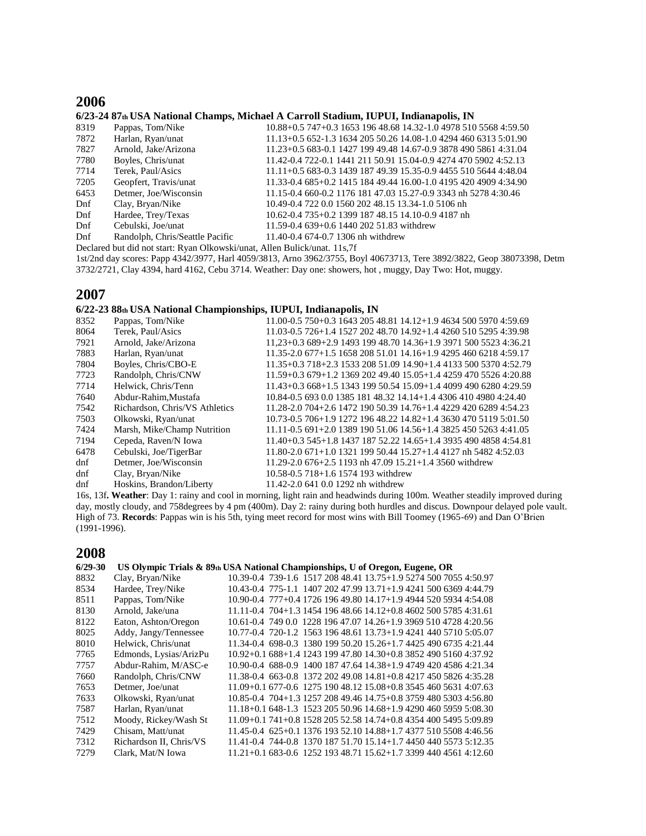### **2006**

#### **6/23-24 87th USA National Champs, Michael A Carroll Stadium, IUPUI, Indianapolis, IN**

| Pappas, Tom/Nike                | 10.88+0.5 747+0.3 1653 196 48.68 14.32-1.0 4978 510 5568 4:59.50 |
|---------------------------------|------------------------------------------------------------------|
| Harlan, Ryan/unat               | 11.13+0.5 652-1.3 1634 205 50.26 14.08-1.0 4294 460 6313 5:01.90 |
| Arnold, Jake/Arizona            | 11.23+0.5 683-0.1 1427 199 49.48 14.67-0.9 3878 490 5861 4:31.04 |
| Boyles, Chris/unat              | 11.42-0.4 722-0.1 1441 211 50.91 15.04-0.9 4274 470 5902 4:52.13 |
| Terek. Paul/Asics               | 11.11+0.5 683-0.3 1439 187 49.39 15.35-0.9 4455 510 5644 4:48.04 |
| Geopfert, Travis/unat           | 11.33-0.4 685+0.2 1415 184 49.44 16.00-1.0 4195 420 4909 4:34.90 |
| Detmer, Joe/Wisconsin           | 11.15-0.4 660-0.2 1176 181 47.03 15.27-0.9 3343 nh 5278 4:30.46  |
| Clay, Bryan/Nike                | 10.49-0.4 722 0.0 1560 202 48.15 13.34-1.0 5106 nh               |
| Hardee, Trey/Texas              | 10.62-0.4 735+0.2 1399 187 48.15 14.10-0.9 4187 nh               |
| Cebulski, Joe/unat              | 11.59-0.4 639+0.6 1440 202 51.83 withdrew                        |
| Randolph, Chris/Seattle Pacific | 11.40-0.4 674-0.7 1306 nh withdrew                               |
|                                 |                                                                  |

Declared but did not start: Ryan Olkowski/unat, Allen Bulick/unat. 11s,7f

1st/2nd day scores: Papp 4342/3977, Harl 4059/3813, Arno 3962/3755, Boyl 40673713, Tere 3892/3822, Geop 38073398, Detm 3732/2721, Clay 4394, hard 4162, Cebu 3714. Weather: Day one: showers, hot , muggy, Day Two: Hot, muggy.

### **2007**

#### **6/22-23 88th USA National Championships, IUPUI, Indianapolis, IN**

| 8352                                         | Pappas, Tom/Nike               | 11.00-0.5 750+0.3 1643 205 48.81 14.12+1.9 4634 500 5970 4:59.69  |
|----------------------------------------------|--------------------------------|-------------------------------------------------------------------|
| 8064                                         | Terek, Paul/Asics              | 11.03-0.5 726+1.4 1527 202 48.70 14.92+1.4 4260 510 5295 4:39.98  |
| 7921                                         | Arnold, Jake/Arizona           | $11.23+0.3689+2.9149319948.7014.36+1.9397150055234.36.21$         |
| 7883                                         | Harlan, Ryan/unat              | 11.35-2.0 677+1.5 1658 208 51.01 14.16+1.9 4295 460 6218 4:59.17  |
| 7804                                         | Boyles, Chris/CBO-E            | $11.35+0.3718+2.3153320851.0914.90+1.4413350053704:52.79$         |
| 7723                                         | Randolph, Chris/CNW            | $11.59+0.3679+1.2136920249.4015.05+1.4425947055264:20.88$         |
| 7714                                         | Helwick, Chris/Tenn            | $11.43+0.3668+1.5134319950.5415.09+1.4409949062804:29.59$         |
| 7640                                         | Abdur-Rahim, Mustafa           | 10.84-0.5 693 0.0 1385 181 48.32 14.14+1.4 4306 410 4980 4:24.40  |
| 7542                                         | Richardson, Chris/VS Athletics | 11.28-2.0 704+2.6 1472 190 50.39 14.76+1.4 4229 420 6289 4:54.23  |
| 7503                                         | Olkowski, Ryan/unat            | 10.73-0.5 706+1.9 1272 196 48.22 14.82+1.4 3630 470 5119 5:01.50  |
| 7424                                         | Marsh, Mike/Champ Nutrition    | 11.11-0.5 691+2.0 1389 190 51.06 14.56+1.4 3825 450 5263 4:41.05  |
| 7194                                         | Cepeda, Raven/N Iowa           | 11.40+0.3 545+1.8 1437 187 52.22 14.65+1.4 3935 490 4858 4:54.81  |
| 6478                                         | Cebulski, Joe/TigerBar         | $11.80 - 2.0671 + 1.0132119950.4415.27 + 1.44127$ nh 5482 4:52.03 |
| dnf                                          | Detmer, Joe/Wisconsin          | 11.29-2.0 $676+2.5$ 1193 nh 47.09 $15.21+1.4$ 3560 withdrew       |
| dnf                                          | Clay, Bryan/Nike               | 10.58-0.5 718+1.6 1574 193 withdrew                               |
| dnf                                          | Hoskins, Brandon/Liberty       | 11.42-2.0 641 0.0 1292 nh withdrew                                |
| $\sim$ 100 $\sim$ $\sim$ 11 $\sim$ 11 $\sim$ |                                |                                                                   |

16s, 13f**. Weather**: Day 1: rainy and cool in morning, light rain and headwinds during 100m. Weather steadily improved during day, mostly cloudy, and 758degrees by 4 pm (400m). Day 2: rainy during both hurdles and discus. Downpour delayed pole vault. High of 73. **Records**: Pappas win is his 5th, tying meet record for most wins with Bill Toomey (1965-69) and Dan O'Brien (1991-1996).

#### **2008**

| $6/29 - 30$ |                         | US Olympic Trials & 89th USA National Championships, U of Oregon, Eugene, OR |
|-------------|-------------------------|------------------------------------------------------------------------------|
| 8832        | Clay, Bryan/Nike        | 10.39-0.4 739-1.6 1517 208 48.41 13.75+1.9 5274 500 7055 4:50.97             |
| 8534        | Hardee, Trey/Nike       | 10.43-0.4 775-1.1 1407 202 47.99 13.71+1.9 4241 500 6369 4:44.79             |
| 8511        | Pappas, Tom/Nike        | 10.90-0.4 777+0.4 1726 196 49.80 14.17+1.9 4944 520 5934 4:54.08             |
| 8130        | Arnold, Jake/una        | $11.11 - 0.4$ 704+1.3 1454 196 48.66 14.12+0.8 4602 500 5785 4:31.61         |
| 8122        | Eaton, Ashton/Oregon    | 10.61-0.4 749 0.0 1228 196 47.07 14.26+1.9 3969 510 4728 4:20.56             |
| 8025        | Addy, Jangy/Tennessee   | 10.77-0.4 720-1.2 1563 196 48.61 13.73+1.9 4241 440 5710 5:05.07             |
| 8010        | Helwick, Chris/unat     | 11.34-0.4 698-0.3 1380 199 50.20 15.26+1.7 4425 490 6735 4:21.44             |
| 7765        | Edmonds, Lysias/ArizPu  | 10.92+0.1 688+1.4 1243 199 47.80 14.30+0.8 3852 490 5160 4:37.92             |
| 7757        | Abdur-Rahim, M/ASC-e    | 10.90-0.4 688-0.9 1400 187 47.64 14.38+1.9 4749 420 4586 4:21.34             |
| 7660        | Randolph, Chris/CNW     | 11.38-0.4 663-0.8 1372 202 49.08 14.81+0.8 4217 450 5826 4:35.28             |
| 7653        | Detmer, Joe/unat        | $11.09+0.1$ 677-0.6 1275 190 48.12 15.08+0.8 3545 460 5631 4:07.63           |
| 7633        | Olkowski, Ryan/unat     | 10.85-0.4 704+1.3 1257 208 49.46 14.75+0.8 3759 480 5303 4:56.80             |
| 7587        | Harlan, Ryan/unat       | 11.18+0.1 648-1.3 1523 205 50.96 14.68+1.9 4290 460 5959 5:08.30             |
| 7512        | Moody, Rickey/Wash St   | $11.09+0.1741+0.8152820552.5814.74+0.8435440054955:09.89$                    |
| 7429        | Chisam, Matt/unat       | 11.45-0.4 625+0.1 1376 193 52.10 14.88+1.7 4377 510 5508 4:46.56             |
| 7312        | Richardson II, Chris/VS | 11.41-0.4 744-0.8 1370 187 51.70 15.14+1.7 4450 440 5573 5:12.35             |
| 7279        | Clark, Mat/N Iowa       | $11.21+0.1$ 683-0.6 1252 193 48.71 15.62+1.7 3399 440 4561 4:12.60           |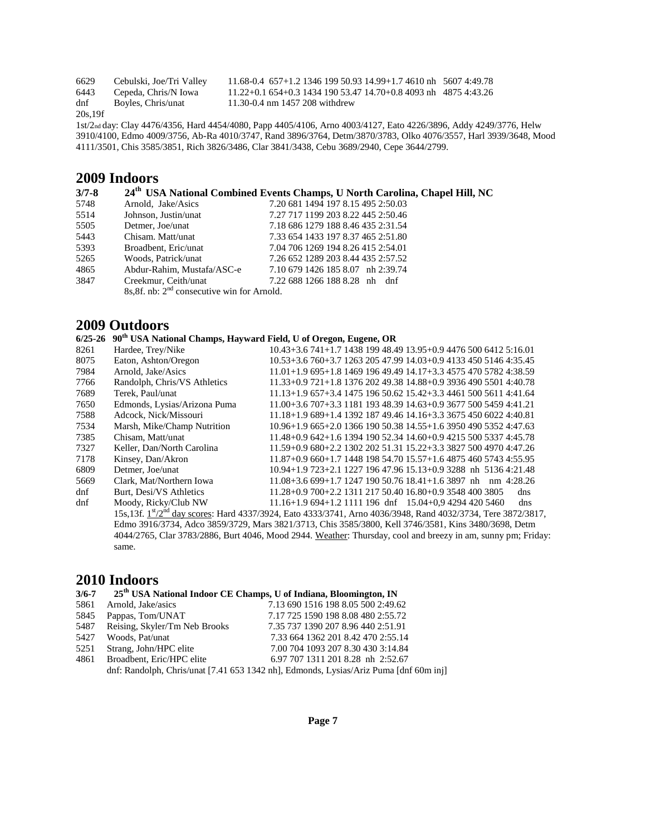6629 Cebulski, Joe/Tri Valley 11.68-0.4 657+1.2 1346 199 50.93 14.99+1.7 4610 nh 5607 4:49.78<br>6443 Cepeda, Chris/N Iowa 11.22+0.1 654+0.3 1434 190 53.47 14.70+0.8 4093 nh 4875 4:43.26 6443 Cepeda, Chris/N Iowa 11.22+0.1 654+0.3 1434 190 53.47 14.70+0.8 4093 nh 4875 4:43.26<br>dnf Boyles, Chris/unat 11.30-0.4 nm 1457 208 withdrew 11.30-0.4 nm 1457 208 withdrew 20s,19f

1st/2nd day: Clay 4476/4356, Hard 4454/4080, Papp 4405/4106, Arno 4003/4127, Eato 4226/3896, Addy 4249/3776, Helw 3910/4100, Edmo 4009/3756, Ab-Ra 4010/3747, Rand 3896/3764, Detm/3870/3783, Olko 4076/3557, Harl 3939/3648, Mood 4111/3501, Chis 3585/3851, Rich 3826/3486, Clar 3841/3438, Cebu 3689/2940, Cepe 3644/2799.

### **2009 Indoors**

| $3/7 - 8$ |                                                         | 24 <sup>th</sup> USA National Combined Events Champs, U North Carolina, Chapel Hill, NC |
|-----------|---------------------------------------------------------|-----------------------------------------------------------------------------------------|
| 5748      | Arnold, Jake/Asics                                      | 7.20 681 1494 197 8.15 495 2:50.03                                                      |
| 5514      | Johnson, Justin/unat                                    | 7.27 717 1199 203 8.22 445 2:50.46                                                      |
| 5505      | Detmer, Joe/unat                                        | 7.18 686 1279 188 8.46 435 2:31.54                                                      |
| 5443      | Chisam. Matt/unat                                       | 7.33 654 1433 197 8.37 465 2:51.80                                                      |
| 5393      | Broadbent, Eric/unat                                    | 7.04 706 1269 194 8.26 415 2:54.01                                                      |
| 5265      | Woods, Patrick/unat                                     | 7.26 652 1289 203 8.44 435 2:57.52                                                      |
| 4865      | Abdur-Rahim, Mustafa/ASC-e                              | 7.10 679 1426 185 8.07 nh 2:39.74                                                       |
| 3847      | Creekmur, Ceith/unat                                    | 7.22 688 1266 188 8.28 nh dnf                                                           |
|           | 8s, 8f. nb: 2 <sup>nd</sup> consecutive win for Arnold. |                                                                                         |

### **2009 Outdoors**

### **6/25-26 90th USA National Champs, Hayward Field, U of Oregon, Eugene, OR**

| Hardee, Trey/Nike            | $10.43+3.6741+1.7143819948.4913.95+0.9447650064125:16.01$                                                                             |
|------------------------------|---------------------------------------------------------------------------------------------------------------------------------------|
| Eaton, Ashton/Oregon         | 10.53+3.6 760+3.7 1263 205 47.99 14.03+0.9 4133 450 5146 4:35.45                                                                      |
| Arnold, Jake/Asics           | $11.01+1.9695+1.8146919649.4914.17+3.3457547057824:38.59$                                                                             |
| Randolph, Chris/VS Athletics | 11.33+0.9 721+1.8 1376 202 49.38 14.88+0.9 3936 490 5501 4:40.78                                                                      |
| Terek, Paul/unat             | 11.13+1.9 657+3.4 1475 196 50.62 15.42+3.3 4461 500 5611 4:41.64                                                                      |
| Edmonds, Lysias/Arizona Puma | 11.00+3.6 707+3.3 1181 193 48.39 14.63+0.9 3677 500 5459 4:41.21                                                                      |
| Adcock, Nick/Missouri        | 11.18+1.9 689+1.4 1392 187 49.46 14.16+3.3 3675 450 6022 4:40.81                                                                      |
| Marsh, Mike/Champ Nutrition  | 10.96+1.9 665+2.0 1366 190 50.38 14.55+1.6 3950 490 5352 4:47.63                                                                      |
| Chisam, Matt/unat            | $11.48+0.9642+1.6139419052.3414.60+0.9421550053374.45.78$                                                                             |
| Keller, Dan/North Carolina   | 11.59+0.9 680+2.2 1302 202 51.31 15.22+3.3 3827 500 4970 4:47.26                                                                      |
| Kinsey, Dan/Akron            | 11.87+0.9 660+1.7 1448 198 54.70 15.57+1.6 4875 460 5743 4:55.95                                                                      |
| Detmer, Joe/unat             | $10.94+1.9723+2.1122719647.9615.13+0.93288$ nh 51364:21.48                                                                            |
| Clark, Mat/Northern Iowa     | $11.08+3.6699+1.7124719050.7618.41+1.63897$ nh nm 4:28.26                                                                             |
| Burt, Desi/VS Athletics      | 11.28+0.9 700+2.2 1311 217 50.40 16.80+0.9 3548 400 3805<br>dns                                                                       |
| Moody, Ricky/Club NW         | $11.16+1.9694+1.21111196$ dnf $15.04+0.942944205460$<br>dns                                                                           |
|                              | 15s,13f. 1 <sup>st</sup> /2 <sup>nd</sup> day scores: Hard 4337/3924, Eato 4333/3741, Arno 4036/3948, Rand 4032/3734, Tere 3872/3817, |
|                              | Edmo 3916/3734, Adco 3859/3729, Mars 3821/3713, Chis 3585/3800, Kell 3746/3581, Kins 3480/3698, Detm                                  |
|                              | 4044/2765, Clar 3783/2886, Burt 4046, Mood 2944. Weather: Thursday, cool and breezy in am, sunny pm; Friday:                          |
| same.                        |                                                                                                                                       |
|                              |                                                                                                                                       |

### **2010 Indoors**

| $3/6 - 7$ |  |  | 25 <sup>th</sup> USA National Indoor CE Champs, U of Indiana, Bloomington, IN |
|-----------|--|--|-------------------------------------------------------------------------------|
|-----------|--|--|-------------------------------------------------------------------------------|

| 5861 | Arnold, Jake/asics            | 7.13 690 1516 198 8.05 500 2:49.62                                                    |
|------|-------------------------------|---------------------------------------------------------------------------------------|
| 5845 | Pappas, Tom/UNAT              | 7.17 725 1590 198 8.08 480 2:55.72                                                    |
| 5487 | Reising, Skyler/Tm Neb Brooks | 7.35 737 1390 207 8.96 440 2:51.91                                                    |
| 5427 | Woods, Pat/unat               | 7.33 664 1362 201 8.42 470 2:55.14                                                    |
| 5251 | Strang, John/HPC elite        | 7.00 704 1093 207 8.30 430 3:14.84                                                    |
| 4861 | Broadbent, Eric/HPC elite     | 6.97 707 1311 201 8.28 nh 2:52.67                                                     |
|      |                               | dnf: Randolph, Chris/unat [7.41 653 1342 nh], Edmonds, Lysias/Ariz Puma [dnf 60m inj] |
|      |                               |                                                                                       |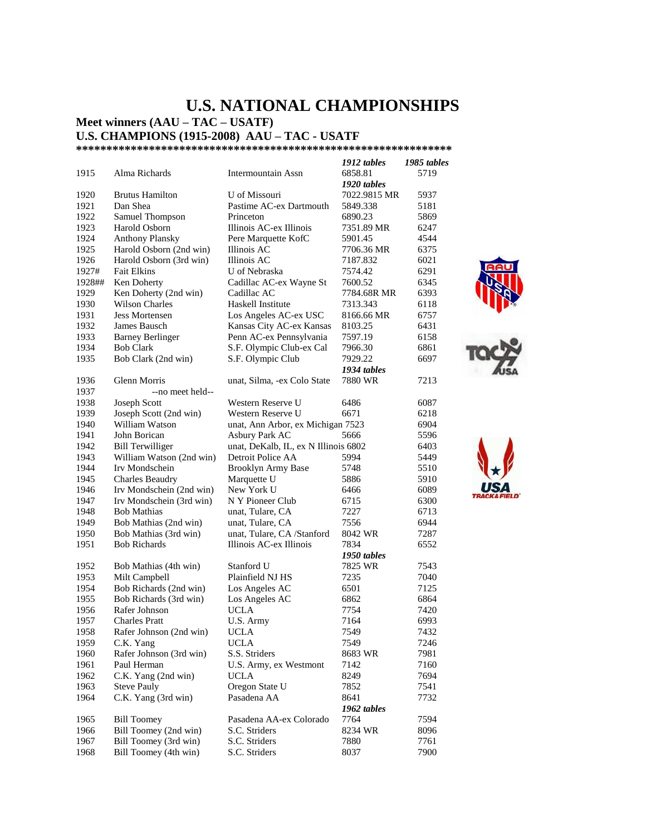## **U.S. NATIONAL CHAMPIONSHIPS**

**Meet winners (AAU – TAC – USATF)** 

**U.S. CHAMPIONS (1915-2008) AAU – TAC - USATF** 

**\*\*\*\*\*\*\*\*\*\*\*\*\*\*\*\*\*\*\*\*\*\*\*\*\*\*\*\*\*\*\*\*\*\*\*\*\*\*\*\*\*\*\*\*\*\*\*\*\*\*\*\*\*\*\*\*\*\*\*\*\*\*** 

|        |                          |                                      | 1912 tables  | 1985 tables |
|--------|--------------------------|--------------------------------------|--------------|-------------|
| 1915   | Alma Richards            | Intermountain Assn                   | 6858.81      | 5719        |
|        |                          |                                      | 1920 tables  |             |
| 1920   | <b>Brutus Hamilton</b>   | U of Missouri                        | 7022.9815 MR | 5937        |
| 1921   | Dan Shea                 | Pastime AC-ex Dartmouth              | 5849.338     | 5181        |
| 1922   | Samuel Thompson          | Princeton                            | 6890.23      | 5869        |
| 1923   | Harold Osborn            | Illinois AC-ex Illinois              | 7351.89 MR   | 6247        |
| 1924   |                          |                                      | 5901.45      | 4544        |
| 1925   | <b>Anthony Plansky</b>   | Pere Marquette KofC                  |              | 6375        |
|        | Harold Osborn (2nd win)  | Illinois AC                          | 7706.36 MR   |             |
| 1926   | Harold Osborn (3rd win)  | Illinois AC                          | 7187.832     | 6021        |
| 1927#  | <b>Fait Elkins</b>       | U of Nebraska                        | 7574.42      | 6291        |
| 1928## | Ken Doherty              | Cadillac AC-ex Wayne St              | 7600.52      | 6345        |
| 1929   | Ken Doherty (2nd win)    | Cadillac AC                          | 7784.68R MR  | 6393        |
| 1930   | <b>Wilson Charles</b>    | Haskell Institute                    | 7313.343     | 6118        |
| 1931   | <b>Jess Mortensen</b>    | Los Angeles AC-ex USC                | 8166.66 MR   | 6757        |
| 1932   | James Bausch             | Kansas City AC-ex Kansas             | 8103.25      | 6431        |
| 1933   | <b>Barney Berlinger</b>  | Penn AC-ex Pennsylvania              | 7597.19      | 6158        |
| 1934   | <b>Bob Clark</b>         | S.F. Olympic Club-ex Cal             | 7966.30      | 6861        |
| 1935   | Bob Clark (2nd win)      | S.F. Olympic Club                    | 7929.22      | 6697        |
|        |                          |                                      | 1934 tables  |             |
| 1936   | Glenn Morris             | unat, Silma, -ex Colo State          | 7880 WR      | 7213        |
| 1937   | --no meet held--         |                                      |              |             |
| 1938   | Joseph Scott             | Western Reserve U                    | 6486         | 6087        |
|        |                          |                                      |              |             |
| 1939   | Joseph Scott (2nd win)   | Western Reserve U                    | 6671         | 6218        |
| 1940   | William Watson           | unat, Ann Arbor, ex Michigan 7523    |              | 6904        |
| 1941   | John Borican             | Asbury Park AC                       | 5666         | 5596        |
| 1942   | <b>Bill Terwilliger</b>  | unat, DeKalb, IL, ex N Illinois 6802 |              | 6403        |
| 1943   | William Watson (2nd win) | Detroit Police AA                    | 5994         | 5449        |
| 1944   | Irv Mondschein           | <b>Brooklyn Army Base</b>            | 5748         | 5510        |
| 1945   | <b>Charles Beaudry</b>   | Marquette U                          | 5886         | 5910        |
| 1946   | Irv Mondschein (2nd win) | New York U                           | 6466         | 6089        |
| 1947   | Irv Mondschein (3rd win) | N Y Pioneer Club                     | 6715         | 6300        |
| 1948   | <b>Bob Mathias</b>       | unat, Tulare, CA                     | 7227         | 6713        |
| 1949   | Bob Mathias (2nd win)    | unat, Tulare, CA                     | 7556         | 6944        |
| 1950   | Bob Mathias (3rd win)    | unat, Tulare, CA /Stanford           | 8042 WR      | 7287        |
| 1951   | <b>Bob Richards</b>      | Illinois AC-ex Illinois              | 7834         | 6552        |
|        |                          |                                      | 1950 tables  |             |
| 1952   | Bob Mathias (4th win)    | Stanford U                           | 7825 WR      | 7543        |
| 1953   | Milt Campbell            | Plainfield NJ HS                     | 7235         | 7040        |
| 1954   | Bob Richards (2nd win)   | Los Angeles AC                       | 6501         | 7125        |
|        |                          |                                      |              |             |
| 1955   | Bob Richards (3rd win)   | Los Angeles AC                       | 6862         | 6864        |
| 1956   | Rafer Johnson            | UCLA                                 | 7754         | 7420        |
| 1957   | <b>Charles Pratt</b>     | U.S. Army                            | 7164         | 6993        |
| 1958   | Rafer Johnson (2nd win)  | UCLA                                 | 7549         | 7432        |
| 1959   | C.K. Yang                | <b>UCLA</b>                          | 7549         | 7246        |
| 1960   | Rafer Johnson (3rd win)  | S.S. Striders                        | 8683 WR      | 7981        |
| 1961   | Paul Herman              | U.S. Army, ex Westmont               | 7142         | 7160        |
| 1962   | C.K. Yang (2nd win)      | <b>UCLA</b>                          | 8249         | 7694        |
| 1963   | <b>Steve Pauly</b>       | Oregon State U                       | 7852         | 7541        |
| 1964   | C.K. Yang (3rd win)      | Pasadena AA                          | 8641         | 7732        |
|        |                          |                                      | 1962 tables  |             |
| 1965   | <b>Bill Toomey</b>       | Pasadena AA-ex Colorado              | 7764         | 7594        |
| 1966   | Bill Toomey (2nd win)    | S.C. Striders                        | 8234 WR      | 8096        |
| 1967   | Bill Toomey (3rd win)    | S.C. Striders                        | 7880         | 7761        |
|        |                          |                                      |              |             |
| 1968   | Bill Toomey (4th win)    | S.C. Striders                        | 8037         | 7900        |





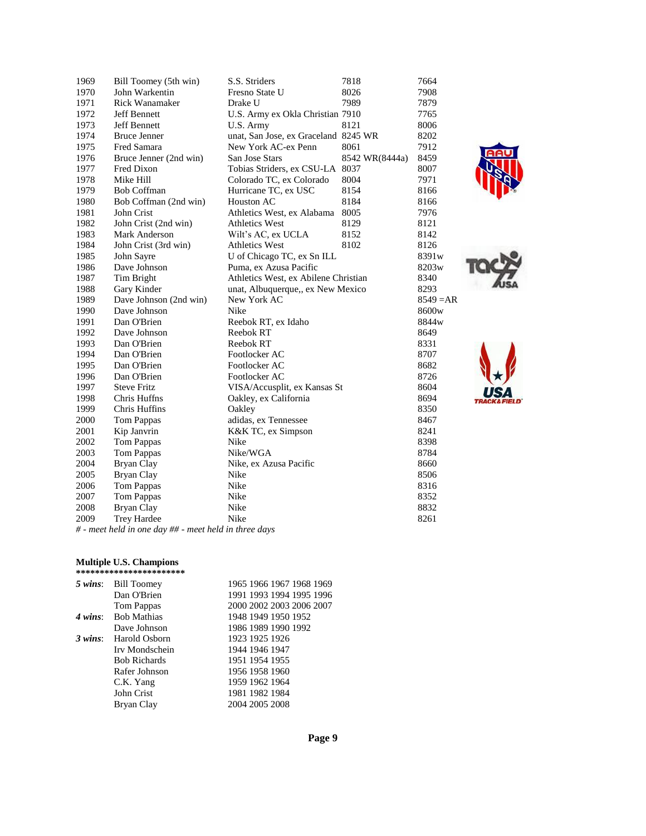| 1969 | Bill Toomey (5th win)  | S.S. Striders                        | 7818           | 7664              |
|------|------------------------|--------------------------------------|----------------|-------------------|
| 1970 | John Warkentin         | Fresno State U                       | 8026           | 7908              |
| 1971 | <b>Rick Wanamaker</b>  | Drake U                              | 7989           | 7879              |
| 1972 | Jeff Bennett           | U.S. Army ex Okla Christian 7910     |                | 7765              |
| 1973 | <b>Jeff Bennett</b>    | U.S. Army                            | 8121           | 8006              |
| 1974 | <b>Bruce Jenner</b>    | unat, San Jose, ex Graceland 8245 WR |                | 8202              |
| 1975 | Fred Samara            | New York AC-ex Penn                  | 8061           | 7912              |
| 1976 | Bruce Jenner (2nd win) | San Jose Stars                       | 8542 WR(8444a) | 8459              |
| 1977 | Fred Dixon             | Tobias Striders, ex CSU-LA           | 8037           | 8007              |
| 1978 | Mike Hill              | Colorado TC, ex Colorado             | 8004           | 7971              |
| 1979 | <b>Bob Coffman</b>     | Hurricane TC, ex USC                 | 8154           | 8166              |
| 1980 | Bob Coffman (2nd win)  | Houston AC                           | 8184           | 8166              |
| 1981 | John Crist             | Athletics West, ex Alabama           | 8005           | 7976              |
| 1982 | John Crist (2nd win)   | <b>Athletics West</b>                | 8129           | 8121              |
| 1983 | Mark Anderson          | Wilt's AC, ex UCLA                   | 8152           | 8142              |
| 1984 | John Crist (3rd win)   | <b>Athletics West</b>                | 8102           | 8126              |
| 1985 | John Sayre             | U of Chicago TC, ex Sn ILL           |                | 8391 <sub>w</sub> |
| 1986 | Dave Johnson           | Puma, ex Azusa Pacific               |                | 8203w             |
| 1987 | Tim Bright             | Athletics West, ex Abilene Christian |                | 8340              |
| 1988 | Gary Kinder            | unat, Albuquerque, ex New Mexico     |                | 8293              |
| 1989 | Dave Johnson (2nd win) | New York AC                          |                | $8549 = AR$       |
| 1990 | Dave Johnson           | Nike                                 |                | 8600 <sub>w</sub> |
| 1991 | Dan O'Brien            | Reebok RT, ex Idaho                  |                | 8844w             |
| 1992 | Dave Johnson           | Reebok RT                            |                | 8649              |
| 1993 | Dan O'Brien            | Reebok RT                            |                | 8331              |
| 1994 | Dan O'Brien            | Footlocker AC                        |                | 8707              |
| 1995 | Dan O'Brien            | Footlocker AC                        |                | 8682              |
| 1996 | Dan O'Brien            | Footlocker AC                        |                | 8726              |
| 1997 | <b>Steve Fritz</b>     | VISA/Accusplit, ex Kansas St         |                | 8604              |
| 1998 | Chris Huffns           | Oakley, ex California                |                | 8694              |
| 1999 | <b>Chris Huffins</b>   | Oakley                               |                | 8350              |
| 2000 | <b>Tom Pappas</b>      | adidas, ex Tennessee                 |                | 8467              |
| 2001 | Kip Janvrin            | K&K TC, ex Simpson                   |                | 8241              |
| 2002 | <b>Tom Pappas</b>      | Nike                                 |                | 8398              |
| 2003 | <b>Tom Pappas</b>      | Nike/WGA                             |                | 8784              |
| 2004 | Bryan Clay             | Nike, ex Azusa Pacific               |                | 8660              |
| 2005 | Bryan Clay             | Nike                                 |                | 8506              |
| 2006 | <b>Tom Pappas</b>      | Nike                                 |                | 8316              |
| 2007 | <b>Tom Pappas</b>      | Nike                                 |                | 8352              |
| 2008 | Bryan Clay             | Nike                                 |                | 8832              |
| 2009 | Trey Hardee            | Nike                                 |                | 8261              |



*# - meet held in one day ## - meet held in three days*

#### **Multiple U.S. Champions**

|                   | *********************** |                          |
|-------------------|-------------------------|--------------------------|
|                   | 5 wins: Bill Toomey     | 1965 1966 1967 1968 1969 |
|                   | Dan O'Brien             | 1991 1993 1994 1995 1996 |
|                   | Tom Pappas              | 2000 2002 2003 2006 2007 |
|                   | 4 wins: Bob Mathias     | 1948 1949 1950 1952      |
|                   | Dave Johnson            | 1986 1989 1990 1992      |
| $3 \text{ wins:}$ | Harold Osborn           | 1923 1925 1926           |
|                   | Irv Mondschein          | 1944 1946 1947           |
|                   | <b>Bob Richards</b>     | 1951 1954 1955           |
|                   | Rafer Johnson           | 1956 1958 1960           |
|                   | C.K. Yang               | 1959 1962 1964           |
|                   | John Crist              | 1981 1982 1984           |
|                   | Bryan Clay              | 2004 2005 2008           |
|                   |                         |                          |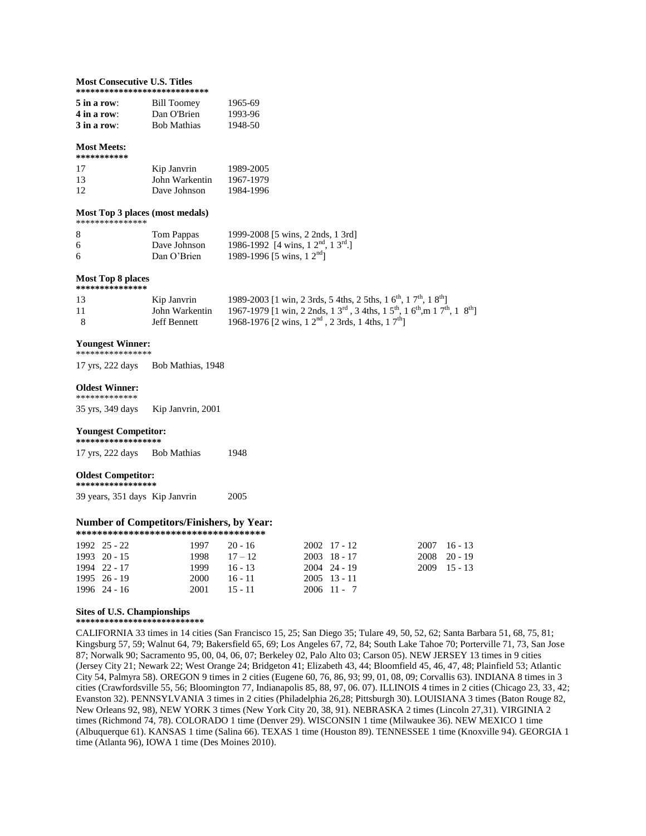#### **Most Consecutive U.S. Titles \*\*\*\*\*\*\*\*\*\*\*\*\*\*\*\*\*\*\*\*\*\*\*\*\*\*\*\***

| $5$ in a row: | <b>Bill Toomey</b> | 1965-69 |  |  |  |  |  |  |  |
|---------------|--------------------|---------|--|--|--|--|--|--|--|
| 4 in a row:   | Dan O'Brien        | 1993-96 |  |  |  |  |  |  |  |
| $3$ in a row: | <b>Bob Mathias</b> | 1948-50 |  |  |  |  |  |  |  |

#### **Most Meets:**

| *********** |                |           |
|-------------|----------------|-----------|
| 17          | Kip Janvrin    | 1989-2005 |
| 13          | John Warkentin | 1967-1979 |
| 12          | Dave Johnson   | 1984-1996 |

#### **Most Top 3 places (most medals)** \*\*\*\*\*\*\*\*\*\*\*\*\*\*

| 8 | Tom Pappas     | 1999-2008 [5 wins, 2 2nds, 1 3rd]       |
|---|----------------|-----------------------------------------|
| 6 | Dave Johnson   | 1986-1992 [4 wins, $1 2nd$ , $1 3rd$ .] |
| 6 | Dan $O'$ Brien | 1989-1996 [5 wins, $12nd$ ]             |

#### **Most Top 8 places \*\*\*\*\*\*\*\*\*\*\*\*\*\*\***

| 13  | Kip Janvrin    | 1989-2003 [1 win, 2 3rds, 5 4ths, 2 5ths, 1 6 <sup>th</sup> , 1 7 <sup>th</sup> , 1 8 <sup>th</sup> ]                                   |
|-----|----------------|-----------------------------------------------------------------------------------------------------------------------------------------|
| 11  | John Warkentin | 1967-1979 [1 win, 2 2nds, 1 3 <sup>rd</sup> , 3 4ths, 1 5 <sup>th</sup> , 1 6 <sup>th</sup> , m 1 7 <sup>th</sup> , 1 8 <sup>th</sup> ] |
| - 8 | Jeff Bennett   | 1968-1976 [2 wins, $12^{\text{nd}}$ , $23\text{rds}$ , $14\text{ths}$ , $17^{\text{th}}$ ]                                              |

#### **Youngest Winner:**

\*\*\*\*\*\*\*\*\*\*\*\*\*\*\*\*

17 yrs, 222 days Bob Mathias, 1948

#### **Oldest Winner:**  \*\*\*\*\*\*\*\*\*\*\*\*\*

35 yrs, 349 daysKip Janvrin, 2001

#### **Youngest Competitor:**

**\*\*\*\*\*\*\*\*\*\*\*\*\*\*\*\*\*\*** 17 yrs, 222 days Bob Mathias 1948

#### **Oldest Competitor:**

**\*\*\*\*\*\*\*\*\*\*\*\*\*\*\*\*\*** 39 years, 351 days Kip Janvrin 2005

#### **Number of Competitors/Finishers, by Year: \*\*\*\*\*\*\*\*\*\*\*\*\*\*\*\*\*\*\*\*\*\*\*\*\*\*\*\*\*\*\*\*\*\*\*\***

| 1992 25 - 22<br>$1993 \quad 20 - 15$ | $1997$ 20 - 16<br>$1998$ $17-12$ |           | $2002 \quad 17 - 12$<br>$2003$ 18 - 17 | $2007 \quad 16 - 13$<br>$2008$ 20 - 19 |
|--------------------------------------|----------------------------------|-----------|----------------------------------------|----------------------------------------|
| 1994 22 - 17                         | $1999 - 16 - 13$                 |           | $2004$ 24 - 19                         | $2009$ 15 - 13                         |
| $1995 \quad 26 - 19$<br>1996 24 - 16 | 2000<br>$2001 \qquad 15 - 11$    | $16 - 11$ | $2005$ 13 - 11<br>$2006$ 11 - 7        |                                        |

#### **Sites of U.S. Championships**

**\*\*\*\*\*\*\*\*\*\*\*\*\*\*\*\*\*\*\*\*\*\*\*\*\*\*\*** 

CALIFORNIA 33 times in 14 cities (San Francisco 15, 25; San Diego 35; Tulare 49, 50, 52, 62; Santa Barbara 51, 68, 75, 81; Kingsburg 57, 59; Walnut 64, 79; Bakersfield 65, 69; Los Angeles 67, 72, 84; South Lake Tahoe 70; Porterville 71, 73, San Jose 87; Norwalk 90; Sacramento 95, 00, 04, 06, 07; Berkeley 02, Palo Alto 03; Carson 05). NEW JERSEY 13 times in 9 cities (Jersey City 21; Newark 22; West Orange 24; Bridgeton 41; Elizabeth 43, 44; Bloomfield 45, 46, 47, 48; Plainfield 53; Atlantic City 54, Palmyra 58). OREGON 9 times in 2 cities (Eugene 60, 76, 86, 93; 99, 01, 08, 09; Corvallis 63). INDIANA 8 times in 3 cities (Crawfordsville 55, 56; Bloomington 77, Indianapolis 85, 88, 97, 06. 07). ILLINOIS 4 times in 2 cities (Chicago 23, 33, 42; Evanston 32). PENNSYLVANIA 3 times in 2 cities (Philadelphia 26,28; Pittsburgh 30). LOUISIANA 3 times (Baton Rouge 82, New Orleans 92, 98), NEW YORK 3 times (New York City 20, 38, 91). NEBRASKA 2 times (Lincoln 27,31). VIRGINIA 2 times (Richmond 74, 78). COLORADO 1 time (Denver 29). WISCONSIN 1 time (Milwaukee 36). NEW MEXICO 1 time (Albuquerque 61). KANSAS 1 time (Salina 66). TEXAS 1 time (Houston 89). TENNESSEE 1 time (Knoxville 94). GEORGIA 1 time (Atlanta 96), IOWA 1 time (Des Moines 2010).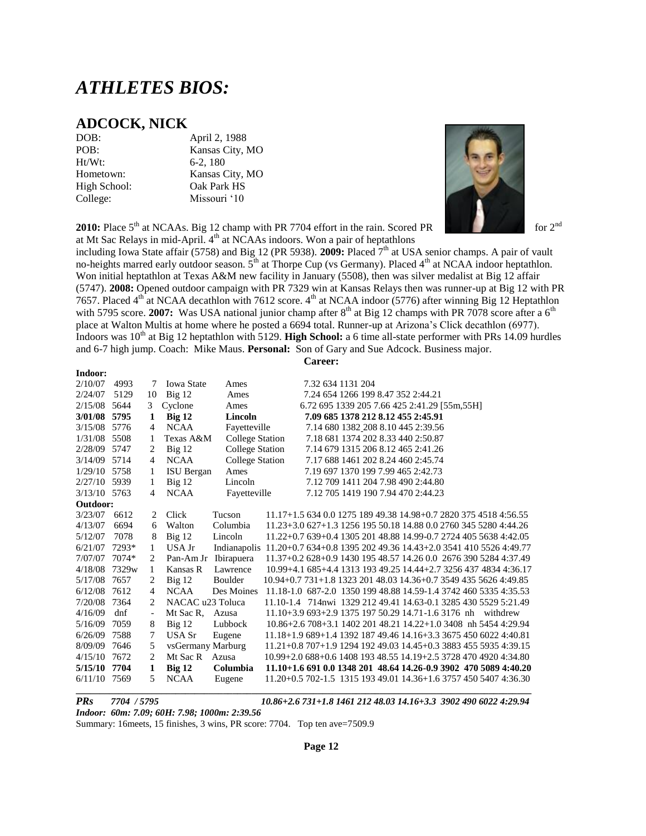## *ATHLETES BIOS:*

### **ADCOCK, NICK**

Ht/Wt: 6-2, 180

DOB: April 2, 1988 POB: Kansas City, MO Hometown: Kansas City, MO High School: Oak Park HS College: Missouri '10

**2010:** Place 5<sup>th</sup> at NCAAs. Big 12 champ with PR 7704 effort in the rain. Scored PR for 2<sup>nd</sup> for 2<sup>nd</sup> at Mt Sac Relays in mid-April. 4th at NCAAs indoors. Won a pair of heptathlons



including Iowa State affair (5758) and Big 12 (PR 5938). **2009:** Placed 7th at USA senior champs. A pair of vault no-heights marred early outdoor season.  $5<sup>th</sup>$  at Thorpe Cup (vs Germany). Placed 4<sup>th</sup> at NCAA indoor heptathlon. Won initial heptathlon at Texas A&M new facility in January (5508), then was silver medalist at Big 12 affair (5747). **2008:** Opened outdoor campaign with PR 7329 win at Kansas Relays then was runner-up at Big 12 with PR 7657. Placed  $4<sup>th</sup>$  at NCAA decathlon with 7612 score.  $4<sup>th</sup>$  at NCAA indoor (5776) after winning Big 12 Heptathlon with 5795 score. **2007:** Was USA national junior champ after  $8<sup>th</sup>$  at Big 12 champs with PR 7078 score after a  $6<sup>th</sup>$ place at Walton Multis at home where he posted a 6694 total. Runner-up at Arizona's Click decathlon (6977). Indoors was 10th at Big 12 heptathlon with 5129. **High School:** a 6 time all-state performer with PRs 14.09 hurdles and 6-7 high jump. Coach: Mike Maus. **Personal:** Son of Gary and Sue Adcock. Business major. **Career:**

| Indoor:      |       |                          |                      |                                                                               |                                                                  |                   |  |                                              |  |          |  |
|--------------|-------|--------------------------|----------------------|-------------------------------------------------------------------------------|------------------------------------------------------------------|-------------------|--|----------------------------------------------|--|----------|--|
| 2/10/07      | 4993  | 7                        | <b>Iowa State</b>    | Ames                                                                          |                                                                  | 7.32 634 1131 204 |  |                                              |  |          |  |
| 2/24/07      | 5129  | 10                       | $Big$ 12             | Ames                                                                          |                                                                  |                   |  | 7.24 654 1266 199 8.47 352 2:44.21           |  |          |  |
| 2/15/08      | 5644  | 3                        | Cyclone              | Ames                                                                          |                                                                  |                   |  | 6.72 695 1339 205 7.66 425 2:41.29 [55m,55H] |  |          |  |
| 3/01/08 5795 |       | 1                        | Big <sub>12</sub>    | Lincoln                                                                       |                                                                  |                   |  | 7.09 685 1378 212 8.12 455 2:45.91           |  |          |  |
| 3/15/08      | 5776  | 4                        | <b>NCAA</b>          | Fayetteville                                                                  |                                                                  |                   |  | 7.14 680 1382 208 8.10 445 2:39.56           |  |          |  |
| 1/31/08      | 5508  |                          | Texas A&M            | <b>College Station</b>                                                        |                                                                  |                   |  | 7.18 681 1374 202 8.33 440 2:50.87           |  |          |  |
| 2/28/09      | 5747  | 2                        | Big 12               | <b>College Station</b>                                                        |                                                                  |                   |  | 7.14 679 1315 206 8.12 465 2:41.26           |  |          |  |
| 3/14/09      | 5714  | 4                        | <b>NCAA</b>          | <b>College Station</b>                                                        |                                                                  |                   |  | 7.17 688 1461 202 8.24 460 2:45.74           |  |          |  |
| 1/29/10      | 5758  | 1                        | ISU Bergan           | Ames                                                                          |                                                                  |                   |  | 7.19 697 1370 199 7.99 465 2:42.73           |  |          |  |
| 2/27/10      | 5939  | 1                        | Big 12               | Lincoln                                                                       |                                                                  |                   |  | 7.12 709 1411 204 7.98 490 2:44.80           |  |          |  |
| 3/13/10 5763 |       | 4                        | <b>NCAA</b>          | Fayetteville                                                                  |                                                                  |                   |  | 7.12 705 1419 190 7.94 470 2:44.23           |  |          |  |
| Outdoor:     |       |                          |                      |                                                                               |                                                                  |                   |  |                                              |  |          |  |
| 3/23/07      | 6612  | 2                        | Click                | Tucson                                                                        | $11.17+1.56340.0127518949.3814.98+0.7282037545184.56.55$         |                   |  |                                              |  |          |  |
| 4/13/07      | 6694  | 6                        | Walton               | Columbia                                                                      | 11.23+3.0 627+1.3 1256 195 50.18 14.88 0.0 2760 345 5280 4:44.26 |                   |  |                                              |  |          |  |
| 5/12/07      | 7078  | 8                        | $Big$ 12             | Lincoln                                                                       | 11.22+0.7 639+0.4 1305 201 48.88 14.99-0.7 2724 405 5638 4:42.05 |                   |  |                                              |  |          |  |
| 6/21/07      | 7293* | 1                        | USA Jr               | Indianapolis 11.20+0.7 634+0.8 1395 202 49.36 14.43+2.0 3541 410 5526 4:49.77 |                                                                  |                   |  |                                              |  |          |  |
| 7/07/07      | 7074* | 2                        | Pan-Am Jr Ibirapuera |                                                                               | 11.37+0.2 628+0.9 1430 195 48.57 14.26 0.0 2676 390 5284 4:37.49 |                   |  |                                              |  |          |  |
| 4/18/08      | 7329w | 1                        | Kansas R             | Lawrence                                                                      | 10.99+4.1 685+4.4 1313 193 49.25 14.44+2.7 3256 437 4834 4:36.17 |                   |  |                                              |  |          |  |
| 5/17/08      | 7657  | 2                        | Big 12               | Boulder                                                                       | 10.94+0.7 731+1.8 1323 201 48.03 14.36+0.7 3549 435 5626 4:49.85 |                   |  |                                              |  |          |  |
| 6/12/08      | 7612  | 4                        | <b>NCAA</b>          | Des Moines                                                                    | 11.18-1.0 687-2.0 1350 199 48.88 14.59-1.4 3742 460 5335 4:35.53 |                   |  |                                              |  |          |  |
| 7/20/08      | 7364  | 2                        | NACAC u23 Toluca     |                                                                               | 11.10-1.4 714nwi 1329 212 49.41 14.63-0.1 3285 430 5529 5:21.49  |                   |  |                                              |  |          |  |
| 4/16/09      | dnf   | $\overline{\phantom{a}}$ | Mt Sac R,            | Azusa                                                                         | 11.10+3.9 693+2.9 1375 197 50.29 14.71-1.6 3176 nh               |                   |  |                                              |  | withdrew |  |
| 5/16/09      | 7059  | 8                        | $Big$ 12             | Lubbock                                                                       | 10.86+2.6 708+3.1 1402 201 48.21 14.22+1.0 3408 nh 5454 4:29.94  |                   |  |                                              |  |          |  |
| 6/26/09      | 7588  | 7                        | USA Sr               | Eugene                                                                        | 11.18+1.9 689+1.4 1392 187 49.46 14.16+3.3 3675 450 6022 4:40.81 |                   |  |                                              |  |          |  |
| 8/09/09      | 7646  | 5                        | vsGermany Marburg    |                                                                               | $11.21+0.8707+1.9129419249.0314.45+0.3388345559354:39.15$        |                   |  |                                              |  |          |  |
| 4/15/10      | 7672  | 2                        | Mt Sac R             | Azusa                                                                         | 10.99+2.0 688+0.6 1408 193 48.55 14.19+2.5 3728 470 4920 4:34.80 |                   |  |                                              |  |          |  |
| 5/15/10      | 7704  | 1                        | Big 12               | Columbia                                                                      | 11.10+1.6 691 0.0 1348 201 48.64 14.26-0.9 3902 470 5089 4:40.20 |                   |  |                                              |  |          |  |
| 6/11/10 7569 |       | 5                        | <b>NCAA</b>          | Eugene                                                                        | 11.20+0.5 702-1.5 1315 193 49.01 14.36+1.6 3757 450 5407 4:36.30 |                   |  |                                              |  |          |  |

*Indoor: 60m: 7.09; 60H: 7.98; 1000m: 2:39.56*

Summary: 16meets, 15 finishes, 3 wins, PR score: 7704. Top ten ave=7509.9

*PRs 7704 / 5795 10.86+2.6 731+1.8 1461 212 48.03 14.16+3.3 3902 490 6022 4:29.94*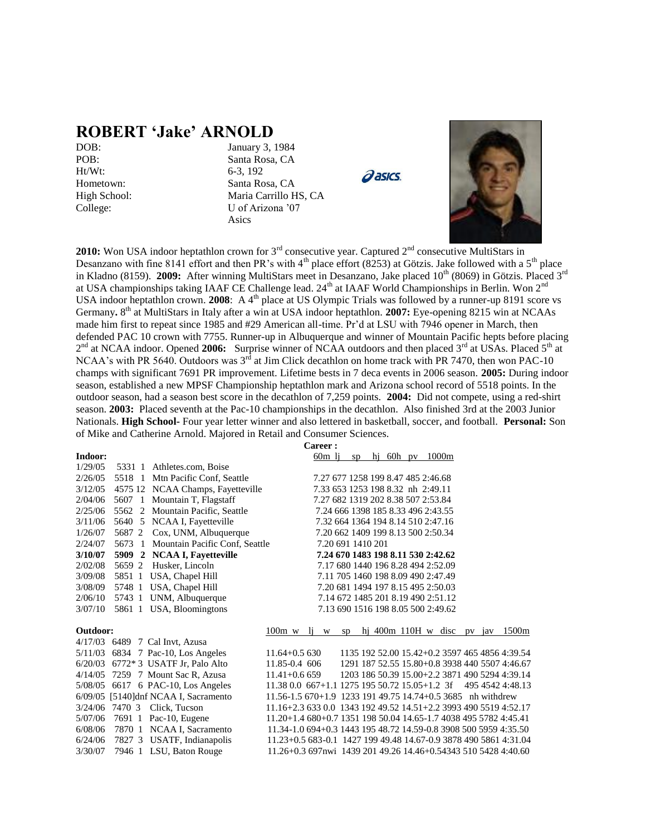### **ROBERT 'Jake' ARNOLD**

Ht/Wt: 6-3, 192

DOB: January 3, 1984 POB: Santa Rosa, CA Hometown: Santa Rosa, CA High School: Maria Carrillo HS, CA College: U of Arizona '07 Asics





2010: Won USA indoor heptathlon crown for 3<sup>rd</sup> consecutive year. Captured 2<sup>nd</sup> consecutive MultiStars in Desanzano with fine 8141 effort and then PR's with  $4<sup>th</sup>$  place effort (8253) at Götzis. Jake followed with a 5<sup>th</sup> place in Kladno (8159). **2009:** After winning MultiStars meet in Desanzano, Jake placed 10<sup>th</sup> (8069) in Götzis. Placed 3<sup>rd</sup> at USA championships taking IAAF CE Challenge lead. 24<sup>th</sup> at IAAF World Championships in Berlin. Won 2<sup>nd</sup> USA indoor heptathlon crown. **2008**: A 4<sup>th</sup> place at US Olympic Trials was followed by a runner-up 8191 score vs Germany. 8<sup>th</sup> at MultiStars in Italy after a win at USA indoor heptathlon. **2007:** Eye-opening 8215 win at NCAAs made him first to repeat since 1985 and #29 American all-time. Pr'd at LSU with 7946 opener in March, then defended PAC 10 crown with 7755. Runner-up in Albuquerque and winner of Mountain Pacific hepts before placing 2<sup>nd</sup> at NCAA indoor. Opened 2006: Surprise winner of NCAA outdoors and then placed 3<sup>rd</sup> at USAs. Placed 5<sup>th</sup> at NCAA's with PR 5640. Outdoors was  $3<sup>rd</sup>$  at Jim Click decathlon on home track with PR 7470, then won PAC-10 champs with significant 7691 PR improvement. Lifetime bests in 7 deca events in 2006 season. **2005:** During indoor season, established a new MPSF Championship heptathlon mark and Arizona school record of 5518 points. In the outdoor season, had a season best score in the decathlon of 7,259 points. **2004:** Did not compete, using a red-shirt season. **2003:** Placed seventh at the Pac-10 championships in the decathlon. Also finished 3rd at the 2003 Junior Nationals. **High School-** Four year letter winner and also lettered in basketball, soccer, and football. **Personal:** Son of Mike and Catherine Arnold. Majored in Retail and Consumer Sciences.

**Career :**

|        | 5331 1 Athletes.com, Boise        |                                                                                                                                                                                                                                                                                                                                                   | 60 <sub>m</sub> li                 |                                                                         | SD                |    | hi 60h py $1000m$                  |  |                                                                                              |                                                                                                                                                                                                                                                                                                                                                                                                                                                                                                                                                |
|--------|-----------------------------------|---------------------------------------------------------------------------------------------------------------------------------------------------------------------------------------------------------------------------------------------------------------------------------------------------------------------------------------------------|------------------------------------|-------------------------------------------------------------------------|-------------------|----|------------------------------------|--|----------------------------------------------------------------------------------------------|------------------------------------------------------------------------------------------------------------------------------------------------------------------------------------------------------------------------------------------------------------------------------------------------------------------------------------------------------------------------------------------------------------------------------------------------------------------------------------------------------------------------------------------------|
|        |                                   |                                                                                                                                                                                                                                                                                                                                                   |                                    |                                                                         |                   |    |                                    |  |                                                                                              |                                                                                                                                                                                                                                                                                                                                                                                                                                                                                                                                                |
|        |                                   |                                                                                                                                                                                                                                                                                                                                                   |                                    |                                                                         |                   |    |                                    |  |                                                                                              |                                                                                                                                                                                                                                                                                                                                                                                                                                                                                                                                                |
|        | 5518 1 Mtn Pacific Conf, Seattle  |                                                                                                                                                                                                                                                                                                                                                   | 7.27 677 1258 199 8.47 485 2:46.68 |                                                                         |                   |    |                                    |  |                                                                                              |                                                                                                                                                                                                                                                                                                                                                                                                                                                                                                                                                |
|        | 4575 12 NCAA Champs, Fayetteville |                                                                                                                                                                                                                                                                                                                                                   | 7.33 653 1253 198 8.32 nh 2:49.11  |                                                                         |                   |    |                                    |  |                                                                                              |                                                                                                                                                                                                                                                                                                                                                                                                                                                                                                                                                |
|        | 5607 1 Mountain T, Flagstaff      |                                                                                                                                                                                                                                                                                                                                                   | 7.27 682 1319 202 8.38 507 2:53.84 |                                                                         |                   |    |                                    |  |                                                                                              |                                                                                                                                                                                                                                                                                                                                                                                                                                                                                                                                                |
|        | 5562 2 Mountain Pacific, Seattle  |                                                                                                                                                                                                                                                                                                                                                   |                                    |                                                                         |                   |    | 7.24 666 1398 185 8.33 496 2:43.55 |  |                                                                                              |                                                                                                                                                                                                                                                                                                                                                                                                                                                                                                                                                |
|        | 5640 5 NCAA I, Fayetteville       |                                                                                                                                                                                                                                                                                                                                                   |                                    |                                                                         |                   |    | 7.32 664 1364 194 8.14 510 2:47.16 |  |                                                                                              |                                                                                                                                                                                                                                                                                                                                                                                                                                                                                                                                                |
| 5687 2 | Cox, UNM, Albuquerque             |                                                                                                                                                                                                                                                                                                                                                   |                                    |                                                                         |                   |    | 7.20 662 1409 199 8.13 500 2:50.34 |  |                                                                                              |                                                                                                                                                                                                                                                                                                                                                                                                                                                                                                                                                |
| 5673 1 | Mountain Pacific Conf, Seattle    |                                                                                                                                                                                                                                                                                                                                                   |                                    |                                                                         | 7.20 691 1410 201 |    |                                    |  |                                                                                              |                                                                                                                                                                                                                                                                                                                                                                                                                                                                                                                                                |
|        | 5909 2 NCAA I, Fayetteville       |                                                                                                                                                                                                                                                                                                                                                   |                                    |                                                                         |                   |    | 7.24 670 1483 198 8.11 530 2:42.62 |  |                                                                                              |                                                                                                                                                                                                                                                                                                                                                                                                                                                                                                                                                |
| 5659 2 | Husker, Lincoln                   |                                                                                                                                                                                                                                                                                                                                                   |                                    |                                                                         |                   |    | 7.17 680 1440 196 8.28 494 2:52.09 |  |                                                                                              |                                                                                                                                                                                                                                                                                                                                                                                                                                                                                                                                                |
|        | 5851 1 USA, Chapel Hill           |                                                                                                                                                                                                                                                                                                                                                   |                                    |                                                                         |                   |    | 7.11 705 1460 198 8.09 490 2:47.49 |  |                                                                                              |                                                                                                                                                                                                                                                                                                                                                                                                                                                                                                                                                |
|        | 5748 1 USA, Chapel Hill           |                                                                                                                                                                                                                                                                                                                                                   |                                    |                                                                         |                   |    | 7.20 681 1494 197 8.15 495 2:50.03 |  |                                                                                              |                                                                                                                                                                                                                                                                                                                                                                                                                                                                                                                                                |
|        | 5743 1 UNM, Albuquerque           |                                                                                                                                                                                                                                                                                                                                                   |                                    |                                                                         |                   |    | 7.14 672 1485 201 8.19 490 2:51.12 |  |                                                                                              |                                                                                                                                                                                                                                                                                                                                                                                                                                                                                                                                                |
|        | 5861 1 USA, Bloomingtons          |                                                                                                                                                                                                                                                                                                                                                   |                                    |                                                                         |                   |    |                                    |  |                                                                                              |                                                                                                                                                                                                                                                                                                                                                                                                                                                                                                                                                |
|        |                                   |                                                                                                                                                                                                                                                                                                                                                   |                                    |                                                                         |                   |    |                                    |  |                                                                                              |                                                                                                                                                                                                                                                                                                                                                                                                                                                                                                                                                |
|        |                                   |                                                                                                                                                                                                                                                                                                                                                   |                                    |                                                                         |                   |    |                                    |  |                                                                                              | 1500m                                                                                                                                                                                                                                                                                                                                                                                                                                                                                                                                          |
|        |                                   |                                                                                                                                                                                                                                                                                                                                                   |                                    |                                                                         |                   |    |                                    |  |                                                                                              |                                                                                                                                                                                                                                                                                                                                                                                                                                                                                                                                                |
|        |                                   |                                                                                                                                                                                                                                                                                                                                                   |                                    |                                                                         |                   |    |                                    |  |                                                                                              |                                                                                                                                                                                                                                                                                                                                                                                                                                                                                                                                                |
|        |                                   |                                                                                                                                                                                                                                                                                                                                                   |                                    |                                                                         |                   |    |                                    |  |                                                                                              |                                                                                                                                                                                                                                                                                                                                                                                                                                                                                                                                                |
|        |                                   |                                                                                                                                                                                                                                                                                                                                                   |                                    |                                                                         |                   |    |                                    |  |                                                                                              |                                                                                                                                                                                                                                                                                                                                                                                                                                                                                                                                                |
|        |                                   |                                                                                                                                                                                                                                                                                                                                                   |                                    |                                                                         |                   |    |                                    |  |                                                                                              |                                                                                                                                                                                                                                                                                                                                                                                                                                                                                                                                                |
|        |                                   |                                                                                                                                                                                                                                                                                                                                                   |                                    |                                                                         |                   |    |                                    |  |                                                                                              |                                                                                                                                                                                                                                                                                                                                                                                                                                                                                                                                                |
|        |                                   |                                                                                                                                                                                                                                                                                                                                                   |                                    |                                                                         |                   |    |                                    |  |                                                                                              |                                                                                                                                                                                                                                                                                                                                                                                                                                                                                                                                                |
|        |                                   |                                                                                                                                                                                                                                                                                                                                                   |                                    |                                                                         |                   |    |                                    |  |                                                                                              |                                                                                                                                                                                                                                                                                                                                                                                                                                                                                                                                                |
|        |                                   |                                                                                                                                                                                                                                                                                                                                                   |                                    |                                                                         |                   |    |                                    |  |                                                                                              |                                                                                                                                                                                                                                                                                                                                                                                                                                                                                                                                                |
|        |                                   |                                                                                                                                                                                                                                                                                                                                                   |                                    |                                                                         |                   |    |                                    |  |                                                                                              |                                                                                                                                                                                                                                                                                                                                                                                                                                                                                                                                                |
|        |                                   |                                                                                                                                                                                                                                                                                                                                                   |                                    |                                                                         |                   |    |                                    |  |                                                                                              |                                                                                                                                                                                                                                                                                                                                                                                                                                                                                                                                                |
|        |                                   | 4/17/03 6489 7 Cal Invt, Azusa<br>5/11/03 6834 7 Pac-10, Los Angeles<br>6/20/03 6772*3 USATF Jr, Palo Alto<br>4/14/05 7259 7 Mount Sac R, Azusa<br>5/08/05 6617 6 PAC-10, Los Angeles<br>6/09/05 [5140]dnf NCAA I, Sacramento<br>3/24/06 7470 3 Click, Tucson<br>7691 1 Pac-10, Eugene<br>7870 1 NCAA I, Sacramento<br>7827 3 USATF, Indianapolis |                                    | $100m \le l_1$<br>$11.64 + 0.5630$<br>11.85-0.4 606<br>$11.41 + 0.6659$ | W                 | SD |                                    |  | 7.13 690 1516 198 8.05 500 2:49.62<br>$11.38\,0.0\,667+1.1\,1275\,195\,50.72\,15.05+1.2\,3f$ | hj 400m 110H w disc pv jav<br>1135 192 52.00 15.42+0.2 3597 465 4856 4:39.54<br>1291 187 52.55 15.80+0.8 3938 440 5507 4:46.67<br>1203 186 50.39 15.00+2.2 3871 490 5294 4:39.14<br>495 4542 4:48.13<br>$11.56 - 1.5670 + 1.9123319149.7514.74 + 0.53685$ nh withdrew<br>11.16+2.3 633 0.0 1343 192 49.52 14.51+2.2 3993 490 5519 4:52.17<br>$11.20+1.4680+0.7135119850.0414.65-1.7403849557824:45.41$<br>11.34-1.0 694+0.3 1443 195 48.72 14.59-0.8 3908 500 5959 4:35.50<br>11.23+0.5 683-0.1 1427 199 49.48 14.67-0.9 3878 490 5861 4:31.04 |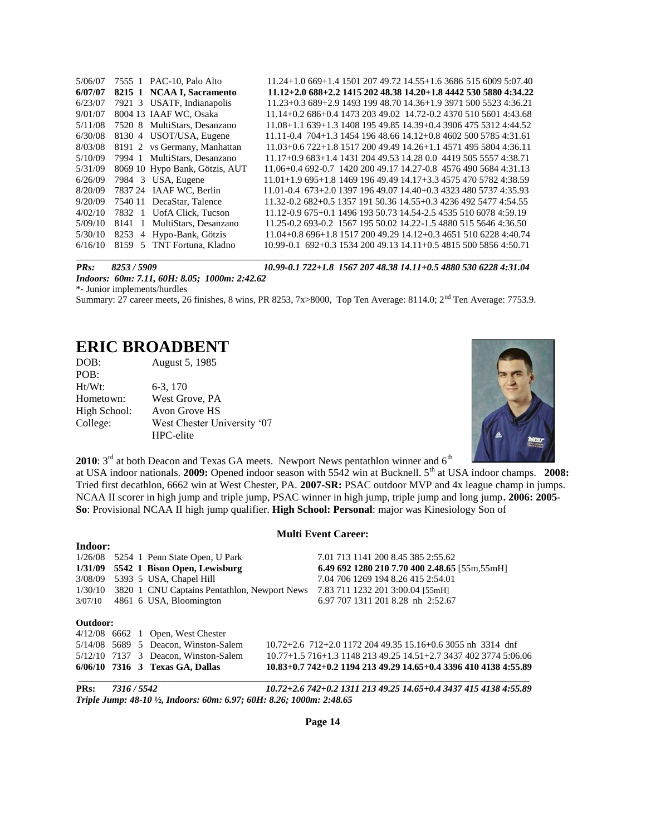| 5/06/07 |        | 7555 1 PAC-10, Palo Alto       | 11.24+1.0 669+1.4 1501 207 49.72 14.55+1.6 3686 515 6009 5:07.40     |
|---------|--------|--------------------------------|----------------------------------------------------------------------|
| 6/07/07 |        | 8215 1 NCAA I, Sacramento      | 11.12+2.0 688+2.2 1415 202 48.38 14.20+1.8 4442 530 5880 4:34.22     |
| 6/23/07 |        | 7921 3 USATF, Indianapolis     | $11.23+0.3689+2.9149319948.7014.36+1.9397150055234:36.21$            |
| 9/01/07 |        | 8004 13 IAAF WC, Osaka         | 11.14+0.2 686+0.4 1473 203 49.02 14.72-0.2 4370 510 5601 4:43.68     |
| 5/11/08 |        | 7520 8 MultiStars, Desanzano   | 11.08+1.1 639+1.3 1408 195 49.85 14.39+0.4 3906 475 5312 4:44.52     |
| 6/30/08 |        | 8130 4 USOT/USA, Eugene        | $11.11 - 0.4$ 704+1.3 1454 196 48.66 14.12+0.8 4602 500 5785 4:31.61 |
| 8/03/08 |        | 8191 2 vs Germany, Manhattan   | $11.03+0.6722+1.8151720049.4914.26+1.1457149558044:36.11$            |
| 5/10/09 |        | 7994 1 MultiStars, Desanzano   | 11.17+0.9 683+1.4 1431 204 49.53 14.28 0.0 4419 505 5557 4:38.71     |
| 5/31/09 |        | 8069 10 Hypo Bank, Götzis, AUT | 11.06+0.4 692-0.7 1420 200 49.17 14.27-0.8 4576 490 5684 4:31.13     |
| 6/26/09 |        | 7984 3 USA, Eugene             | $11.01+1.9695+1.8146919649.4914.17+3.3457547057824.38.59$            |
| 8/20/09 |        | 7837 24 IAAF WC, Berlin        | 11.01-0.4 673+2.0 1397 196 49.07 14.40+0.3 4323 480 5737 4:35.93     |
| 9/20/09 |        | 7540 11 DecaStar, Talence      | 11.32-0.2 682+0.5 1357 191 50.36 14.55+0.3 4236 492 5477 4:54.55     |
| 4/02/10 |        | 7832 1 UofA Click, Tucson      | 11.12-0.9 675+0.1 1496 193 50.73 14.54-2.5 4535 510 6078 4:59.19     |
| 5/09/10 | 8141 1 | MultiStars, Desanzano          | 11.25-0.2 693-0.2 1567 195 50.02 14.22-1.5 4880 515 5646 4:36.50     |
| 5/30/10 |        | 8253 4 Hypo-Bank, Götzis       | 11.04+0.8 696+1.8 1517 200 49.29 14.12+0.3 4651 510 6228 4:40.74     |
| 6/16/10 |        | 8159 5 TNT Fortuna, Kladno     | 10.99-0.1 692+0.3 1534 200 49.13 14.11+0.5 4815 500 5856 4:50.71     |
|         |        |                                |                                                                      |

**Indoor:**

*PRs: 8253 / 5909 10.99-0.1 722+1.8 1567 207 48.38 14.11+0.5 4880 530 6228 4:31.04*

*Indoors: 60m: 7.11, 60H: 8.05; 1000m: 2:42.62*

\*- Junior implements/hurdles

Summary: 27 career meets, 26 finishes, 8 wins, PR 8253, 7x>8000, Top Ten Average: 8114.0; 2<sup>nd</sup> Ten Average: 7753.9.

### **ERIC BROADBENT**

| DOB:         | August 5, 1985              |
|--------------|-----------------------------|
| POB:         |                             |
| $Ht/Wt$ :    | $6-3, 170$                  |
| Hometown:    | West Grove, PA              |
| High School: | Avon Grove HS               |
| College:     | West Chester University '07 |
|              | HPC-elite                   |



**2010**: 3<sup>rd</sup> at both Deacon and Texas GA meets. Newport News pentathlon winner and 6<sup>th</sup>

at USA indoor nationals. **2009:** Opened indoor season with 5542 win at Bucknell. 5<sup>th</sup> at USA indoor champs. **2008:** Tried first decathlon, 6662 win at West Chester, PA. **2007-SR:** PSAC outdoor MVP and 4x league champ in jumps. NCAA II scorer in high jump and triple jump, PSAC winner in high jump, triple jump and long jump**. 2006: 2005- So**: Provisional NCAA II high jump qualifier. **High School: Personal**: major was Kinesiology Son of

#### **Multi Event Career:**

|          |  | $6/06/10$ 7316 3 Texas GA, Dallas                    |                                                                 |                                               |  |  |  | 10.83+0.7 742+0.2 1194 213 49.29 14.65+0.4 3396 410 4138 4:55.89   |
|----------|--|------------------------------------------------------|-----------------------------------------------------------------|-----------------------------------------------|--|--|--|--------------------------------------------------------------------|
|          |  | $5/12/10$ 7137 3 Deacon, Winston-Salem               |                                                                 |                                               |  |  |  | $10.77+1.5$ 716+1.3 1148 213 49.25 14.51+2.7 3437 402 3774 5:06.06 |
|          |  | $5/14/08$ 5689 5 Deacon, Winston-Salem               | $10.72 + 2.6$ 712+2.0 1172 204 49.35 15.16+0.6 3055 nh 3314 dnf |                                               |  |  |  |                                                                    |
|          |  | $4/12/08$ 6662 1 Open, West Chester                  |                                                                 |                                               |  |  |  |                                                                    |
| Outdoor: |  |                                                      |                                                                 |                                               |  |  |  |                                                                    |
| 3/07/10  |  | 4861 6 USA, Bloomington                              |                                                                 | 6.97 707 1311 201 8.28 nh 2:52.67             |  |  |  |                                                                    |
|          |  | 1/30/10 3820 1 CNU Captains Pentathlon, Newport News |                                                                 | 7.83 711 1232 201 3:00.04 [55mH]              |  |  |  |                                                                    |
|          |  | 3/08/09 5393 5 USA, Chapel Hill                      |                                                                 | 7.04 706 1269 194 8.26 415 2:54.01            |  |  |  |                                                                    |
|          |  | $1/31/09$ 5542 1 Bison Open, Lewisburg               |                                                                 | 6.49 692 1280 210 7.70 400 2.48.65 [55m,55mH] |  |  |  |                                                                    |
|          |  | $1/26/08$ 5254 1 Penn State Open, U Park             |                                                                 | 7.01 713 1141 200 8.45 385 2:55.62            |  |  |  |                                                                    |
|          |  |                                                      |                                                                 |                                               |  |  |  |                                                                    |

**PRs:** *7316 / 5542 10.72+2.6 742+0.2 1311 213 49.25 14.65+0.4 3437 415 4138 4:55.89 Triple Jump: 48-10 ½, Indoors: 60m: 6.97; 60H: 8.26; 1000m: 2:48.65*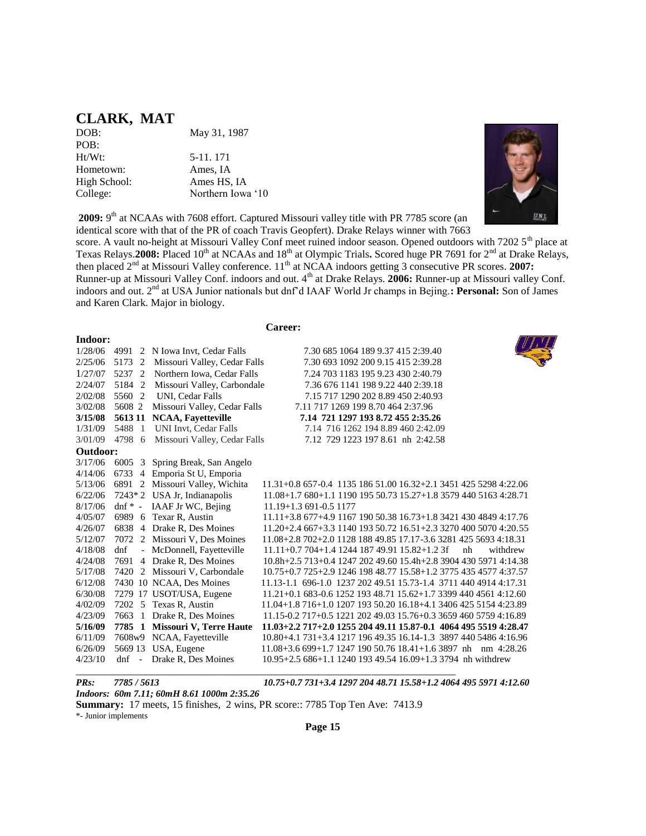### **CLARK, MAT**

**Indoor:**

DOB: May 31, 1987 POB:<br>Ht/Wt: Hometown: Ames, IA High School: Ames HS, IA College: Northern Iowa '10

5-11. 171

UNI

2009: 9<sup>th</sup> at NCAAs with 7608 effort. Captured Missouri valley title with PR 7785 score (an identical score with that of the PR of coach Travis Geopfert). Drake Relays winner with 7663

score. A vault no-height at Missouri Valley Conf meet ruined indoor season. Opened outdoors with 7202 5<sup>th</sup> place at Texas Relays. 2008: Placed 10<sup>th</sup> at NCAAs and 18<sup>th</sup> at Olympic Trials. Scored huge PR 7691 for 2<sup>nd</sup> at Drake Relays, then placed 2<sup>nd</sup> at Missouri Valley conference. 11<sup>th</sup> at NCAA indoors getting 3 consecutive PR scores. 2007: Runner-up at Missouri Valley Conf. indoors and out. 4<sup>th</sup> at Drake Relays. **2006:** Runner-up at Missouri valley Conf. indoors and out. 2nd at USA Junior nationals but dnf'd IAAF World Jr champs in Bejing.**: Personal:** Son of James and Karen Clark. Major in biology.

| areer |
|-------|
|-------|

| mdoor:   |        |                                             |                                                                  |
|----------|--------|---------------------------------------------|------------------------------------------------------------------|
|          |        | 1/28/06 4991 2 N Iowa Invt, Cedar Falls     | 7.30 685 1064 189 9.37 415 2:39.40                               |
|          |        | 2/25/06 5173 2 Missouri Valley, Cedar Falls | 7.30 693 1092 200 9.15 415 2:39.28                               |
| 1/27/07  | 5237 2 | Northern Iowa, Cedar Falls                  | 7.24 703 1183 195 9.23 430 2:40.79                               |
| 2/24/07  | 5184 2 | Missouri Valley, Carbondale                 | 7.36 676 1141 198 9.22 440 2:39.18                               |
| 2/02/08  | 5560 2 | UNI, Cedar Falls                            | 7.15 717 1290 202 8.89 450 2:40.93                               |
| 3/02/08  | 5608 2 | Missouri Valley, Cedar Falls                | 7.11 717 1269 199 8.70 464 2:37.96                               |
| 3/15/08  |        | 5613 11 NCAA, Fayetteville                  | 7.14 721 1297 193 8.72 455 2:35.26                               |
| 1/31/09  |        | 5488 1 UNI Invt, Cedar Falls                | 7.14 716 1262 194 8.89 460 2:42.09                               |
|          |        | 3/01/09 4798 6 Missouri Valley, Cedar Falls | 7.12 729 1223 197 8.61 nh 2:42.58                                |
| Outdoor: |        |                                             |                                                                  |
|          |        | 3/17/06 6005 3 Spring Break, San Angelo     |                                                                  |
| 4/14/06  |        | 6733 4 Emporia St U, Emporia                |                                                                  |
|          |        | 5/13/06 6891 2 Missouri Valley, Wichita     | 11.31+0.8 657-0.4 1135 186 51.00 16.32+2.1 3451 425 5298 4:22.06 |
|          |        | $6/22/06$ 7243*2 USA Jr, Indianapolis       | 11.08+1.7 680+1.1 1190 195 50.73 15.27+1.8 3579 440 5163 4:28.71 |
| 8/17/06  |        | dnf $*$ - IAAF Jr WC, Bejing                | $11.19 + 1.3691 - 0.51177$                                       |
| 4/05/07  |        | 6989 6 Texar R, Austin                      | 11.11+3.8 677+4.9 1167 190 50.38 16.73+1.8 3421 430 4849 4:17.76 |
| 4/26/07  |        | 6838 4 Drake R, Des Moines                  | 11.20+2.4 667+3.3 1140 193 50.72 16.51+2.3 3270 400 5070 4:20.55 |
| 5/12/07  |        | 7072 2 Missouri V, Des Moines               | 11.08+2.8 702+2.0 1128 188 49.85 17.17-3.6 3281 425 5693 4:18.31 |
| 4/18/08  | dnf    | - McDonnell, Fayetteville                   | $11.11+0.7704+1.4124418749.9115.82+1.23f$<br>withdrew<br>nh      |
| 4/24/08  |        | 7691 4 Drake R, Des Moines                  | 10.8h+2.5 713+0.4 1247 202 49.60 15.4h+2.8 3904 430 5971 4:14.38 |
| 5/17/08  |        | 7420 2 Missouri V, Carbondale               | 10.75+0.7 725+2.9 1246 198 48.77 15.58+1.2 3775 435 4577 4:37.57 |
| 6/12/08  |        | 7430 10 NCAA, Des Moines                    | 11.13-1.1 696-1.0 1237 202 49.51 15.73-1.4 3711 440 4914 4:17.31 |
| 6/30/08  |        | 7279 17 USOT/USA, Eugene                    | 11.21+0.1 683-0.6 1252 193 48.71 15.62+1.7 3399 440 4561 4:12.60 |
| 4/02/09  |        | 7202 5 Texas R, Austin                      | 11.04+1.8 716+1.0 1207 193 50.20 16.18+4.1 3406 425 5154 4:23.89 |
| 4/23/09  |        | 7663 1 Drake R, Des Moines                  | 11.15-0.2 717+0.5 1221 202 49.03 15.76+0.3 3659 460 5759 4:16.89 |
| 5/16/09  |        | 7785 1 Missouri V, Terre Haute              | 11.03+2.2 717+2.0 1255 204 49.11 15.87-0.1 4064 495 5519 4:28.47 |
| 6/11/09  |        | 7608w9 NCAA, Fayetteville                   | 10.80+4.1 731+3.4 1217 196 49.35 16.14-1.3 3897 440 5486 4:16.96 |
| 6/26/09  |        | 5669 13 USA, Eugene                         | $11.08 + 3.669 + 1.7124719050.7618.41 + 1.63897$ nh nm 4:28.26   |
| 4/23/10  |        | dnf - Drake R, Des Moines                   | 10.95+2.5 686+1.1 1240 193 49.54 16.09+1.3 3794 nh withdrew      |

*PRs: 7785 / 5613 10.75+0.7 731+3.4 1297 204 48.71 15.58+1.2 4064 495 5971 4:12.60 Indoors: 60m 7.11; 60mH 8.61 1000m 2:35.26* 

**Summary:** 17 meets, 15 finishes, 2 wins, PR score:: 7785 Top Ten Ave: 7413.9

\_\_\_\_\_\_\_\_\_\_\_\_\_\_\_\_\_\_\_\_\_\_\_\_\_\_\_\_\_\_\_\_\_\_\_\_\_\_\_\_\_\_\_\_\_\_\_\_\_\_\_\_\_\_\_\_\_\_\_\_\_\_\_\_\_\_\_\_\_\_\_\_

\*- Junior implements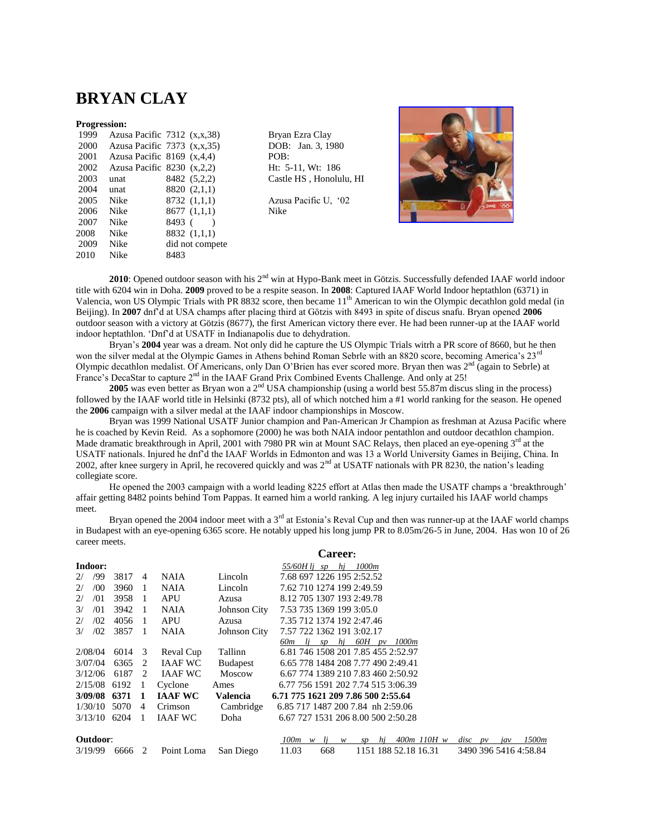### **BRYAN CLAY**

#### **Progression:**

| 1999 |                                | Azusa Pacific $7312$ $(x,x,38)$ | Bryar   |
|------|--------------------------------|---------------------------------|---------|
| 2000 |                                | Azusa Pacific $7373$ $(x,x,35)$ | DOB     |
| 2001 | Azusa Pacific 8169 $(x,4,4)$   |                                 | POB:    |
| 2002 | Azusa Pacific $8230$ $(x,2,2)$ |                                 | Ht: $5$ |
| 2003 | unat                           | 8482 (5,2,2)                    | Castle  |
| 2004 | unat                           | 8820 (2,1,1)                    |         |
| 2005 | Nike                           | 8732(1,1,1)                     | Azusa   |
| 2006 | Nike                           | 8677(1,1,1)                     | Nike    |
| 2007 | Nike                           | 8493 (                          |         |
| 2008 | Nike                           | 8832 (1,1,1)                    |         |
| 2009 | Nike                           | did not compete                 |         |
| 2010 | Nike                           | 8483                            |         |
|      |                                |                                 |         |

Bryan Ezra Clay DOB: Jan. 3, 1980 Ht: 5-11, Wt: 186 Castle HS, Honolulu, HI

Azusa Pacific U, '02



2010: Opened outdoor season with his 2<sup>nd</sup> win at Hypo-Bank meet in Götzis. Successfully defended IAAF world indoor title with 6204 win in Doha. **2009** proved to be a respite season. In **2008**: Captured IAAF World Indoor heptathlon (6371) in Valencia, won US Olympic Trials with PR 8832 score, then became 11th American to win the Olympic decathlon gold medal (in Beijing). In **2007** dnf'd at USA champs after placing third at Götzis with 8493 in spite of discus snafu. Bryan opened **2006**  outdoor season with a victory at Götzis (8677), the first American victory there ever. He had been runner-up at the IAAF world indoor heptathlon. 'Dnf'd at USATF in Indianapolis due to dehydration.

Bryan's **2004** year was a dream. Not only did he capture the US Olympic Trials witrh a PR score of 8660, but he then won the silver medal at the Olympic Games in Athens behind Roman Sebrle with an 8820 score, becoming America's 23<sup>rd</sup> Olympic decathlon medalist. Of Americans, only Dan O'Brien has ever scored more. Bryan then was 2nd (again to Sebrle) at France's DecaStar to capture 2<sup>nd</sup> in the IAAF Grand Prix Combined Events Challenge. And only at 25!

2005 was even better as Bryan won a 2<sup>nd</sup> USA championship (using a world best 55.87m discus sling in the process) followed by the IAAF world title in Helsinki (8732 pts), all of which notched him a #1 world ranking for the season. He opened the **2006** campaign with a silver medal at the IAAF indoor championships in Moscow.

Bryan was 1999 National USATF Junior champion and Pan-American Jr Champion as freshman at Azusa Pacific where he is coached by Kevin Reid. As a sophomore (2000) he was both NAIA indoor pentathlon and outdoor decathlon champion. Made dramatic breakthrough in April, 2001 with 7980 PR win at Mount SAC Relays, then placed an eye-opening  $3<sup>rd</sup>$  at the USATF nationals. Injured he dnf'd the IAAF Worlds in Edmonton and was 13 a World University Games in Beijing, China. In 2002, after knee surgery in April, he recovered quickly and was  $2^{nd}$  at USATF nationals with PR 8230, the nation's leading collegiate score.

He opened the 2003 campaign with a world leading 8225 effort at Atlas then made the USATF champs a 'breakthrough' affair getting 8482 points behind Tom Pappas. It earned him a world ranking. A leg injury curtailed his IAAF world champs meet.

Bryan opened the 2004 indoor meet with a  $3<sup>rd</sup>$  at Estonia's Reval Cup and then was runner-up at the IAAF world champs in Budapest with an eye-opening 6365 score. He notably upped his long jump PR to 8.05m/26-5 in June, 2004. Has won 10 of 26 career meets.

|               |     |        |                |                |                 | <b>Career:</b>                                                                        |
|---------------|-----|--------|----------------|----------------|-----------------|---------------------------------------------------------------------------------------|
| Indoor:       |     |        |                |                |                 | 55/60H lj sp<br>hj<br>1000m                                                           |
| 2/            | /99 | 3817   | $\overline{4}$ | <b>NAIA</b>    | Lincoln         | 7.68 697 1226 195 2:52.52                                                             |
| 2/            | /00 | 3960   | -1             | NAIA           | Lincoln         | 7.62 710 1274 199 2:49.59                                                             |
| 2/            | /01 | 3958   | $\overline{1}$ | <b>APU</b>     | Azusa           | 8.12 705 1307 193 2:49.78                                                             |
| 3/            | /01 | 3942   | $\overline{1}$ | NAIA           | Johnson City    | 7.53 735 1369 199 3:05.0                                                              |
| 2/            | /02 | 4056   | $\overline{1}$ | <b>APU</b>     | Azusa           | 7.35 712 1374 192 2:47.46                                                             |
| $\frac{3}{2}$ | /02 | 3857   | - 1            | NAIA           | Johnson City    | 7.57 722 1362 191 3:02.17                                                             |
|               |     |        |                |                |                 | 60H pv 1000m<br>60m li<br>hj<br>sp                                                    |
| 2/08/04       |     | 6014 3 |                | Reval Cup      | Tallinn         | 6.81 746 1508 201 7.85 455 2:52.97                                                    |
| 3/07/04       |     | 6365   | 2              | <b>IAAF WC</b> | Budapest        | 6.65 778 1484 208 7.77 490 2:49.41                                                    |
| 3/12/06       |     | 6187   | 2              | IAAF WC        | Moscow          | 6.67 774 1389 210 7.83 460 2:50.92                                                    |
| 2/15/08       |     | 6192   | <sup>1</sup>   | Cyclone        | Ames            | 6.77 756 1591 202 7.74 515 3:06.39                                                    |
| 3/09/08       |     | 6371   | -1             | <b>IAAF WC</b> | <b>Valencia</b> | 6.71 775 1621 209 7.86 500 2:55.64                                                    |
| 1/30/10       |     | 5070   | 4              | Crimson        | Cambridge       | 6.85 717 1487 200 7.84 nh 2:59.06                                                     |
| 3/13/10       |     | 6204   |                | <b>JAAF WC</b> | Doha            | 6.67 727 1531 206 8.00 500 2:50.28                                                    |
|               |     |        |                |                |                 |                                                                                       |
| Outdoor:      |     |        |                |                |                 | 1500m<br>100m<br>400m 110H w<br>li<br>hj<br>$disc$ $pv$<br>W<br>W<br><b>SD</b><br>iav |
| 3/19/99       |     | 6666   | 2              | Point Loma     | San Diego       | 11.03<br>668<br>1151 188 52.18 16.31<br>3490 396 5416 4:58.84                         |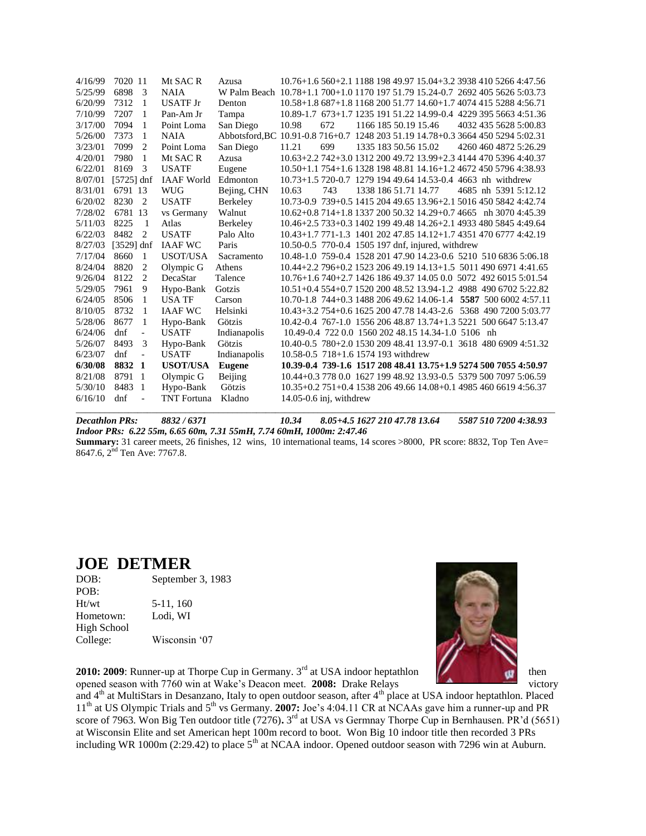| 4/16/99 | 7020 11                         | Mt SAC R           | Azusa                                                                           | 10.76+1.6 560+2.1 1188 198 49.97 15.04+3.2 3938 410 5266 4:47.56 |     |  |                                                    |                      |                       |
|---------|---------------------------------|--------------------|---------------------------------------------------------------------------------|------------------------------------------------------------------|-----|--|----------------------------------------------------|----------------------|-----------------------|
| 5/25/99 | 6898<br>- 3                     | <b>NAIA</b>        | W Palm Beach 10.78+1.1 700+1.0 1170 197 51.79 15.24-0.7 2692 405 5626 5:03.73   |                                                                  |     |  |                                                    |                      |                       |
| 6/20/99 | 7312<br>1                       | <b>USATF Jr</b>    | Denton                                                                          | 10.58+1.8 687+1.8 1168 200 51.77 14.60+1.7 4074 415 5288 4:56.71 |     |  |                                                    |                      |                       |
| 7/10/99 | 7207<br>1                       | Pan-Am Jr          | Tampa                                                                           | 10.89-1.7 673+1.7 1235 191 51.22 14.99-0.4 4229 395 5663 4:51.36 |     |  |                                                    |                      |                       |
| 3/17/00 | 7094<br>-1                      | Point Loma         | San Diego                                                                       | 10.98                                                            | 672 |  | 1166 185 50.19 15.46                               |                      | 4032 435 5628 5:00.83 |
| 5/26/00 | 7373<br>-1                      | <b>NAIA</b>        | Abbotsford, BC 10.91-0.8 716+0.7 1248 203 51.19 14.78+0.3 3664 450 5294 5:02.31 |                                                                  |     |  |                                                    |                      |                       |
| 3/23/01 | 7099<br>2                       | Point Loma         | San Diego                                                                       | 11.21                                                            | 699 |  | 1335 183 50.56 15.02                               |                      | 4260 460 4872 5:26.29 |
| 4/20/01 | 7980<br>1                       | Mt SAC R           | Azusa                                                                           | 10.63+2.2 742+3.0 1312 200 49.72 13.99+2.3 4144 470 5396 4:40.37 |     |  |                                                    |                      |                       |
| 6/22/01 | 8169<br>3                       | <b>USATF</b>       | Eugene                                                                          | 10.50+1.1 754+1.6 1328 198 48.81 14.16+1.2 4672 450 5796 4:38.93 |     |  |                                                    |                      |                       |
| 8/07/01 | $[5725]$ dnf                    | <b>IAAF</b> World  | Edmonton                                                                        | 10.73+1.5 720-0.7 1279 194 49.64 14.53-0.4 4663 nh withdrew      |     |  |                                                    |                      |                       |
| 8/31/01 | 6791 13                         | <b>WUG</b>         | Bejing, CHN                                                                     | 10.63                                                            | 743 |  | 1338 186 51.71 14.77                               | 4685 nh 5391 5:12.12 |                       |
| 6/20/02 | 8230<br>$\overline{2}$          | <b>USATF</b>       | Berkeley                                                                        | 10.73-0.9 739+0.5 1415 204 49.65 13.96+2.1 5016 450 5842 4:42.74 |     |  |                                                    |                      |                       |
| 7/28/02 | 6781 13                         | vs Germany         | Walnut                                                                          | 10.62+0.8 714+1.8 1337 200 50.32 14.29+0.7 4665 nh 3070 4:45.39  |     |  |                                                    |                      |                       |
| 5/11/03 | 8225<br>$\overline{1}$          | Atlas              | Berkeley                                                                        | 10.46+2.5 733+0.3 1402 199 49.48 14.26+2.1 4933 480 5845 4:49.64 |     |  |                                                    |                      |                       |
| 6/22/03 | 8482<br>2                       | <b>USATF</b>       | Palo Alto                                                                       | 10.43+1.7 771-1.3 1401 202 47.85 14.12+1.7 4351 470 6777 4:42.19 |     |  |                                                    |                      |                       |
| 8/27/03 | $[3529]$ dnf                    | <b>IAAF WC</b>     | Paris                                                                           | 10.50-0.5 770-0.4 1505 197 dnf, injured, withdrew                |     |  |                                                    |                      |                       |
| 7/17/04 | 8660<br>-1                      | USOT/USA           | Sacramento                                                                      | 10.48-1.0 759-0.4 1528 201 47.90 14.23-0.6 5210 510 6836 5:06.18 |     |  |                                                    |                      |                       |
| 8/24/04 | 8820<br>2                       | Olympic G          | Athens                                                                          | 10.44+2.2 796+0.2 1523 206 49.19 14.13+1.5 5011 490 6971 4:41.65 |     |  |                                                    |                      |                       |
| 9/26/04 | 8122<br>2                       | DecaStar           | Talence                                                                         | 10.76+1.6 740+2.7 1426 186 49.37 14.05 0.0 5072 492 6015 5:01.54 |     |  |                                                    |                      |                       |
| 5/29/05 | 9<br>7961                       | Hypo-Bank          | Gotzis                                                                          | 10.51+0.4 554+0.7 1520 200 48.52 13.94-1.2 4988 490 6702 5:22.82 |     |  |                                                    |                      |                       |
| 6/24/05 | 8506<br>1                       | <b>USA TF</b>      | Carson                                                                          | 10.70-1.8 744+0.3 1488 206 49.62 14.06-1.4 5587 500 6002 4:57.11 |     |  |                                                    |                      |                       |
| 8/10/05 | 8732<br>1                       | <b>IAAF WC</b>     | Helsinki                                                                        | 10.43+3.2 754+0.6 1625 200 47.78 14.43-2.6 5368 490 7200 5:03.77 |     |  |                                                    |                      |                       |
| 5/28/06 | 8677<br>1                       | Hypo-Bank          | Götzis                                                                          | 10.42-0.4 767-1.0 1556 206 48.87 13.74+1.3 5221 500 6647 5:13.47 |     |  |                                                    |                      |                       |
| 6/24/06 | dnf<br>$\overline{\phantom{a}}$ | <b>USATF</b>       | Indianapolis                                                                    |                                                                  |     |  | 10.49-0.4 722 0.0 1560 202 48.15 14.34-1.0 5106 nh |                      |                       |
| 5/26/07 | 3<br>8493                       | Hypo-Bank          | Götzis                                                                          | 10.40-0.5 780+2.0 1530 209 48.41 13.97-0.1 3618 480 6909 4:51.32 |     |  |                                                    |                      |                       |
| 6/23/07 | dnf<br>$\overline{\phantom{a}}$ | <b>USATF</b>       | Indianapolis                                                                    | 10.58-0.5 718+1.6 1574 193 withdrew                              |     |  |                                                    |                      |                       |
| 6/30/08 | 8832 1                          | <b>USOT/USA</b>    | <b>Eugene</b>                                                                   | 10.39-0.4 739-1.6 1517 208 48.41 13.75+1.9 5274 500 7055 4:50.97 |     |  |                                                    |                      |                       |
| 8/21/08 | 8791 1                          | Olympic G          | Beijing                                                                         | 10.44+0.3 778 0.0 1627 199 48.92 13.93-0.5 5379 500 7097 5:06.59 |     |  |                                                    |                      |                       |
| 5/30/10 | 8483<br>- 1                     | Hypo-Bank          | Götzis                                                                          | 10.35+0.2 751+0.4 1538 206 49.66 14.08+0.1 4985 460 6619 4:56.37 |     |  |                                                    |                      |                       |
| 6/16/10 | dnf<br>$\overline{\phantom{a}}$ | <b>TNT</b> Fortuna | Kladno                                                                          | $14.05 - 0.6$ inj, withdrew                                      |     |  |                                                    |                      |                       |
|         |                                 |                    |                                                                                 |                                                                  |     |  |                                                    |                      |                       |

*Decathlon PRs: 8832 / 6371 10.34 8.05+4.5 1627 210 47.78 13.64 5587 510 7200 4:38.93*

*Indoor PRs: 6.22 55m, 6.65 60m, 7.31 55mH, 7.74 60mH, 1000m: 2:47.46*

**Summary:** 31 career meets, 26 finishes, 12 wins, 10 international teams, 14 scores >8000, PR score: 8832, Top Ten Ave= 8647.6, 2<sup>nd</sup> Ten Ave: 7767.8.

### **JOE DETMER**

| September 3, 1983 |  |  |  |  |  |
|-------------------|--|--|--|--|--|
|                   |  |  |  |  |  |
| 5-11, 160         |  |  |  |  |  |
| Lodi. WI          |  |  |  |  |  |
|                   |  |  |  |  |  |
| Wisconsin '07     |  |  |  |  |  |
|                   |  |  |  |  |  |



**2010: 2009**: Runner-up at Thorpe Cup in Germany.  $3^{rd}$  at USA indoor heptathlon  $\begin{bmatrix} 1 & 1 \\ 1 & 1 \end{bmatrix}$  then opened season with 7760 win at Wake's Deacon meet. **2008:** Drake Relays victory victory

and 4<sup>th</sup> at MultiStars in Desanzano, Italy to open outdoor season, after 4<sup>th</sup> place at USA indoor heptathlon. Placed 11<sup>th</sup> at US Olympic Trials and 5<sup>th</sup> vs Germany. **2007:** Joe's 4:04.11 CR at NCAAs gave him a runner-up and PR score of 7963. Won Big Ten outdoor title (7276). 3<sup>rd</sup> at USA vs Germnay Thorpe Cup in Bernhausen. PR'd (5651) at Wisconsin Elite and set American hept 100m record to boot. Won Big 10 indoor title then recorded 3 PRs including WR 1000m (2:29.42) to place  $5<sup>th</sup>$  at NCAA indoor. Opened outdoor season with 7296 win at Auburn.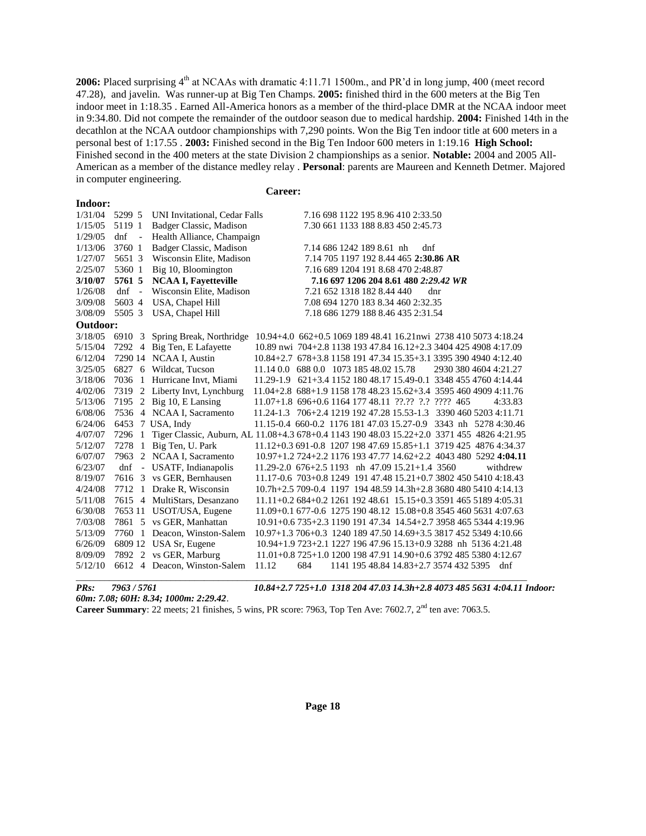2006: Placed surprising 4<sup>th</sup> at NCAAs with dramatic 4:11.71 1500m., and PR'd in long jump, 400 (meet record 47.28), and javelin. Was runner-up at Big Ten Champs. **2005:** finished third in the 600 meters at the Big Ten indoor meet in 1:18.35 . Earned All-America honors as a member of the third-place DMR at the NCAA indoor meet in 9:34.80. Did not compete the remainder of the outdoor season due to medical hardship. **2004:** Finished 14th in the decathlon at the NCAA outdoor championships with 7,290 points. Won the Big Ten indoor title at 600 meters in a personal best of 1:17.55 . **2003:** Finished second in the Big Ten Indoor 600 meters in 1:19.16 **High School:**  Finished second in the 400 meters at the state Division 2 championships as a senior. **Notable:** 2004 and 2005 All-American as a member of the distance medley relay . **Personal**: parents are Maureen and Kenneth Detmer. Majored in computer engineering.

#### **Career:**

| Indoor:  |                      |                               |                                                                                            |
|----------|----------------------|-------------------------------|--------------------------------------------------------------------------------------------|
| 1/31/04  | 5299 5               | UNI Invitational, Cedar Falls | 7.16 698 1122 195 8.96 410 2:33.50                                                         |
| 1/15/05  | 5119 1               | Badger Classic, Madison       | 7.30 661 1133 188 8.83 450 2:45.73                                                         |
| 1/29/05  | dnf                  | Health Alliance, Champaign    |                                                                                            |
| 1/13/06  | 3760 1               | Badger Classic, Madison       | 7.14 686 1242 189 8.61 nh<br>dnf                                                           |
| 1/27/07  | 5651 3               | Wisconsin Elite, Madison      | 7.14 705 1197 192 8.44 465 2:30.86 AR                                                      |
| 2/25/07  | 5360 1               | Big 10, Bloomington           | 7.16 689 1204 191 8.68 470 2:48.87                                                         |
| 3/10/07  | 5761 5               | <b>NCAA I, Fayetteville</b>   | 7.16 697 1206 204 8.61 480 2:29.42 WR                                                      |
| 1/26/08  | dnf                  | Wisconsin Elite, Madison      | 7.21 652 1318 182 8.44 440<br>dnr                                                          |
| 3/09/08  | 5603 4               | USA, Chapel Hill              | 7.08 694 1270 183 8.34 460 2:32.35                                                         |
| 3/08/09  | 5505 3               | USA, Chapel Hill              | 7.18 686 1279 188 8.46 435 2:31.54                                                         |
| Outdoor: |                      |                               |                                                                                            |
| 3/18/05  | 6910 3               | Spring Break, Northridge      | 10.94+4.0 662+0.5 1069 189 48.41 16.21nwi 2738 410 5073 4:18.24                            |
| 5/15/04  | 7292 4               | Big Ten, E Lafayette          | 10.89 nwi 704+2.8 1138 193 47.84 16.12+2.3 3404 425 4908 4:17.09                           |
| 6/12/04  |                      | 7290 14 NCAA I, Austin        | 10.84+2.7 678+3.8 1158 191 47.34 15.35+3.1 3395 390 4940 4:12.40                           |
| 3/25/05  |                      | 6827 6 Wildcat, Tucson        | 11.14 0.0 688 0.0 1073 185 48.02 15.78<br>2930 380 4604 4:21.27                            |
| 3/18/06  |                      | 7036 1 Hurricane Invt, Miami  | 11.29-1.9 621+3.4 1152 180 48.17 15.49-0.1 3348 455 4760 4:14.44                           |
| 4/02/06  | 7319                 | 2 Liberty Invt, Lynchburg     | 11.04+2.8 688+1.9 1158 178 48.23 15.62+3.4 3595 460 4909 4:11.76                           |
| 5/13/06  | 7195                 | 2 Big 10, E Lansing           | 11.07+1.8 696+0.6 1164 177 48.11 ??.?? ?.? ???? 465<br>4:33.83                             |
| 6/08/06  |                      | 7536 4 NCAA I, Sacramento     | 11.24-1.3 706+2.4 1219 192 47.28 15.53-1.3 3390 460 5203 4:11.71                           |
| 6/24/06  |                      | 6453 7 USA, Indy              | 11.15-0.4 660-0.2 1176 181 47.03 15.27-0.9 3343 nh 5278 4:30.46                            |
| 4/07/07  | 7296                 |                               | Tiger Classic, Auburn, AL 11.08+4.3 678+0.4 1143 190 48.03 15.22+2.0 3371 455 4826 4:21.95 |
| 5/12/07  | 7278<br>$\mathbf{1}$ | Big Ten, U. Park              | 11.12+0.3 691-0.8 1207 198 47.69 15.85+1.1 3719 425 4876 4:34.37                           |
| 6/07/07  | 7963                 | 2 NCAA I, Sacramento          | 10.97+1.2 724+2.2 1176 193 47.77 14.62+2.2 4043 480 5292 4:04.11                           |
| 6/23/07  | dnf                  | - USATF, Indianapolis         | 11.29-2.0 676+2.5 1193 nh 47.09 15.21+1.4 3560<br>withdrew                                 |
| 8/19/07  | 7616                 | 3 vs GER, Bernhausen          | 11.17-0.6 703+0.8 1249 191 47.48 15.21+0.7 3802 450 5410 4:18.43                           |
| 4/24/08  |                      | 7712 1 Drake R, Wisconsin     | 10.7h+2.5 709-0.4 1197 194 48.59 14.3h+2.8 3680 480 5410 4:14.13                           |
| 5/11/08  |                      | 7615 4 MultiStars, Desanzano  | 11.11+0.2 684+0.2 1261 192 48.61 15.15+0.3 3591 465 5189 4:05.31                           |
| 6/30/08  |                      | 7653 11 USOT/USA, Eugene      | 11.09+0.1 677-0.6 1275 190 48.12 15.08+0.8 3545 460 5631 4:07.63                           |
| 7/03/08  |                      | 7861 5 vs GER, Manhattan      | 10.91+0.6 735+2.3 1190 191 47.34 14.54+2.7 3958 465 5344 4:19.96                           |
| 5/13/09  | 7760 1               | Deacon, Winston-Salem         | 10.97+1.3 706+0.3 1240 189 47.50 14.69+3.5 3817 452 5349 4:10.66                           |
| 6/26/09  |                      | 6809 12 USA Sr, Eugene        | 10.94+1.9 723+2.1 1227 196 47.96 15.13+0.9 3288 nh 5136 4:21.48                            |
| 8/09/09  |                      | 7892 2 vs GER, Marburg        | $11.01+0.8725+1.0120019847.9114.90+0.6379248553804:12.67$                                  |
| 5/12/10  |                      | 6612 4 Deacon, Winston-Salem  | 684<br>1141 195 48.84 14.83+2.7 3574 432 5395<br>11.12<br>dnf                              |

*PRs: 7963 / 5761 10.84+2.7 725+1.0 1318 204 47.03 14.3h+2.8 4073 485 5631 4:04.11 Indoor:* 

*60m: 7.08; 60H: 8.34; 1000m: 2:29.42*.

**Career Summary**: 22 meets; 21 finishes, 5 wins, PR score: 7963, Top Ten Ave: 7602.7, 2<sup>nd</sup> ten ave: 7063.5.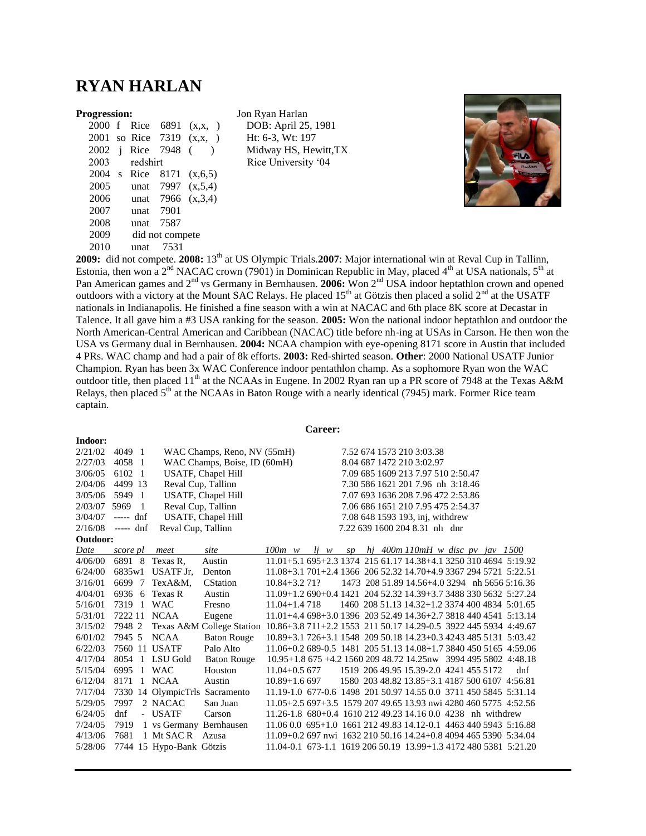## **RYAN HARLAN**

**Indoor:**

|                      |                         |          | 2000 f Rice 6891 | (X,X, )   |
|----------------------|-------------------------|----------|------------------|-----------|
| 2001                 |                         |          | so Rice 7319     | (X,X, )   |
| 2002                 | $\mathbf{i}$            |          | Rice 7948        |           |
| 2003                 |                         | redshirt |                  |           |
| 2004                 | $\overline{\mathbf{s}}$ | Rice     | 8171             | (x,6,5)   |
| 2005                 |                         |          | unat 7997        | (x, 5, 4) |
| 2006                 |                         |          | unat 7966        | (x, 3, 4) |
| 2007                 |                         | unat     | 7901             |           |
| 2008                 |                         | unat     | 7587             |           |
| 2009                 |                         |          | did not compete  |           |
| 2010                 |                         | unat     | 7531             |           |
| $\sim$ $\sim$ $\sim$ |                         |          |                  | anna iath |

**Progression:** Jon Ryan Harlan DOB: April 25, 1981 Ht: 6-3, Wt: 197 Midway HS, Hewitt,TX Rice University '04



**2009:** did not compete. **2008:** 13th at US Olympic Trials.**2007**: Major international win at Reval Cup in Tallinn, Estonia, then won a  $2<sup>nd</sup> NACAC$  crown (7901) in Dominican Republic in May, placed 4<sup>th</sup> at USA nationals, 5<sup>th</sup> at Pan American games and 2<sup>nd</sup> vs Germany in Bernhausen. **2006:** Won 2<sup>nd</sup> USA indoor heptathlon crown and opened outdoors with a victory at the Mount SAC Relays. He placed 15th at Götzis then placed a solid 2nd at the USATF nationals in Indianapolis. He finished a fine season with a win at NACAC and 6th place 8K score at Decastar in Talence. It all gave him a #3 USA ranking for the season. **2005:** Won the national indoor heptathlon and outdoor the North American-Central American and Caribbean (NACAC) title before nh-ing at USAs in Carson. He then won the USA vs Germany dual in Bernhausen. **2004:** NCAA champion with eye-opening 8171 score in Austin that included 4 PRs. WAC champ and had a pair of 8k efforts. **2003:** Red-shirted season. **Other**: 2000 National USATF Junior Champion. Ryan has been 3x WAC Conference indoor pentathlon champ. As a sophomore Ryan won the WAC outdoor title, then placed 11<sup>th</sup> at the NCAAs in Eugene. In 2002 Ryan ran up a PR score of 7948 at the Texas A&M Relays, then placed  $5<sup>th</sup>$  at the NCAAs in Baton Rouge with a nearly identical (7945) mark. Former Rice team captain.

#### **Career:**

| 2/21/02  | 4049 1        |                                | WAC Champs, Reno, NV (55mH)  |                                                                  |  |  | 7.52 674 1573 210 3:03.38                      |  |     |
|----------|---------------|--------------------------------|------------------------------|------------------------------------------------------------------|--|--|------------------------------------------------|--|-----|
| 2/27/03  | 4058 1        |                                | WAC Champs, Boise, ID (60mH) |                                                                  |  |  | 8.04 687 1472 210 3:02.97                      |  |     |
| 3/06/05  | 6102 1        |                                | USATF, Chapel Hill           |                                                                  |  |  | 7.09 685 1609 213 7.97 510 2:50.47             |  |     |
| 2/04/06  | 4499 13       | Reval Cup, Tallinn             |                              |                                                                  |  |  | 7.30 586 1621 201 7.96 nh 3:18.46              |  |     |
| 3/05/06  | 5949 1        |                                | USATF, Chapel Hill           |                                                                  |  |  | 7.07 693 1636 208 7.96 472 2:53.86             |  |     |
| 2/03/07  | 5969<br>- 1   | Reval Cup, Tallinn             |                              |                                                                  |  |  | 7.06 686 1651 210 7.95 475 2:54.37             |  |     |
| 3/04/07  | $--- dnf$     |                                | USATF, Chapel Hill           |                                                                  |  |  | 7.08 648 1593 193, inj, withdrew               |  |     |
| 2/16/08  | $--- dnf$     | Reval Cup, Tallinn             |                              |                                                                  |  |  | 7.22 639 1600 204 8.31 nh dnr                  |  |     |
| Outdoor: |               |                                |                              |                                                                  |  |  |                                                |  |     |
| Date     | score pl      | meet                           | site                         | $100m \quad w$                                                   |  |  | $1j$ w sp $hj$ 400m 110mH w disc pv jav 1500   |  |     |
| 4/06/00  | 6891 8        | Texas R,                       | Austin                       | 11.01+5.1 695+2.3 1374 215 61.17 14.38+4.1 3250 310 4694 5:19.92 |  |  |                                                |  |     |
| 6/24/00  | 6835w1        | USATF Jr.                      | Denton                       | 11.08+3.1 701+2.4 1366 206 52.32 14.70+4.9 3367 294 5721 5:22.51 |  |  |                                                |  |     |
| 3/16/01  | 6699 7        | TexA&M,                        | <b>CStation</b>              | $10.84 + 3.271$                                                  |  |  | 1473 208 51.89 14.56+4.0 3294 nh 5656 5:16.36  |  |     |
| 4/04/01  | 6936 6        | Texas R                        | Austin                       | 11.09+1.2 690+0.4 1421 204 52.32 14.39+3.7 3488 330 5632 5:27.24 |  |  |                                                |  |     |
| 5/16/01  | 7319 1        | <b>WAC</b>                     | Fresno                       | $11.04 + 1.4718$                                                 |  |  | 1460 208 51.13 14.32+1.2 3374 400 4834 5:01.65 |  |     |
| 5/31/01  | 7222 11 NCAA  |                                | Eugene                       | 11.01+4.4 698+3.0 1396 203 52.49 14.36+2.7 3818 440 4541 5:13.14 |  |  |                                                |  |     |
| 3/15/02  | 7948 2        |                                | Texas A&M College Station    | 10.86+3.8 711+2.2 1553 211 50.17 14.29-0.5 3922 445 5934 4:49.67 |  |  |                                                |  |     |
| 6/01/02  | 7945 5        | <b>NCAA</b>                    | <b>Baton Rouge</b>           | 10.89+3.1 726+3.1 1548 209 50.18 14.23+0.3 4243 485 5131 5:03.42 |  |  |                                                |  |     |
| 6/22/03  | 7560 11 USATF |                                | Palo Alto                    | 11.06+0.2 689-0.5 1481 205 51.13 14.08+1.7 3840 450 5165 4:59.06 |  |  |                                                |  |     |
| 4/17/04  |               | 8054 1 LSU Gold                | <b>Baton Rouge</b>           | 10.95+1.8 675 +4.2 1560 209 48.72 14.25nw 3994 495 5802 4:48.18  |  |  |                                                |  |     |
| 5/15/04  | 6995 1 WAC    |                                | Houston                      | $11.04 + 0.5677$                                                 |  |  | 1519 206 49.95 15.39-2.0 4241 455 5172         |  | dnf |
| 6/12/04  | 8171          | 1 NCAA                         | Austin                       | $10.89 + 1.6697$                                                 |  |  | 1580 203 48.82 13.85+3.1 4187 500 6107 4:56.81 |  |     |
| 7/17/04  |               | 7330 14 OlympicTrls Sacramento |                              | 11.19-1.0 677-0.6 1498 201 50.97 14.55 0.0 3711 450 5845 5:31.14 |  |  |                                                |  |     |
| 5/29/05  | 7997          | 2 NACAC                        | San Juan                     | 11.05+2.5 697+3.5 1579 207 49.65 13.93 nwi 4280 460 5775 4:52.56 |  |  |                                                |  |     |
| 6/24/05  | dnf           | - USATF                        | Carson                       | 11.26-1.8 680+0.4 1610 212 49.23 14.16 0.0 4238 nh withdrew      |  |  |                                                |  |     |
| 7/24/05  | 7919          | 1 vs Germany Bernhausen        |                              | 11.06 0.0 695+1.0 1661 212 49.83 14.12-0.1 4463 440 5943 5:16.88 |  |  |                                                |  |     |
| 4/13/06  | 7681          | 1 Mt SAC R Azusa               |                              | 11.09+0.2 697 nwi 1632 210 50.16 14.24+0.8 4094 465 5390 5:34.04 |  |  |                                                |  |     |
| 5/28/06  |               | 7744 15 Hypo-Bank Götzis       |                              | 11.04-0.1 673-1.1 1619 206 50.19 13.99+1.3 4172 480 5381 5:21.20 |  |  |                                                |  |     |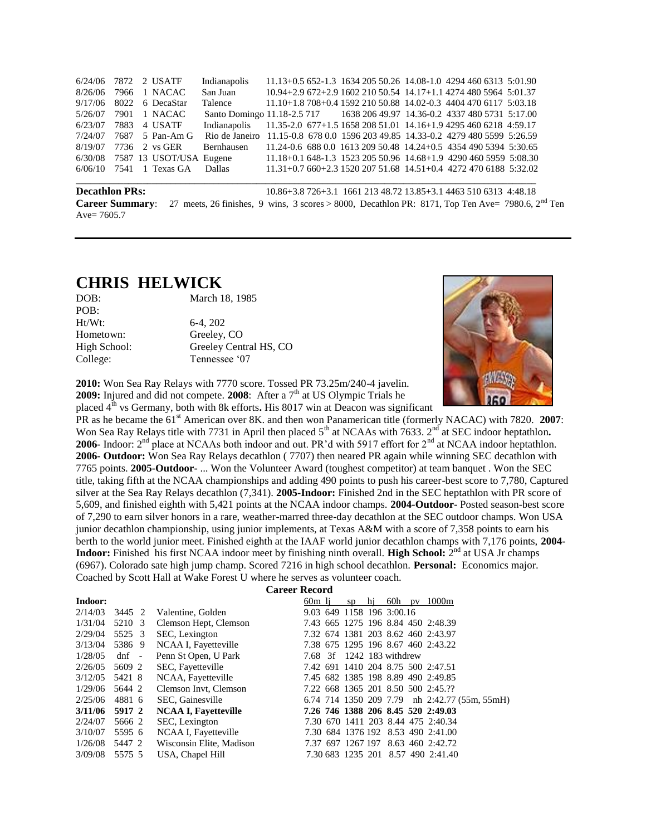| <b>Decathlon PRs:</b><br>10.86+3.8 726+3.1 1661 213 48.72 13.85+3.1 4463 510 6313 4:48.18<br>27 meets, 26 finishes, 9 wins, 3 scores > 8000, Decathlon PR: 8171, Top Ten Ave= 7980.6, $2nd$ Ten<br><b>Career Summary:</b><br>Ave= $7605.7$ |      |  |                 |                                                                                 |  |  |  |  |                                                                  |  |
|--------------------------------------------------------------------------------------------------------------------------------------------------------------------------------------------------------------------------------------------|------|--|-----------------|---------------------------------------------------------------------------------|--|--|--|--|------------------------------------------------------------------|--|
| 6/06/10                                                                                                                                                                                                                                    |      |  | 7541 1 Texas GA | Dallas                                                                          |  |  |  |  | $11.31+0.7660+2.3152020751.6814.51+0.4427247061885:32.02$        |  |
|                                                                                                                                                                                                                                            |      |  |                 | 6/30/08 7587 13 USOT/USA Eugene                                                 |  |  |  |  | 11.18+0.1 648-1.3 1523 205 50.96 14.68+1.9 4290 460 5959 5:08.30 |  |
| 8/19/07                                                                                                                                                                                                                                    |      |  | 7736 2 vs GER   | Bernhausen                                                                      |  |  |  |  | 11.24-0.6 688 0.0 1613 209 50.48 14.24+0.5 4354 490 5394 5:30.65 |  |
| 7/24/07                                                                                                                                                                                                                                    |      |  | 7687 5 Pan-Am G | Rio de Janeiro 11.15-0.8 678 0.0 1596 203 49.85 14.33-0.2 4279 480 5599 5:26.59 |  |  |  |  |                                                                  |  |
| 6/23/07                                                                                                                                                                                                                                    | 7883 |  | 4 USATF         | Indianapolis                                                                    |  |  |  |  | 11.35-2.0 677+1.5 1658 208 51.01 14.16+1.9 4295 460 6218 4:59.17 |  |
| 5/26/07                                                                                                                                                                                                                                    |      |  | 7901 1 NACAC    | Santo Domingo 11.18-2.5 717 1638 206 49.97 14.36-0.2 4337 480 5731 5:17.00      |  |  |  |  |                                                                  |  |
| 9/17/06                                                                                                                                                                                                                                    |      |  | 8022 6 DecaStar | Talence                                                                         |  |  |  |  | 11.10+1.8 708+0.4 1592 210 50.88 14.02-0.3 4404 470 6117 5:03.18 |  |
| 8/26/06                                                                                                                                                                                                                                    |      |  | 7966 1 NACAC    | San Juan                                                                        |  |  |  |  | 10.94+2.9 672+2.9 1602 210 50.54 14.17+1.1 4274 480 5964 5:01.37 |  |
| 6/24/06                                                                                                                                                                                                                                    |      |  | 7872 2 USATF    | Indianapolis                                                                    |  |  |  |  | $11.13+0.5652-1.3163420550.2614.08-1.0429446063135:01.90$        |  |

## **CHRIS HELWICK**

| DOB:         | March 18, 1985         |
|--------------|------------------------|
| POB:         |                        |
| $Ht/Wt$ :    | $6-4.202$              |
| Hometown:    | Greeley, CO            |
| High School: | Greeley Central HS, CO |
| College:     | Tennessee '07          |



**2010:** Won Sea Ray Relays with 7770 score. Tossed PR 73.25m/240-4 javelin. **2009:** Injured and did not compete. **2008**: After a 7<sup>th</sup> at US Olympic Trials he

placed 4<sup>th</sup> vs Germany, both with 8k efforts. His 8017 win at Deacon was significant PR as he became the 61<sup>st</sup> American over 8K. and then won Panamerican title (formerly NACAC) with 7820. **2007**: Won Sea Ray Relays title with 7731 in April then placed 5<sup>th</sup> at NCAAs with 7633. 2<sup>nd</sup> at SEC indoor heptathlon. **2006-** Indoor: 2<sup>nd</sup> place at NCAAs both indoor and out. PR'd with 5917 effort for 2<sup>nd</sup> at NCAA indoor heptathlon. **2006- Outdoor:** Won Sea Ray Relays decathlon ( 7707) then neared PR again while winning SEC decathlon with 7765 points. **2005-Outdoor-** ... Won the Volunteer Award (toughest competitor) at team banquet . Won the SEC title, taking fifth at the NCAA championships and adding 490 points to push his career-best score to 7,780, Captured silver at the Sea Ray Relays decathlon (7,341). **2005-Indoor:** Finished 2nd in the SEC heptathlon with PR score of 5,609, and finished eighth with 5,421 points at the NCAA indoor champs. **2004-Outdoor-** Posted season-best score of 7,290 to earn silver honors in a rare, weather-marred three-day decathlon at the SEC outdoor champs. Won USA junior decathlon championship, using junior implements, at Texas A&M with a score of 7,358 points to earn his berth to the world junior meet. Finished eighth at the IAAF world junior decathlon champs with 7,176 points, **2004- Indoor:** Finished his first NCAA indoor meet by finishing ninth overall. **High School:**  $2^{nd}$  at USA Jr champs (6967). Colorado sate high jump champ. Scored 7216 in high school decathlon. **Personal:** Economics major. Coached by Scott Hall at Wake Forest U where he serves as volunteer coach.

|         | <b>Career Record</b> |                          |                             |        |  |                           |    |     |     |                                               |  |
|---------|----------------------|--------------------------|-----------------------------|--------|--|---------------------------|----|-----|-----|-----------------------------------------------|--|
| Indoor: |                      |                          |                             | 60m li |  | SD                        | hj | 60h | DV. | 1000m                                         |  |
| 2/14/03 | 3445 2               |                          | Valentine, Golden           |        |  | 9.03 649 1158 196 3:00.16 |    |     |     |                                               |  |
| 1/31/04 | 5210 3               |                          | Clemson Hept, Clemson       |        |  |                           |    |     |     | 7.43 665 1275 196 8.84 450 2:48.39            |  |
| 2/29/04 | 5525 3               |                          | SEC, Lexington              |        |  |                           |    |     |     | 7.32 674 1381 203 8.62 460 2:43.97            |  |
| 3/13/04 | 5386 9               |                          | NCAA I, Fayetteville        |        |  |                           |    |     |     | 7.38 675 1295 196 8.67 460 2:43.22            |  |
| 1/28/05 | dnf                  | $\overline{\phantom{a}}$ | Penn St Open, U Park        |        |  | 7.68 3f 1242 183 withdrew |    |     |     |                                               |  |
| 2/26/05 | 5609 2               |                          | SEC, Fayetteville           |        |  |                           |    |     |     | 7.42 691 1410 204 8.75 500 2:47.51            |  |
| 3/12/05 | 5421 8               |                          | NCAA, Fayetteville          |        |  |                           |    |     |     | 7.45 682 1385 198 8.89 490 2:49.85            |  |
| 1/29/06 | 5644 2               |                          | Clemson Invt, Clemson       |        |  |                           |    |     |     | 7.22 668 1365 201 8.50 500 2:45.??            |  |
| 2/25/06 | 4881 6               |                          | SEC, Gainesville            |        |  |                           |    |     |     | 6.74 714 1350 209 7.79 nh 2:42.77 (55m, 55mH) |  |
| 3/11/06 | 5917 2               |                          | <b>NCAA I, Fayetteville</b> |        |  |                           |    |     |     | 7.26 746 1388 206 8.45 520 2:49.03            |  |
| 2/24/07 | 5666 2               |                          | SEC, Lexington              |        |  |                           |    |     |     | 7.30 670 1411 203 8.44 475 2:40.34            |  |
| 3/10/07 | 5595 6               |                          | NCAA I, Fayetteville        |        |  |                           |    |     |     | 7.30 684 1376 192 8.53 490 2:41.00            |  |
| 1/26/08 | 5447 2               |                          | Wisconsin Elite, Madison    |        |  | 7.37 697 1267 197         |    |     |     | 8.63 460 2:42.72                              |  |
| 3/09/08 | 5575 5               |                          | USA, Chapel Hill            |        |  |                           |    |     |     | 7.30 683 1235 201 8.57 490 2:41.40            |  |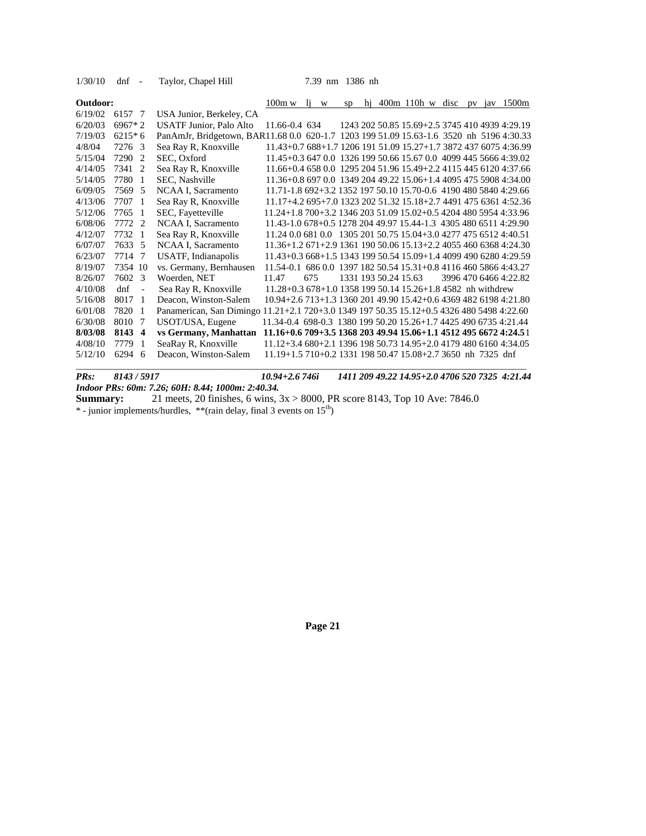| 1/30/10  | $dnf -$  |                          | Taylor, Chapel Hill                                                                       |                                                                  |     | 7.39 nm 1386 nh |                      |  |  |  |                                                |
|----------|----------|--------------------------|-------------------------------------------------------------------------------------------|------------------------------------------------------------------|-----|-----------------|----------------------|--|--|--|------------------------------------------------|
| Outdoor: |          |                          |                                                                                           | $100m \le 11 \le$                                                |     | SD              |                      |  |  |  | hj 400m 110h w disc pv jav $1500m$             |
| 6/19/02  | 6157 7   |                          | USA Junior, Berkeley, CA                                                                  |                                                                  |     |                 |                      |  |  |  |                                                |
| 6/20/03  | $6967*2$ |                          | <b>USATF Junior, Palo Alto</b>                                                            | 11.66-0.4 634                                                    |     |                 |                      |  |  |  | 1243 202 50.85 15.69+2.5 3745 410 4939 4:29.19 |
| 7/19/03  | $6215*6$ |                          | PanAmJr, Bridgetown, BAR11.68 0.0 620-1.7 1203 199 51.09 15.63-1.6 3520 nh 5196 4:30.33   |                                                                  |     |                 |                      |  |  |  |                                                |
| 4/8/04   | 7276 3   |                          | Sea Ray R, Knoxville                                                                      | 11.43+0.7 688+1.7 1206 191 51.09 15.27+1.7 3872 437 6075 4:36.99 |     |                 |                      |  |  |  |                                                |
| 5/15/04  | 7290 2   |                          | SEC, Oxford                                                                               | 11.45+0.3 647 0.0 1326 199 50.66 15.67 0.0 4099 445 5666 4:39.02 |     |                 |                      |  |  |  |                                                |
| 4/14/05  | 7341 2   |                          | Sea Ray R, Knoxville                                                                      | 11.66+0.4 658 0.0 1295 204 51.96 15.49+2.2 4115 445 6120 4:37.66 |     |                 |                      |  |  |  |                                                |
| 5/14/05  | 7780 1   |                          | SEC, Nashville                                                                            | 11.36+0.8 697 0.0 1349 204 49.22 15.06+1.4 4095 475 5908 4:34.00 |     |                 |                      |  |  |  |                                                |
| 6/09/05  | 7569 5   |                          | NCAA I, Sacramento                                                                        | 11.71-1.8 692+3.2 1352 197 50.10 15.70-0.6 4190 480 5840 4:29.66 |     |                 |                      |  |  |  |                                                |
| 4/13/06  | 7707 1   |                          | Sea Ray R, Knoxville                                                                      | 11.17+4.2 695+7.0 1323 202 51.32 15.18+2.7 4491 475 6361 4:52.36 |     |                 |                      |  |  |  |                                                |
| 5/12/06  | 7765 1   |                          | SEC, Fayetteville                                                                         | 11.24+1.8 700+3.2 1346 203 51.09 15.02+0.5 4204 480 5954 4:33.96 |     |                 |                      |  |  |  |                                                |
| 6/08/06  | 7772 2   |                          | NCAA I, Sacramento                                                                        | 11.43-1.0 678+0.5 1278 204 49.97 15.44-1.3 4305 480 6511 4:29.90 |     |                 |                      |  |  |  |                                                |
| 4/12/07  | 7732 1   |                          | Sea Ray R, Knoxville                                                                      | 11.24 0.0 681 0.0 1305 201 50.75 15.04+3.0 4277 475 6512 4:40.51 |     |                 |                      |  |  |  |                                                |
| 6/07/07  | 7633 5   |                          | NCAA I, Sacramento                                                                        | 11.36+1.2 671+2.9 1361 190 50.06 15.13+2.2 4055 460 6368 4:24.30 |     |                 |                      |  |  |  |                                                |
| 6/23/07  | 7714 7   |                          | USATF, Indianapolis                                                                       | 11.43+0.3 668+1.5 1343 199 50.54 15.09+1.4 4099 490 6280 4:29.59 |     |                 |                      |  |  |  |                                                |
| 8/19/07  | 7354 10  |                          | vs. Germany, Bernhausen                                                                   | 11.54-0.1 686 0.0 1397 182 50.54 15.31+0.8 4116 460 5866 4:43.27 |     |                 |                      |  |  |  |                                                |
| 8/26/07  | 7602 3   |                          | Woerden, NET                                                                              | 11.47                                                            | 675 |                 | 1331 193 50.24 15.63 |  |  |  | 3996 470 6466 4:22.82                          |
| 4/10/08  | $d$ nf   | $\overline{\phantom{a}}$ | Sea Ray R, Knoxville                                                                      | $11.28 + 0.3678 + 1.0135819950.1415.26 + 1.84582$ nh withdrew    |     |                 |                      |  |  |  |                                                |
| 5/16/08  | 8017 1   |                          | Deacon, Winston-Salem                                                                     | 10.94+2.6 713+1.3 1360 201 49.90 15.42+0.6 4369 482 6198 4:21.80 |     |                 |                      |  |  |  |                                                |
| 6/01/08  | 7820 1   |                          | Panamerican, San Dimingo 11.21+2.1 720+3.0 1349 197 50.35 15.12+0.5 4326 480 5498 4:22.60 |                                                                  |     |                 |                      |  |  |  |                                                |
| 6/30/08  | 8010 7   |                          | USOT/USA, Eugene                                                                          | 11.34-0.4 698-0.3 1380 199 50.20 15.26+1.7 4425 490 6735 4:21.44 |     |                 |                      |  |  |  |                                                |
| 8/03/08  | 8143 4   |                          | vs Germany, Manhattan                                                                     | 11.16+0.6 709+3.5 1368 203 49.94 15.06+1.1 4512 495 6672 4:24.51 |     |                 |                      |  |  |  |                                                |
| 4/08/10  | 7779     | - 1                      | SeaRay R, Knoxville                                                                       | 11.12+3.4 680+2.1 1396 198 50.73 14.95+2.0 4179 480 6160 4:34.05 |     |                 |                      |  |  |  |                                                |
| 5/12/10  | 6294 6   |                          | Deacon, Winston-Salem                                                                     | 11.19+1.5 710+0.2 1331 198 50.47 15.08+2.7 3650 nh 7325 dnf      |     |                 |                      |  |  |  |                                                |
|          |          |                          |                                                                                           |                                                                  |     |                 |                      |  |  |  |                                                |

*PRs: 8143 / 5917 10.94+2.6 746i 1411 209 49.22 14.95+2.0 4706 520 7325 4:21.44 Indoor PRs: 60m: 7.26; 60H: 8.44; 1000m: 2:40.34.* **Summary:** 21 meets, 20 finishes, 6 wins, 3x > 8000, PR score 8143, Top 10 Ave: 7846.0

 $*$  - junior implements/hurdles,  $**$ (rain delay, final 3 events on 15<sup>th</sup>)

**Page 21**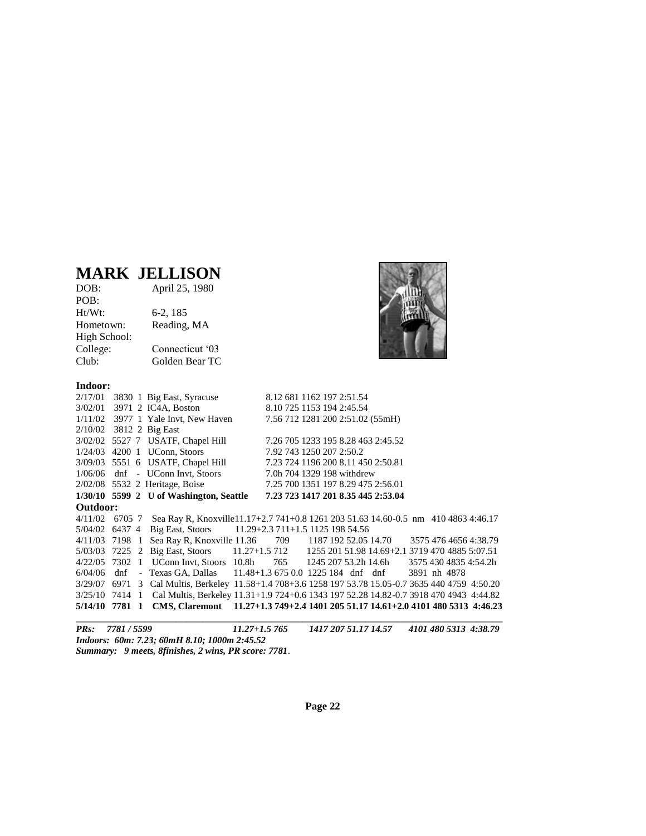## **MARK JELLISON**

| DOB:         | April 25, 1980  |
|--------------|-----------------|
| POB:         |                 |
| Ht/Wt:       | $6-2, 185$      |
| Hometown:    | Reading, MA     |
| High School: |                 |
| College:     | Connecticut '03 |
| Club:        | Golden Bear TC  |
|              |                 |

**Indoor:**



|                |  | $2/17/01$ 3830 1 Big East, Syracuse                                                                  |  | 8.12 681 1162 197 2:51.54  |  |                                    |  |                       |  |
|----------------|--|------------------------------------------------------------------------------------------------------|--|----------------------------|--|------------------------------------|--|-----------------------|--|
|                |  | 3/02/01 3971 2 IC4A, Boston                                                                          |  | 8.10 725 1153 194 2:45.54  |  |                                    |  |                       |  |
|                |  | $1/11/02$ 3977 1 Yale Invt, New Haven                                                                |  |                            |  | 7.56 712 1281 200 2:51.02 (55mH)   |  |                       |  |
|                |  | $2/10/02$ 3812 2 Big East                                                                            |  |                            |  |                                    |  |                       |  |
|                |  | 3/02/02 5527 7 USATF, Chapel Hill                                                                    |  |                            |  | 7.26 705 1233 195 8.28 463 2:45.52 |  |                       |  |
|                |  | $1/24/03$ 4200 1 UConn, Stoors                                                                       |  | 7.92 743 1250 207 2:50.2   |  |                                    |  |                       |  |
|                |  | 3/09/03 5551 6 USATF, Chapel Hill                                                                    |  |                            |  | 7.23 724 1196 200 8.11 450 2:50.81 |  |                       |  |
|                |  | 1/06/06 dnf - UConn Invt, Stoors                                                                     |  | 7.0h 704 1329 198 withdrew |  |                                    |  |                       |  |
|                |  | 2/02/08 5532 2 Heritage, Boise 7.25 700 1351 197 8.29 475 2:56.01                                    |  |                            |  |                                    |  |                       |  |
|                |  | $1/30/10$ 5599 2 U of Washington, Seattle                                                            |  |                            |  | 7.23 723 1417 201 8.35 445 2:53.04 |  |                       |  |
| Outdoor:       |  |                                                                                                      |  |                            |  |                                    |  |                       |  |
|                |  | 4/11/02 6705 7 Sea Ray R, Knoxville11.17+2.7 741+0.8 1261 203 51.63 14.60-0.5 nm 410 4863 4:46.17    |  |                            |  |                                    |  |                       |  |
|                |  | 5/04/02 6437 4 Big East. Stoors 11.29+2.3 711+1.5 1125 198 54.56                                     |  |                            |  |                                    |  |                       |  |
|                |  | 4/11/03 7198 1 Sea Ray R, Knoxville 11.36 709 1187 192 52.05 14.70 3575 476 4656 4:38.79             |  |                            |  |                                    |  |                       |  |
|                |  | 5/03/03 7225 2 Big East, Stoors 11.27+1.5 712 1255 201 51.98 14.69+2.1 3719 470 4885 5:07.51         |  |                            |  |                                    |  |                       |  |
| 4/22/05 7302   |  | 1 UConn Invt, Stoors 10.8h 765 1245 207 53.2h 14.6h                                                  |  |                            |  |                                    |  | 3575 430 4835 4:54.2h |  |
| $6/04/06$ dnf  |  | - Texas GA, Dallas 11.48+1.3 675 0.0 1225 184 dnf dnf 3891 nh 4878                                   |  |                            |  |                                    |  |                       |  |
| 3/29/07 6971   |  | 3 Cal Multis, Berkeley 11.58+1.4 708+3.6 1258 197 53.78 15.05-0.7 3635 440 4759 4:50.20              |  |                            |  |                                    |  |                       |  |
|                |  | 3/25/10 7414 1 Cal Multis, Berkeley 11.31+1.9 724+0.6 1343 197 52.28 14.82-0.7 3918 470 4943 4:44.82 |  |                            |  |                                    |  |                       |  |
| 5/14/10 7781 1 |  | CMS, Claremont 11.27+1.3 749+2.4 1401 205 51.17 14.61+2.0 4101 480 5313 4:46.23                      |  |                            |  |                                    |  |                       |  |
|                |  |                                                                                                      |  |                            |  |                                    |  |                       |  |

*PRs: 7781 / 5599 11.27+1.5 765 1417 207 51.17 14.57 4101 480 5313 4:38.79 Indoors: 60m: 7.23; 60mH 8.10; 1000m 2:45.52 Summary: 9 meets, 8finishes, 2 wins, PR score: 7781*.

**Page 22**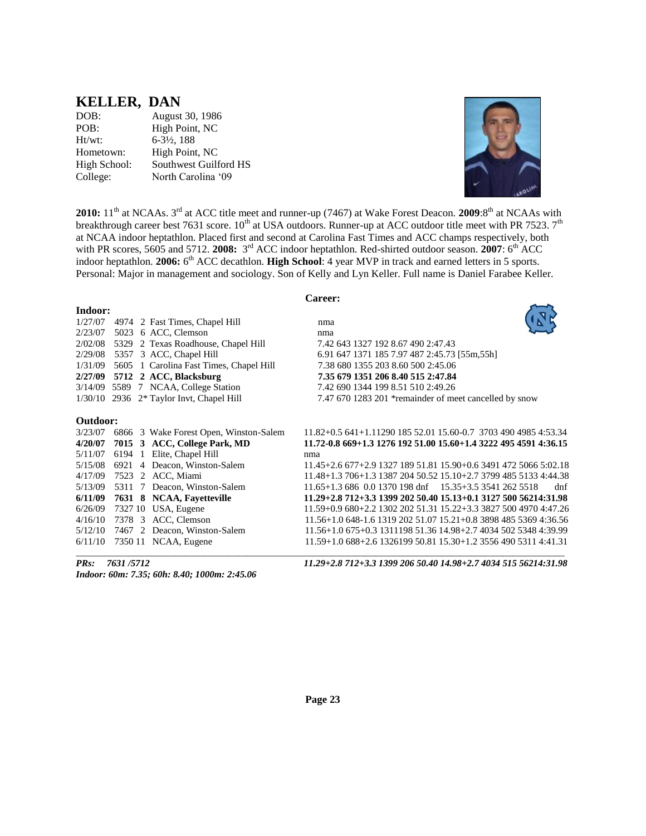### **KELLER, DAN**

| DOB:         | August 30, 1986          |
|--------------|--------------------------|
| POB:         | High Point, NC           |
| $Ht/wt$ :    | $6 - 3\frac{1}{2}$ , 188 |
| Hometown:    | High Point, NC           |
| High School: | Southwest Guilford HS    |
| College:     | North Carolina '09       |
|              |                          |



**2010:** 11<sup>th</sup> at NCAAs. 3<sup>rd</sup> at ACC title meet and runner-up (7467) at Wake Forest Deacon. **2009**:8<sup>th</sup> at NCAAs with breakthrough career best 7631 score.  $10^{th}$  at USA outdoors. Runner-up at ACC outdoor title meet with PR 7523.  $7^{th}$ at NCAA indoor heptathlon. Placed first and second at Carolina Fast Times and ACC champs respectively, both with PR scores, 5605 and 5712. 2008: 3<sup>rd</sup> ACC indoor heptathlon. Red-shirted outdoor season. 2007: 6<sup>th</sup> ACC indoor heptathlon. 2006: 6<sup>th</sup> ACC decathlon. **High School**: 4 year MVP in track and earned letters in 5 sports. Personal: Major in management and sociology. Son of Kelly and Lyn Keller. Full name is Daniel Farabee Keller.

#### **Career:**

| Indoor:  |         |    |                                        |                                                                  |
|----------|---------|----|----------------------------------------|------------------------------------------------------------------|
| 1/27/07  |         |    | 4974 2 Fast Times, Chapel Hill         | nma                                                              |
| 2/23/07  | 5023    |    | 6 ACC, Clemson                         | nma                                                              |
| 2/02/08  |         |    | 5329 2 Texas Roadhouse, Chapel Hill    | 7.42 643 1327 192 8.67 490 2:47.43                               |
| 2/29/08  |         |    | 5357 3 ACC, Chapel Hill                | 6.91 647 1371 185 7.97 487 2:45.73 [55m,55h]                     |
| 1/31/09  | 5605    |    | 1 Carolina Fast Times, Chapel Hill     | 7.38 680 1355 203 8.60 500 2:45.06                               |
| 2/27/09  |         |    | 5712 2 ACC, Blacksburg                 | 7.35 679 1351 206 8.40 515 2:47.84                               |
| 3/14/09  |         |    | 5589 7 NCAA, College Station           | 7.42 690 1344 199 8.51 510 2:49.26                               |
| 1/30/10  |         |    | 2936 2* Taylor Invt, Chapel Hill       | 7.47 670 1283 201 *remainder of meet cancelled by snow           |
| Outdoor: |         |    |                                        |                                                                  |
| 3/23/07  |         |    | 6866 3 Wake Forest Open, Winston-Salem | $11.82+0.5641+1.1129018552.0115.60-0.7370349049854.53.34$        |
| 4/20/07  |         |    | 7015 3 ACC, College Park, MD           | 11.72-0.8 669+1.3 1276 192 51.00 15.60+1.4 3222 495 4591 4:36.15 |
| 5/11/07  | 6194 1  |    | Elite, Chapel Hill                     | nma                                                              |
| 5/15/08  |         |    | 6921 4 Deacon, Winston-Salem           | 11.45+2.6 677+2.9 1327 189 51.81 15.90+0.6 3491 472 5066 5:02.18 |
| 4/17/09  | 7523    |    | 2 ACC, Miami                           | $11.48+1.3706+1.3138720450.5215.10+2.7379948551334:44.38$        |
| 5/13/09  | 5311    | -7 | Deacon, Winston-Salem                  | 11.65+1.3 686 0.0 1370 198 dnf 15.35+3.5 3541 262 5518<br>dnf    |
| 6/11/09  |         |    | 7631 8 NCAA, Fayetteville              | $11.29 + 2.8712 + 3.3139920250.4015.13 + 0.1312750056214:31.98$  |
| 6/26/09  | 7327 10 |    | USA, Eugene                            | 11.59+0.9 680+2.2 1302 202 51.31 15.22+3.3 3827 500 4970 4:47.26 |
| 4/16/10  |         |    | 7378 3 ACC, Clemson                    | 11.56+1.0 648-1.6 1319 202 51.07 15.21+0.8 3898 485 5369 4:36.56 |
| 5/12/10  |         |    | 7467 2 Deacon, Winston-Salem           | 11.56+1.0 675+0.3 1311198 51.36 14.98+2.7 4034 502 5348 4:39.99  |
| 6/11/10  |         |    | 7350 11 NCAA, Eugene                   | 11.59+1.0 688+2.6 1326199 50.81 15.30+1.2 3556 490 5311 4:41.31  |
|          |         |    |                                        |                                                                  |

*Indoor: 60m: 7.35; 60h: 8.40; 1000m: 2:45.06*

*PRs: 7631 /5712 11.29+2.8 712+3.3 1399 206 50.40 14.98+2.7 4034 515 56214:31.98*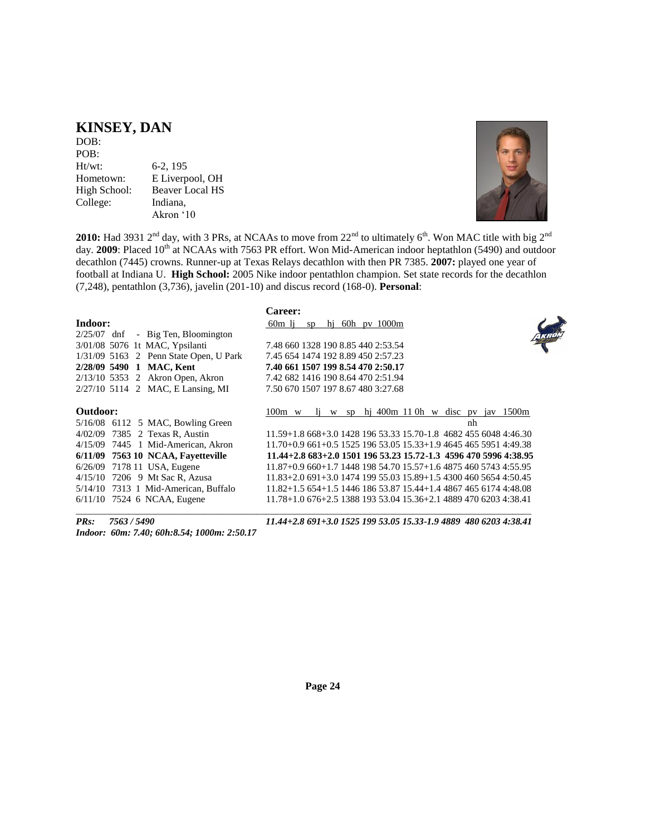### **KINSEY, DAN**

DOB: POB: Ht/wt: 6-2, 195 Hometown: E Liverpool, OH High School: Beaver Local HS College: Indiana, Akron '10



**2010:** Had 3931 2<sup>nd</sup> day, with 3 PRs, at NCAAs to move from 22<sup>nd</sup> to ultimately 6<sup>th</sup>. Won MAC title with big 2<sup>nd</sup> day. **2009**: Placed 10<sup>th</sup> at NCAAs with 7563 PR effort. Won Mid-American indoor heptathlon (5490) and outdoor decathlon (7445) crowns. Runner-up at Texas Relays decathlon with then PR 7385. **2007:** played one year of football at Indiana U. **High School:** 2005 Nike indoor pentathlon champion. Set state records for the decathlon (7,248), pentathlon (3,736), javelin (201-10) and discus record (168-0). **Personal**:

| Indoor:<br>$2/25/07$ dnf | - Big Ten, Bloomington<br>3/01/08 5076 1t MAC, Ypsilanti<br>1/31/09 5163 2 Penn State Open, U Park<br>2/28/09 5490 1 MAC, Kent | <b>Career:</b><br>60m li<br>sp hj 60h pv $1000m$<br>7.48 660 1328 190 8.85 440 2:53.54<br>7.45 654 1474 192 8.89 450 2:57.23<br>7.40 661 1507 199 8.54 470 2:50.17 |
|--------------------------|--------------------------------------------------------------------------------------------------------------------------------|--------------------------------------------------------------------------------------------------------------------------------------------------------------------|
|                          | $2/13/10$ 5353 2 Akron Open, Akron                                                                                             | 7.42 682 1416 190 8.64 470 2:51.94                                                                                                                                 |
|                          | 2/27/10 5114 2 MAC, E Lansing, MI                                                                                              | 7.50 670 1507 197 8.67 480 3:27.68                                                                                                                                 |
| Outdoor:                 |                                                                                                                                | w sp hi 400m 110h w disc pv jav 1500m<br>$100m \le w$<br>$\mathbf{11}$                                                                                             |
|                          | $5/16/08$ 6112 5 MAC, Bowling Green                                                                                            | nh                                                                                                                                                                 |
|                          | 4/02/09 7385 2 Texas R, Austin                                                                                                 | 11.59+1.8 668+3.0 1428 196 53.33 15.70-1.8 4682 455 6048 4:46.30                                                                                                   |
|                          | 4/15/09 7445 1 Mid-American, Akron                                                                                             | $11.70+0.9661+0.5152519653.0515.33+1.9464546559514.49.38$                                                                                                          |
|                          | 6/11/09 7563 10 NCAA, Favetteville                                                                                             | $11.44+2.8683+2.0150119653.2315.72-1.345964705996438.95$                                                                                                           |
|                          | 6/26/09 7178 11 USA, Eugene                                                                                                    | $11.87+0.9660+1.7144819854.7015.57+1.6487546057434:55.95$                                                                                                          |
|                          | 4/15/10 7206 9 Mt Sac R, Azusa                                                                                                 | $11.83+2.0691+3.0147419955.0315.89+1.5430046056544:50.45$                                                                                                          |
|                          | $5/14/10$ 7313 1 Mid-American, Buffalo                                                                                         | $11.82+1.5654+1.5144618653.8715.44+1.4486746561744:48.08$                                                                                                          |
|                          | $6/11/10$ 7524 6 NCAA, Eugene                                                                                                  | 11.78+1.0 676+2.5 1388 193 53.04 15.36+2.1 4889 470 6203 4:38.41                                                                                                   |
| PRs:                     | 7563 / 5490                                                                                                                    | 11.44+2.8 691+3.0 1525 199 53.05 15.33-1.9 4889 480 6203 4:38.41                                                                                                   |

*Indoor: 60m: 7.40; 60h:8.54; 1000m: 2:50.17*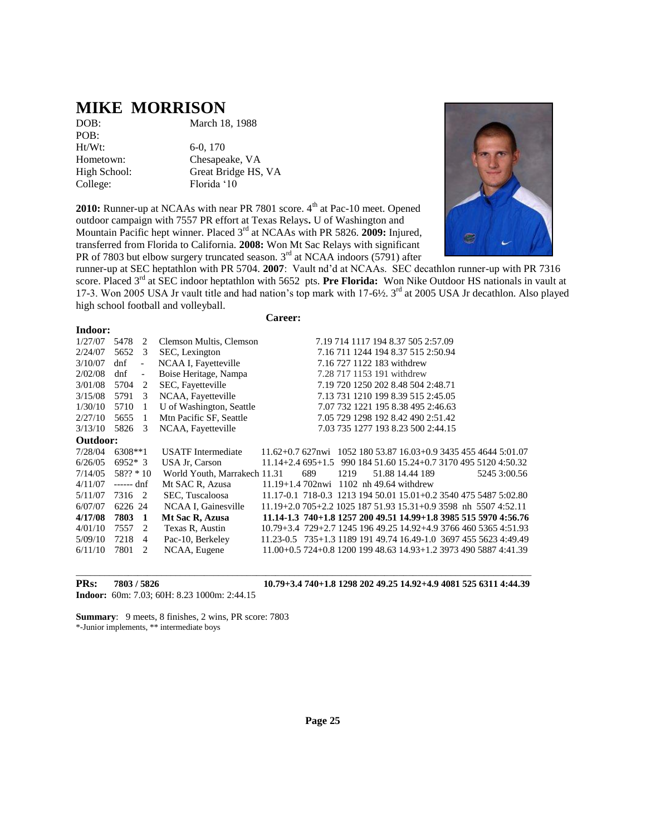### **MIKE MORRISON**

POB: Ht/Wt: 6-0, 170 College: Florida '10

DOB: March 18, 1988

Hometown: Chesapeake, VA High School: Great Bridge HS, VA

2010: Runner-up at NCAAs with near PR 7801 score. 4<sup>th</sup> at Pac-10 meet. Opened outdoor campaign with 7557 PR effort at Texas Relays**.** U of Washington and Mountain Pacific hept winner. Placed 3rd at NCAAs with PR 5826. **2009:** Injured, transferred from Florida to California. **2008:** Won Mt Sac Relays with significant PR of 7803 but elbow surgery truncated season.  $3<sup>rd</sup>$  at NCAA indoors (5791) after



runner-up at SEC heptathlon with PR 5704. **2007**: Vault nd'd at NCAAs. SEC decathlon runner-up with PR 7316 score. Placed 3<sup>rd</sup> at SEC indoor heptathlon with 5652 pts. Pre Florida: Won Nike Outdoor HS nationals in vault at 17-3. Won 2005 USA Jr vault title and had nation's top mark with 17-6½. 3<sup>rd</sup> at 2005 USA Jr decathlon. Also played high school football and volleyball.

| Indoor:  |              |                          |                              |                                                                          |     |                                    |  |                                               |  |  |              |  |
|----------|--------------|--------------------------|------------------------------|--------------------------------------------------------------------------|-----|------------------------------------|--|-----------------------------------------------|--|--|--------------|--|
| 1/27/07  | 5478         | 2                        | Clemson Multis, Clemson      |                                                                          |     | 7.19 714 1117 194 8.37 505 2:57.09 |  |                                               |  |  |              |  |
| 2/24/07  | 5652         | 3                        | SEC, Lexington               |                                                                          |     | 7.16 711 1244 194 8.37 515 2:50.94 |  |                                               |  |  |              |  |
| 3/10/07  | dnf          | $\overline{\phantom{a}}$ | NCAA I, Fayetteville         |                                                                          |     | 7.16 727 1122 183 withdrew         |  |                                               |  |  |              |  |
| 2/02/08  | dnf          | $\overline{\phantom{0}}$ | Boise Heritage, Nampa        |                                                                          |     | 7.28 717 1153 191 withdrew         |  |                                               |  |  |              |  |
| 3/01/08  | 5704         | 2                        | SEC, Fayetteville            |                                                                          |     | 7.19 720 1250 202 8.48 504 2:48.71 |  |                                               |  |  |              |  |
| 3/15/08  | 5791         | 3                        | NCAA, Fayetteville           |                                                                          |     | 7.13 731 1210 199 8.39 515 2:45.05 |  |                                               |  |  |              |  |
| 1/30/10  | 5710         | 1                        | U of Washington, Seattle     |                                                                          |     | 7.07 732 1221 195 8.38 495 2:46.63 |  |                                               |  |  |              |  |
| 2/27/10  | 5655         | -1                       | Mtn Pacific SF, Seattle      |                                                                          |     | 7.05 729 1298 192 8.42 490 2:51.42 |  |                                               |  |  |              |  |
| 3/13/10  | 5826         | 3                        | NCAA, Fayetteville           |                                                                          |     | 7.03 735 1277 193 8.23 500 2:44.15 |  |                                               |  |  |              |  |
| Outdoor: |              |                          |                              |                                                                          |     |                                    |  |                                               |  |  |              |  |
| 7/28/04  | 6308**1      |                          | <b>USATF</b> Intermediate    | $11.62+0.7627$ nwi 1052 180 53.87 16.03+0.9 3435 455 4644 5:01.07        |     |                                    |  |                                               |  |  |              |  |
| 6/26/05  | $6952*3$     |                          | USA Jr. Carson               | $11.14 + 2.4695 + 1.5$                                                   |     |                                    |  | 990 184 51.60 15.24+0.7 3170 495 5120 4:50.32 |  |  |              |  |
| 7/14/05  | $58$ ?? * 10 |                          | World Youth, Marrakech 11.31 |                                                                          | 689 | 1219                               |  | 51.88 14.44 189                               |  |  | 5245 3:00.56 |  |
| 4/11/07  | ------ dnf   |                          | Mt SAC R, Azusa              | $11.19 + 1.4702$ nwi 1102 nh 49.64 withdrew                              |     |                                    |  |                                               |  |  |              |  |
| 5/11/07  | 7316 2       |                          | SEC, Tuscaloosa              | 11.17-0.1 718-0.3 1213 194 50.01 15.01+0.2 3540 475 5487 5:02.80         |     |                                    |  |                                               |  |  |              |  |
| 6/07/07  | 6226 24      |                          | NCAA I, Gainesville          | $11.19+2.0705+2.2102518751.9315.31+0.93598$ nh $55074.52.11$             |     |                                    |  |                                               |  |  |              |  |
| 4/17/08  | 7803         | -1                       | Mt Sac R, Azusa              | 11.14-1.3 740+1.8 1257 200 49.51 14.99+1.8 3985 515 5970 4:56.76         |     |                                    |  |                                               |  |  |              |  |
| 4/01/10  | 7557         | 2                        | Texas R, Austin              | $10.79 + 3.4$ 729 + 2.7 1245 196 49.25 14.92 + 4.9 3766 460 5365 4:51.93 |     |                                    |  |                                               |  |  |              |  |
| 5/09/10  | 7218         | $\overline{4}$           | Pac-10, Berkeley             | 11.23-0.5 735+1.3 1189 191 49.74 16.49-1.0 3697 455 5623 4:49.49         |     |                                    |  |                                               |  |  |              |  |
| 6/11/10  | 7801         | 2                        | NCAA, Eugene                 | 11.00+0.5 724+0.8 1200 199 48.63 14.93+1.2 3973 490 5887 4:41.39         |     |                                    |  |                                               |  |  |              |  |
|          |              |                          |                              |                                                                          |     |                                    |  |                                               |  |  |              |  |

\_\_\_\_\_\_\_\_\_\_\_\_\_\_\_\_\_\_\_\_\_\_\_\_\_\_\_\_\_\_\_\_\_\_\_\_\_\_\_\_\_\_\_\_\_\_\_\_\_\_\_\_\_\_\_\_\_\_\_\_\_\_\_\_\_\_\_\_\_\_\_\_\_\_\_\_\_\_\_\_\_\_\_\_\_\_\_\_\_\_\_\_\_\_\_\_

**Career:**

**Indoor:** 60m: 7.03; 60H: 8.23 1000m: 2:44.15

**PRs: 7803 / 5826 10.79+3.4 740+1.8 1298 202 49.25 14.92+4.9 4081 525 6311 4:44.39**

**Summary**: 9 meets, 8 finishes, 2 wins, PR score: 7803 \*-Junior implements, \*\* intermediate boys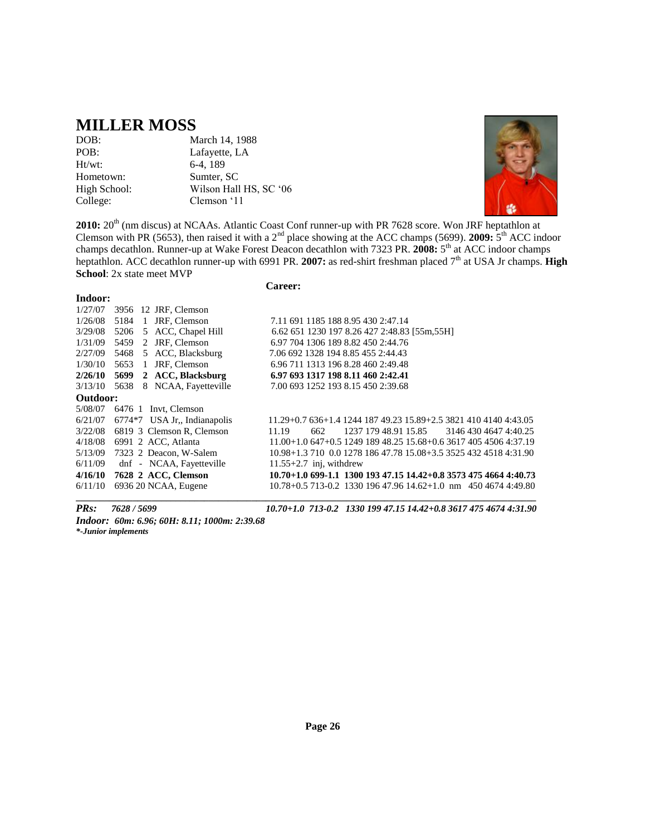### **MILLER MOSS**

Ht/wt: 6-4, 189 Hometown: Sumter, SC College: Clemson '11

DOB: March 14, 1988<br>POB: Lafayette, LA Lafayette, LA High School: Wilson Hall HS, SC '06



**2010:**  $20^{th}$  (nm discus) at NCAAs. Atlantic Coast Conf runner-up with PR 7628 score. Won JRF heptathlon at Clemson with PR (5653), then raised it with a 2<sup>nd</sup> place showing at the ACC champs (5699). **2009:**  $5<sup>th</sup>$  ACC indoor champs decathlon. Runner-up at Wake Forest Deacon decathlon with 7323 PR. 2008: 5<sup>th</sup> at ACC indoor champs heptathlon. ACC decathlon runner-up with 6991 PR. 2007: as red-shirt freshman placed 7<sup>th</sup> at USA Jr champs. **High School**: 2x state meet MVP

**Career:**

#### **Indoor:**

1/27/07 3956 12 JRF, Clemson 1/26/08 5184 1 JRF, Clemson 7.11 691 1185 188 8.95 430 2:47.14 1/31/09 5459 2 JRF, Clemson 6.97 704 1306 189 8.82 450 2:44.76 2/27/09 5468 5 ACC, Blacksburg 7.06 692 1328 194 8.85 455 2:44.43 1/30/10 5653 1 JRF, Clemson 6.96 711 1313 196 8.28 460 2:49.48 **2/26/10 5699 2 ACC, Blacksburg 6.97 693 1317 198 8.11 460 2:42.41** 3/13/10 5638 8 NCAA, Fayetteville 7.00 693 1252 193 8.15 450 2:39.68 **Outdoor:** 5/08/07 6476 1 Invt, Clemson 6/11/09 dnf - NCAA, Fayetteville 11.55+2.7 inj, withdrew **\_\_\_\_\_\_\_\_\_\_\_\_\_\_\_\_\_\_\_\_\_\_\_\_\_\_\_\_\_\_\_\_\_\_\_\_\_\_\_\_\_\_\_\_\_\_\_\_\_\_\_\_\_\_\_\_\_\_\_\_\_\_\_\_\_\_\_\_\_\_\_\_\_\_\_\_\_\_\_\_\_\_\_\_\_\_\_\_\_\_\_\_\_\_\_\_\_**

3/29/08 5206 5 ACC, Chapel Hill 6.62 651 1230 197 8.26 427 2:48.83 [55m,55H]

6/21/07 6774\*7 USA Jr,, Indianapolis 11.29+0.7 636+1.4 1244 187 49.23 15.89+2.5 3821 410 4140 4:43.05 3/22/08 6819 3 Clemson R, Clemson 11.19 662 1237 179 48.91 15.85 3146 430 4647 4:40.25 4/18/08 6991 2 ACC, Atlanta 11.00+1.0 647+0.5 1249 189 48.25 15.68+0.6 3617 405 4506 4:37.19 5/13/09 7323 2 Deacon, W-Salem 10.98+1.3 710 0.0 1278 186 47.78 15.08+3.5 3525 432 4518 4:31.90 **4/16/10 7628 2 ACC, Clemson 10.70+1.0 699-1.1 1300 193 47.15 14.42+0.8 3573 475 4664 4:40.73** 6/11/10 6936 20 NCAA, Eugene 10.78+0.5 713-0.2 1330 196 47.96 14.62+1.0 nm 450 4674 4:49.80

*PRs: 7628 / 5699 10.70+1.0 713-0.2 1330 199 47.15 14.42+0.8 3617 475 4674 4:31.90*

*Indoor: 60m: 6.96; 60H: 8.11; 1000m: 2:39.68 \*-Junior implements*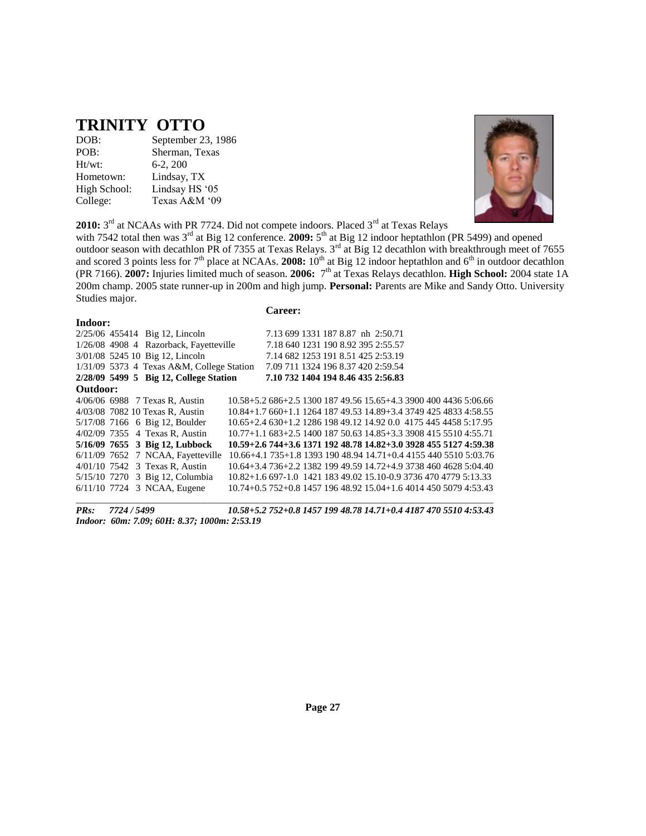### **TRINITY OTTO**

| DOB:         | September 23, 1986 |
|--------------|--------------------|
| POB:         | Sherman, Texas     |
| Ht/wt:       | $6-2, 200$         |
| Hometown:    | Lindsay, TX        |
| High School: | Lindsay HS '05     |
| College:     | Texas A&M '09      |



2010: 3<sup>rd</sup> at NCAAs with PR 7724. Did not compete indoors. Placed 3<sup>rd</sup> at Texas Relays

with 7542 total then was 3<sup>rd</sup> at Big 12 conference. **2009:** 5<sup>th</sup> at Big 12 indoor heptathlon (PR 5499) and opened outdoor season with decathlon PR of 7355 at Texas Relays.  $3^{rd}$  at Big 12 decathlon with breakthrough meet of 7655 and scored 3 points less for  $7<sup>th</sup>$  place at NCAAs. **2008:**  $10<sup>th</sup>$  at Big 12 indoor heptathlon and  $6<sup>th</sup>$  in outdoor decathlon (PR 7166). **2007:** Injuries limited much of season. **2006:** 7 th at Texas Relays decathlon. **High School:** 2004 state 1A 200m champ. 2005 state runner-up in 200m and high jump. **Personal:** Parents are Mike and Sandy Otto. University Studies major.

| <b>Lareer</b><br>۰.<br>$\bullet$ |  |
|----------------------------------|--|
|----------------------------------|--|

| Indoor:  |                                           |                                                                          |  |  |  |  |  |
|----------|-------------------------------------------|--------------------------------------------------------------------------|--|--|--|--|--|
|          | 2/25/06 455414 Big 12, Lincoln            | 7.13 699 1331 187 8.87 nh 2:50.71                                        |  |  |  |  |  |
|          | 1/26/08 4908 4 Razorback, Fayetteville    | 7.18 640 1231 190 8.92 395 2:55.57                                       |  |  |  |  |  |
|          | 3/01/08 5245 10 Big 12, Lincoln           | 7.14 682 1253 191 8.51 425 2:53.19                                       |  |  |  |  |  |
|          | 1/31/09 5373 4 Texas A&M, College Station | 7.09 711 1324 196 8.37 420 2:59.54                                       |  |  |  |  |  |
|          | 2/28/09 5499 5 Big 12, College Station    | 7.10 732 1404 194 8.46 435 2:56.83                                       |  |  |  |  |  |
| Outdoor: |                                           |                                                                          |  |  |  |  |  |
|          | 4/06/06 6988 7 Texas R, Austin            | 10.58+5.2 686+2.5 1300 187 49.56 15.65+4.3 3900 400 4436 5:06.66         |  |  |  |  |  |
|          | 4/03/08 7082 10 Texas R. Austin           | 10.84+1.7 660+1.1 1264 187 49.53 14.89+3.4 3749 425 4833 4:58.55         |  |  |  |  |  |
|          | 5/17/08 7166 6 Big 12, Boulder            | 10.65+2.4 630+1.2 1286 198 49.12 14.92 0.0 4175 445 4458 5:17.95         |  |  |  |  |  |
|          | 4/02/09 7355 4 Texas R, Austin            | $10.77+1.1683+2.5140018750.6314.85+3.3390841555104.55.71$                |  |  |  |  |  |
|          | 5/16/09 7655 3 Big 12, Lubbock            | 10.59+2.6 744+3.6 1371 192 48.78 14.82+3.0 3928 455 5127 4:59.38         |  |  |  |  |  |
|          | 6/11/09 7652 7 NCAA, Fayetteville         | $10.66 + 4.1$ 735 + 1.8 1393 190 48.94 14.71 + 0.4 4155 440 5510 5:03.76 |  |  |  |  |  |
|          | 4/01/10 7542 3 Texas R, Austin            | 10.64+3.4 736+2.2 1382 199 49.59 14.72+4.9 3738 460 4628 5:04.40         |  |  |  |  |  |
|          | 5/15/10 7270 3 Big 12, Columbia           | 10.82+1.6 697-1.0 1421 183 49.02 15.10-0.9 3736 470 4779 5:13.33         |  |  |  |  |  |
|          | $6/11/10$ 7724 3 NCAA, Eugene             | 10.74+0.5 752+0.8 1457 196 48.92 15.04+1.6 4014 450 5079 4:53.43         |  |  |  |  |  |
|          |                                           |                                                                          |  |  |  |  |  |

*PRs: 7724 / 5499 10.58+5.2 752+0.8 1457 199 48.78 14.71+0.4 4187 470 5510 4:53.43 Indoor: 60m: 7.09; 60H: 8.37; 1000m: 2:53.19*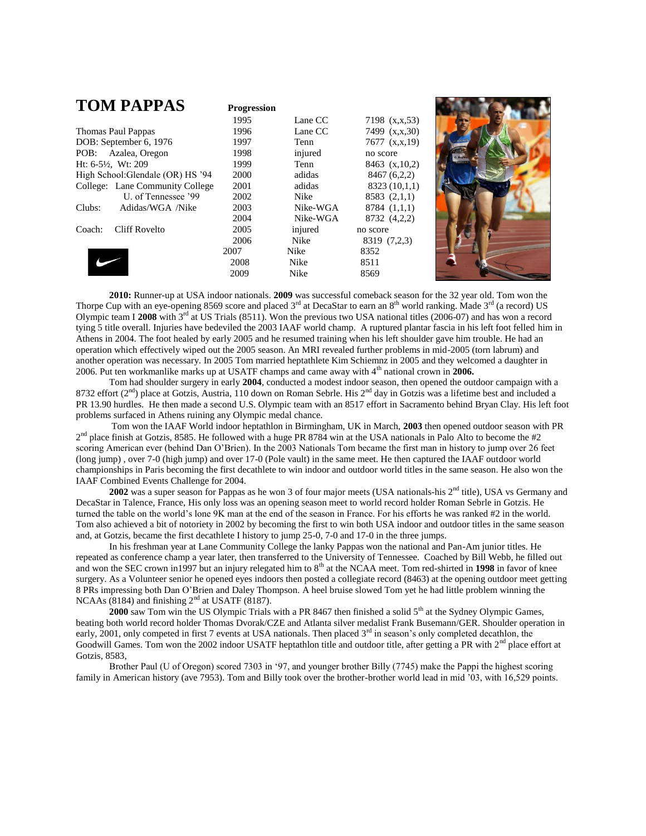| <b>TOM PAPPAS</b>                 | <b>Progression</b> |             |                   |  |
|-----------------------------------|--------------------|-------------|-------------------|--|
|                                   | 1995               | Lane CC     | 7198 (x,x,53)     |  |
| <b>Thomas Paul Pappas</b>         | 1996               | Lane CC     | 7499 (x,x,30)     |  |
| DOB: September 6, 1976            | 1997               | Tenn        | 7677 (x,x,19)     |  |
| POB: Azalea, Oregon               | 1998               | injured     | no score          |  |
| Ht: $6-5\frac{1}{2}$ , Wt: 209    | 1999               | Tenn        | $8463$ (x, 10, 2) |  |
| High School: Glendale (OR) HS '94 | 2000               | adidas      | 8467 (6,2,2)      |  |
| College: Lane Community College   | 2001               | adidas      | 8323 (10,1,1)     |  |
| U. of Tennessee '99               | 2002               | <b>Nike</b> | 8583(2,1,1)       |  |
| Clubs:<br>Adidas/WGA /Nike        | 2003               | Nike-WGA    | 8784 (1,1,1)      |  |
|                                   | 2004               | Nike-WGA    | 8732 (4,2,2)      |  |
| Cliff Rovelto<br>Coach:           | 2005               | injured     | no score          |  |
|                                   | 2006               | Nike        | 8319 (7,2,3)      |  |
|                                   | 2007               | <b>Nike</b> | 8352              |  |
|                                   | 2008               | Nike        | 8511              |  |
|                                   | 2009               | <b>Nike</b> | 8569              |  |
|                                   |                    |             |                   |  |

**2010:** Runner-up at USA indoor nationals. **2009** was successful comeback season for the 32 year old. Tom won the Thorpe Cup with an eye-opening 8569 score and placed 3<sup>rd</sup> at DecaStar to earn an 8<sup>th</sup> world ranking. Made 3<sup>rd</sup> (a record) US Olympic team I **2008** with 3rd at US Trials (8511). Won the previous two USA national titles (2006-07) and has won a record tying 5 title overall. Injuries have bedeviled the 2003 IAAF world champ. A ruptured plantar fascia in his left foot felled him in Athens in 2004. The foot healed by early 2005 and he resumed training when his left shoulder gave him trouble. He had an operation which effectively wiped out the 2005 season. An MRI revealed further problems in mid-2005 (torn labrum) and another operation was necessary. In 2005 Tom married heptathlete Kim Schiemnz in 2005 and they welcomed a daughter in 2006. Put ten workmanlike marks up at USATF champs and came away with 4th national crown in **2006.**

Tom had shoulder surgery in early **2004**, conducted a modest indoor season, then opened the outdoor campaign with a 8732 effort ( $2<sup>nd</sup>$ ) place at Gotzis, Austria, 110 down on Roman Sebrle. His  $2<sup>nd</sup>$  day in Gotzis was a lifetime best and included a PR 13.90 hurdles. He then made a second U.S. Olympic team with an 8517 effort in Sacramento behind Bryan Clay. His left foot problems surfaced in Athens ruining any Olympic medal chance.

Tom won the IAAF World indoor heptathlon in Birmingham, UK in March, **2003** then opened outdoor season with PR  $2<sup>nd</sup>$  place finish at Gotzis, 8585. He followed with a huge PR 8784 win at the USA nationals in Palo Alto to become the #2 scoring American ever (behind Dan O'Brien). In the 2003 Nationals Tom became the first man in history to jump over 26 feet (long jump) , over 7-0 (high jump) and over 17-0 (Pole vault) in the same meet. He then captured the IAAF outdoor world championships in Paris becoming the first decathlete to win indoor and outdoor world titles in the same season. He also won the IAAF Combined Events Challenge for 2004.

2002 was a super season for Pappas as he won 3 of four major meets (USA nationals-his 2<sup>nd</sup> title), USA vs Germany and DecaStar in Talence, France, His only loss was an opening season meet to world record holder Roman Sebrle in Gotzis. He turned the table on the world's lone 9K man at the end of the season in France. For his efforts he was ranked #2 in the world. Tom also achieved a bit of notoriety in 2002 by becoming the first to win both USA indoor and outdoor titles in the same season and, at Gotzis, became the first decathlete I history to jump 25-0, 7-0 and 17-0 in the three jumps.

In his freshman year at Lane Community College the lanky Pappas won the national and Pan-Am junior titles. He repeated as conference champ a year later, then transferred to the University of Tennessee. Coached by Bill Webb, he filled out and won the SEC crown in1997 but an injury relegated him to 8<sup>th</sup> at the NCAA meet. Tom red-shirted in 1998 in favor of knee surgery. As a Volunteer senior he opened eyes indoors then posted a collegiate record (8463) at the opening outdoor meet getting 8 PRs impressing both Dan O'Brien and Daley Thompson. A heel bruise slowed Tom yet he had little problem winning the NCAAs (8184) and finishing  $2<sup>nd</sup>$  at USATF (8187).

**2000** saw Tom win the US Olympic Trials with a PR 8467 then finished a solid 5<sup>th</sup> at the Sydney Olympic Games, beating both world record holder Thomas Dvorak/CZE and Atlanta silver medalist Frank Busemann/GER. Shoulder operation in early, 2001, only competed in first 7 events at USA nationals. Then placed  $3<sup>rd</sup>$  in season's only completed decathlon, the Goodwill Games. Tom won the 2002 indoor USATF heptathlon title and outdoor title, after getting a PR with 2<sup>nd</sup> place effort at Gotzis, 8583,

Brother Paul (U of Oregon) scored 7303 in '97, and younger brother Billy (7745) make the Pappi the highest scoring family in American history (ave 7953). Tom and Billy took over the brother-brother world lead in mid '03, with 16,529 points.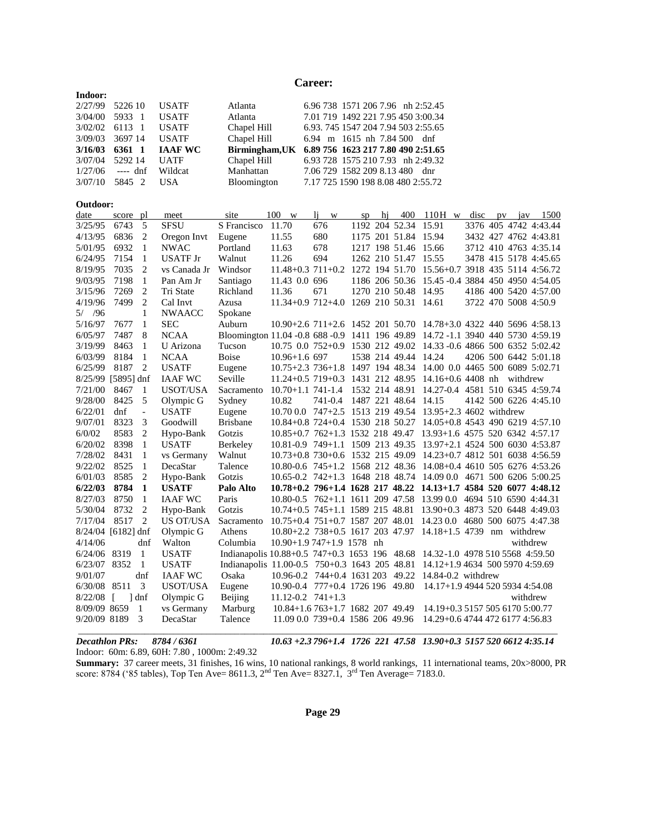#### **Career:**

| Indoor: |          |                |             |                                                   |
|---------|----------|----------------|-------------|---------------------------------------------------|
| 2/27/99 | 5226 10  | <b>USATE</b>   | Atlanta     | 6.96 738 1571 206 7.96 nh 2:52.45                 |
| 3/04/00 | 5933 1   | <b>USATE</b>   | Atlanta     | 7.01 719 1492 221 7.95 450 3:00.34                |
| 3/02/02 | 6113 1   | <b>USATF</b>   | Chapel Hill | 6.93, 745 1547 204 7.94 503 2:55.65               |
| 3/09/03 | 3697 14  | <b>USATE</b>   | Chapel Hill | 6.94 m 1615 nh 7.84 500 dnf                       |
| 3/16/03 | 6361 1   | <b>IAAF WC</b> |             | Birmingham, UK 6.89 756 1623 217 7.80 490 2:51.65 |
| 3/07/04 | 5292 14  | <b>UATF</b>    | Chapel Hill | 6.93 728 1575 210 7.93 nh 2:49.32                 |
| 1/27/06 | ---- dnf | Wildcat        | Manhattan   | 7.06 729 1582 209 8.13 480 dnr                    |
| 3/07/10 | 5845 2   | USA.           | Bloomington | 7.17 725 1590 198 8.08 480 2:55.72                |

#### **Outdoor:**

| date               | score pl              |                | meet             | site                                                                            | 100<br><b>W</b>                                                   | <sup>1</sup><br>$\ensuremath{\text{W}}$ | sp | hi | 400                  | $110H$ w                                        | disc | pv |          | jav $1500$            |
|--------------------|-----------------------|----------------|------------------|---------------------------------------------------------------------------------|-------------------------------------------------------------------|-----------------------------------------|----|----|----------------------|-------------------------------------------------|------|----|----------|-----------------------|
| 3/25/95            | 6743                  | 5              | <b>SFSU</b>      | S Francisco                                                                     | 11.70                                                             | 676                                     |    |    | 1192 204 52.34 15.91 |                                                 |      |    |          | 3376 405 4742 4:43.44 |
| 4/13/95            | 6836                  | 2              | Oregon Invt      | Eugene                                                                          | 11.55                                                             | 680                                     |    |    |                      | 1175 201 51.84 15.94                            |      |    |          | 3432 427 4762 4:43.81 |
| 5/01/95            | 6932                  | 1              | <b>NWAC</b>      | Portland                                                                        | 11.63                                                             | 678                                     |    |    |                      | 1217 198 51.46 15.66                            |      |    |          | 3712 410 4763 4:35.14 |
| 6/24/95            | 7154                  | 1              | <b>USATF Jr</b>  | Walnut                                                                          | 11.26                                                             | 694                                     |    |    | 1262 210 51.47 15.55 |                                                 |      |    |          | 3478 415 5178 4:45.65 |
| 8/19/95            | 7035                  | 2              | vs Canada Jr     | Windsor                                                                         | $11.48 + 0.3$ $711 + 0.2$                                         |                                         |    |    |                      | 1272 194 51.70 15.56+0.7 3918 435 5114 4:56.72  |      |    |          |                       |
| 9/03/95            | 7198                  | 1              | Pan Am Jr        | Santiago                                                                        | 11.43 0.0 696                                                     |                                         |    |    |                      | 1186 206 50.36 15.45 -0.4 3884 450 4950 4:54.05 |      |    |          |                       |
| 3/15/96            | 7269                  | $\overline{c}$ | Tri State        | Richland                                                                        | 11.36                                                             | 671                                     |    |    |                      | 1270 210 50.48 14.95                            |      |    |          | 4186 400 5420 4:57.00 |
| 4/19/96            | 7499                  | $\overline{2}$ | Cal Invt         | Azusa                                                                           | $11.34 + 0.9$ 712+4.0                                             |                                         |    |    | 1269 210 50.31 14.61 |                                                 |      |    |          | 3722 470 5008 4:50.9  |
| $5/$ /96           |                       | 1              | <b>NWAACC</b>    | Spokane                                                                         |                                                                   |                                         |    |    |                      |                                                 |      |    |          |                       |
| 5/16/97            | 7677                  | -1             | <b>SEC</b>       | Auburn                                                                          | 10.90+2.6 711+2.6 1452 201 50.70 14.78+3.0 4322 440 5696 4:58.13  |                                         |    |    |                      |                                                 |      |    |          |                       |
| 6/05/97            | 7487                  | 8              | <b>NCAA</b>      | Bloomington 11.04 -0.8 688 -0.9 1411 196 49.89 14.72 -1.1 3940 440 5730 4:59.19 |                                                                   |                                         |    |    |                      |                                                 |      |    |          |                       |
| 3/19/99            | 8463                  | 1              | U Arizona        | Tucson                                                                          | 10.75 0.0 752+0.9 1530 212 49.02 14.33 -0.6 4866 500 6352 5:02.42 |                                         |    |    |                      |                                                 |      |    |          |                       |
| 6/03/99            | 8184                  | -1             | <b>NCAA</b>      | <b>Boise</b>                                                                    | $10.96 + 1.6697$                                                  |                                         |    |    |                      | 1538 214 49.44 14.24                            |      |    |          | 4206 500 6442 5:01.18 |
| 6/25/99            | 8187                  | 2              | <b>USATF</b>     | Eugene                                                                          | 10.75+2.3 736+1.8 1497 194 48.34 14.00 0.0 4465 500 6089 5:02.71  |                                         |    |    |                      |                                                 |      |    |          |                       |
| 8/25/99 [5895] dnf |                       |                | <b>IAAF WC</b>   | Seville                                                                         | 11.24+0.5 719+0.3 1431 212 48.95 14.16+0.6 4408 nh                |                                         |    |    |                      |                                                 |      |    | withdrew |                       |
| 7/21/00            | 8467                  | -1             | USOT/USA         | Sacramento                                                                      | 10.70+1.1 741-1.4 1532 214 48.91 14.27-0.4 4581 510 6345 4:59.74  |                                         |    |    |                      |                                                 |      |    |          |                       |
| 9/28/00            | 8425                  | 5              | Olympic G        | Sydney                                                                          | 10.82                                                             | 741-0.4 1487 221 48.64 14.15            |    |    |                      |                                                 |      |    |          | 4142 500 6226 4:45.10 |
| 6/22/01            | dnf                   | $\blacksquare$ | <b>USATE</b>     | Eugene                                                                          | 10.70 0.0 747+2.5 1513 219 49.54 13.95+2.3 4602 withdrew          |                                         |    |    |                      |                                                 |      |    |          |                       |
| 9/07/01            | 8323                  | 3              | Goodwill         | <b>Brisbane</b>                                                                 | 10.84+0.8 724+0.4 1530 218 50.27 14.05+0.8 4543 490 6219 4:57.10  |                                         |    |    |                      |                                                 |      |    |          |                       |
| 6/0/02             | 8583                  | 2              | Hypo-Bank        | Gotzis                                                                          | 10.85+0.7 762+1.3 1532 218 49.47 13.93+1.6 4575 520 6342 4:57.17  |                                         |    |    |                      |                                                 |      |    |          |                       |
| 6/20/02            | 8398                  | 1              | <b>USATF</b>     | Berkeley                                                                        | 10.81-0.9 749+1.1 1509 213 49.35 13.97+2.1 4524 500 6030 4:53.87  |                                         |    |    |                      |                                                 |      |    |          |                       |
| 7/28/02            | 8431                  | 1              | vs Germany       | Walnut                                                                          | 10.73+0.8 730+0.6 1532 215 49.09 14.23+0.7 4812 501 6038 4:56.59  |                                         |    |    |                      |                                                 |      |    |          |                       |
| 9/22/02            | 8525                  | -1             | DecaStar         | Talence                                                                         | 10.80-0.6 745+1.2 1568 212 48.36 14.08+0.4 4610 505 6276 4:53.26  |                                         |    |    |                      |                                                 |      |    |          |                       |
| 6/01/03            | 8585                  | 2              | Hypo-Bank        | Gotzis                                                                          | 10.65-0.2 742+1.3 1648 218 48.74 14.09 0.0 4671 500 6206 5:00.25  |                                         |    |    |                      |                                                 |      |    |          |                       |
| 6/22/03            | 8784                  | 1              | <b>USATF</b>     | Palo Alto                                                                       | 10.78+0.2 796+1.4 1628 217 48.22 14.13+1.7 4584 520 6077 4:48.12  |                                         |    |    |                      |                                                 |      |    |          |                       |
| 8/27/03            | 8750                  | $\mathbf{1}$   | <b>IAAF WC</b>   | Paris                                                                           | 10.80-0.5 762+1.1 1611 209 47.58 13.99 0.0 4694 510 6590 4:44.31  |                                         |    |    |                      |                                                 |      |    |          |                       |
| 5/30/04            | 8732                  | 2              | Hypo-Bank        | Gotzis                                                                          | 10.74+0.5 745+1.1 1589 215 48.81 13.90+0.3 4873 520 6448 4:49.03  |                                         |    |    |                      |                                                 |      |    |          |                       |
| 7/17/04            | 8517                  | 2              | <b>US OT/USA</b> | Sacramento                                                                      | 10.75+0.4 751+0.7 1587 207 48.01 14.23 0.0 4680 500 6075 4:47.38  |                                         |    |    |                      |                                                 |      |    |          |                       |
| 8/24/04 [6182] dnf |                       |                | Olympic G        | Athens                                                                          | $10.80 + 2.2$ 738+0.5 1617 203 47.97 14.18+1.5 4739 nm withdrew   |                                         |    |    |                      |                                                 |      |    |          |                       |
| 4/14/06            |                       | dnf            | Walton           | Columbia                                                                        | 10.90+1.9 747+1.9 1578 nh                                         |                                         |    |    |                      |                                                 |      |    |          | withdrew              |
| 6/24/06 8319       |                       | -1             | <b>USATF</b>     | Indianapolis 10.88+0.5 747+0.3 1653 196 48.68 14.32-1.0 4978 510 5568 4:59.50   |                                                                   |                                         |    |    |                      |                                                 |      |    |          |                       |
| 6/23/07 8352       |                       | 1              | <b>USATF</b>     | Indianapolis 11.00-0.5 750+0.3 1643 205 48.81                                   |                                                                   |                                         |    |    |                      | 14.12+1.9 4634 500 5970 4:59.69                 |      |    |          |                       |
| 9/01/07            |                       | dnf            | <b>IAAF WC</b>   | Osaka                                                                           | 10.96-0.2 744+0.4 1631 203 49.22 14.84-0.2 withdrew               |                                         |    |    |                      |                                                 |      |    |          |                       |
| 6/30/08            | 8511                  | 3              | USOT/USA         | Eugene                                                                          | 10.90-0.4 777+0.4 1726 196 49.80                                  |                                         |    |    |                      | 14.17+1.9 4944 520 5934 4:54.08                 |      |    |          |                       |
| 8/22/08            | $\lceil$ $\rceil$ dnf |                | Olympic G        | Beijing                                                                         | $11.12 - 0.2$ $741 + 1.3$                                         |                                         |    |    |                      |                                                 |      |    | withdrew |                       |
| 8/09/09 8659       |                       | -1             | vs Germany       | Marburg                                                                         | $10.84 + 1.6763 + 1.7168220749.49$                                |                                         |    |    |                      | 14.19+0.3 5157 505 6170 5:00.77                 |      |    |          |                       |
| 9/20/09 8189       |                       | 3              | DecaStar         | Talence                                                                         | 11.09 0.0 739+0.4 1586 206 49.96                                  |                                         |    |    |                      | 14.29+0.6 4744 472 6177 4:56.83                 |      |    |          |                       |
|                    |                       |                |                  |                                                                                 |                                                                   |                                         |    |    |                      |                                                 |      |    |          |                       |

*Decathlon PRs:**8784 / 6361 10.63 +2.3 796+1.4 1726 221 47.58 13.90+0.3 5157 520 6612 4:35.14*

Indoor: 60m: 6.89, 60H: 7.80 , 1000m: 2:49.32

**Summary:** 37 career meets, 31 finishes, 16 wins, 10 national rankings, 8 world rankings, 11 international teams, 20x>8000, PR score: 8784 ('85 tables), Top Ten Ave= 8611.3, 2<sup>nd</sup> Ten Ave= 8327.1, 3<sup>rd</sup> Ten Average= 7183.0.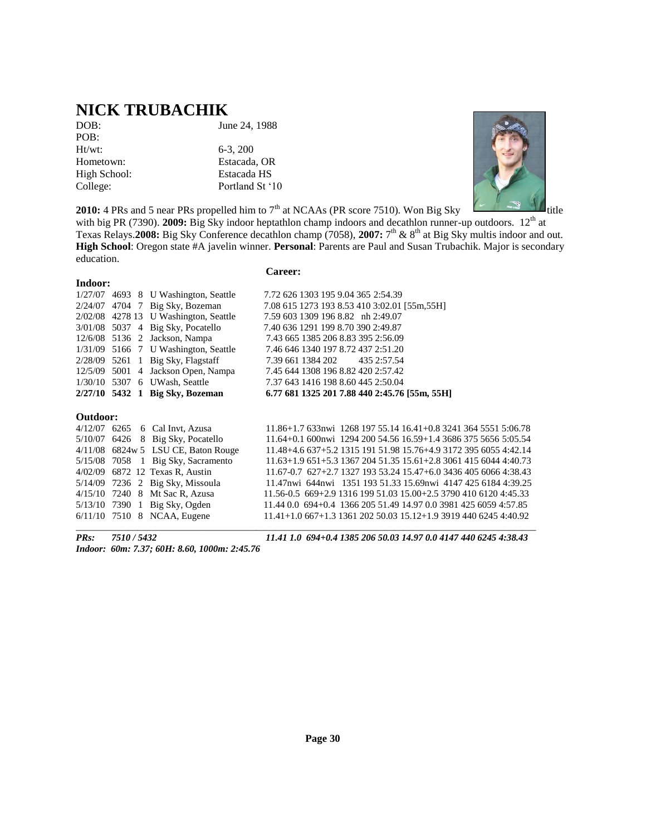### **NICK TRUBACHIK**

| DOB:         |  |
|--------------|--|
| POB:         |  |
| $Ht/wt$ :    |  |
| Hometown:    |  |
| High School: |  |
| College:     |  |

June 24, 1988

6-3, 200 Estacada, OR Estacada HS Portland St '10



**2010:** 4 PRs and 5 near PRs propelled him to 7<sup>th</sup> at NCAAs (PR score 7510). Won Big Sky

with big PR (7390). **2009:** Big Sky indoor heptathlon champ indoors and decathlon runner-up outdoors. 12<sup>th</sup> at Texas Relays. **2008:** Big Sky Conference decathlon champ (7058), 2007: 7<sup>th</sup> & 8<sup>th</sup> at Big Sky multis indoor and out. **High School**: Oregon state #A javelin winner. **Personal**: Parents are Paul and Susan Trubachik. Major is secondary education.

#### **Indoor:**

#### **Career:**

|                 | $1/27/07$ 4693 8 U Washington, Seattle  | 7.72 626 1303 195 9.04 365 2:54.39                                  |
|-----------------|-----------------------------------------|---------------------------------------------------------------------|
|                 | $2/24/07$ 4704 7 Big Sky, Bozeman       | 7.08 615 1273 193 8.53 410 3:02.01 [55m, 55H]                       |
|                 | $2/02/08$ 4278 13 U Washington, Seattle | 7.59 603 1309 196 8.82 nh 2:49.07                                   |
|                 | 3/01/08 5037 4 Big Sky, Pocatello       | 7.40 636 1291 199 8.70 390 2:49.87                                  |
|                 | $12/6/08$ 5136 2 Jackson, Nampa         | 7.43 665 1385 206 8.83 395 2:56.09                                  |
|                 | 1/31/09 5166 7 U Washington, Seattle    | 7.46 646 1340 197 8.72 437 2:51.20                                  |
|                 | $2/28/09$ 5261 1 Big Sky, Flagstaff     | 7.39 661 1384 202<br>435 2:57.54                                    |
|                 | $12/5/09$ 5001 4 Jackson Open, Nampa    | 7.45 644 1308 196 8.82 420 2:57.42                                  |
|                 | 1/30/10 5307 6 UWash, Seattle           | 7.37 643 1416 198 8.60 445 2:50.04                                  |
|                 | $2/27/10$ 5432 1 Big Sky, Bozeman       | 6.77 681 1325 201 7.88 440 2:45.76 [55m, 55H]                       |
| <b>Outdoor:</b> |                                         |                                                                     |
|                 | $4/12/07$ 6265 6 Cal Invt. Azusa        | $11.86 + 1.7633$ nwi 1268 197 55.14 16.41+0.8 3241 364 5551 5:06.78 |
|                 | $5/10/07$ 6426 8 Big Sky, Pocatello     | 11.64+0.1 600nwi 1294 200 54.56 16.59+1.4 3686 375 5656 5:05.54     |
|                 | $4/11/08$ 6824w 5 LSU CE, Baton Rouge   | 11.48+4.6 637+5.2 1315 191 51.98 15.76+4.9 3172 395 6055 4:42.14    |
|                 | $5/15/08$ 7058 1 Big Sky, Sacramento    | $11.63+1.9651+5.3136720451.3515.61+2.8306141560444.40.73$           |

4/02/09 6872 12 Texas R, Austin 11.67-0.7 627+2.7 1327 193 53.24 15.47+6.0 3436 405 6066 4:38.43 5/14/09 7236 2 Big Sky, Missoula 11.47nwi 644nwi 1351 193 51.33 15.69nwi 4147 425 6184 4:39.25 4/15/10 7240 8 Mt Sac R, Azusa 11.56-0.5 669+2.9 1316 199 51.03 15.00+2.5 3790 410 6120 4:45.33 5/13/10 7390 1 Big Sky, Ogden 11.44 0.0 694+0.4 1366 205 51.49 14.97 0.0 3981 425 6059 4:57.85 6/11/10 7510 8 NCAA, Eugene 11.41+1.0 667+1.3 1361 202 50.03 15.12+1.9 3919 440 6245 4:40.92  $\bot$  , and the state of the state of the state of the state of the state of the state of the state of the state of the state of the state of the state of the state of the state of the state of the state of the state of th

*Indoor: 60m: 7.37; 60H: 8.60, 1000m: 2:45.76*

*PRs: 7510 / 5432 11.41 1.0 694+0.4 1385 206 50.03 14.97 0.0 4147 440 6245 4:38.43*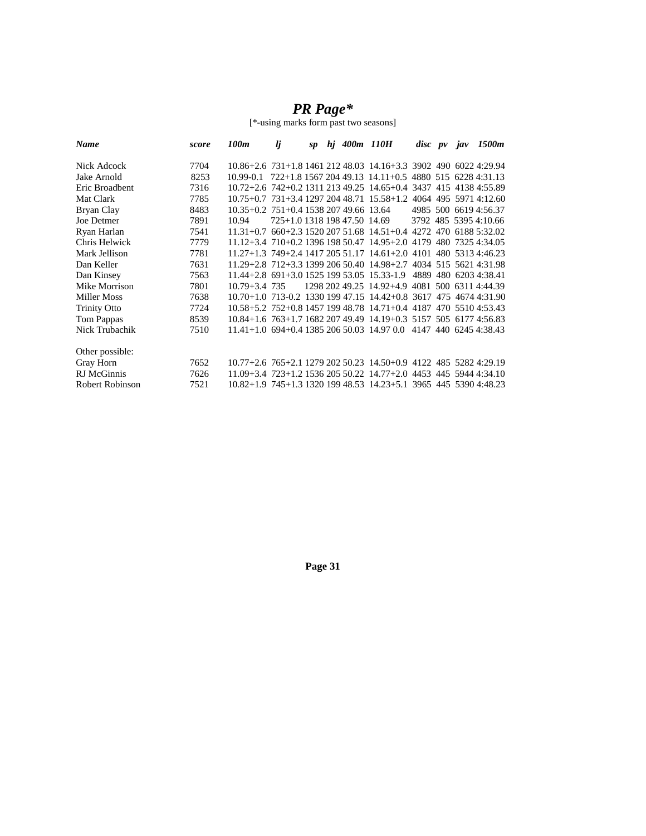### *PR Page\**

[\*-using marks form past two seasons]

| <b>Name</b>         | score | 100m                                   | lj                           | sp |  | hj 400m 110H                                                               | disc pv jav |  | 1500m                 |
|---------------------|-------|----------------------------------------|------------------------------|----|--|----------------------------------------------------------------------------|-------------|--|-----------------------|
| Nick Adcock         | 7704  |                                        |                              |    |  | 10.86+2.6 731+1.8 1461 212 48.03 14.16+3.3 3902 490 6022 4:29.94           |             |  |                       |
| Jake Arnold         | 8253  |                                        |                              |    |  | $10.99 - 0.1$ $722 + 1.8$ 1567 204 49.13 14.11 + 0.5 4880 515 6228 4:31.13 |             |  |                       |
| Eric Broadbent      | 7316  |                                        |                              |    |  | 10.72+2.6 742+0.2 1311 213 49.25 14.65+0.4 3437 415 4138 4:55.89           |             |  |                       |
| Mat Clark           | 7785  |                                        |                              |    |  | 10.75+0.7 731+3.4 1297 204 48.71 15.58+1.2 4064 495 5971 4:12.60           |             |  |                       |
| Bryan Clay          | 8483  | 10.35+0.2 751+0.4 1538 207 49.66 13.64 |                              |    |  |                                                                            |             |  | 4985 500 6619 4:56.37 |
| Joe Detmer          | 7891  | 10.94                                  | 725+1.0 1318 198 47.50 14.69 |    |  |                                                                            |             |  | 3792 485 5395 4:10.66 |
| Ryan Harlan         | 7541  |                                        |                              |    |  | $11.31+0.7$ 660+2.3 1520 207 51.68 14.51+0.4 4272 470 6188 5:32.02         |             |  |                       |
| Chris Helwick       | 7779  |                                        |                              |    |  | 11.12+3.4 710+0.2 1396 198 50.47 14.95+2.0 4179 480 7325 4:34.05           |             |  |                       |
| Mark Jellison       | 7781  |                                        |                              |    |  | 11.27+1.3 749+2.4 1417 205 51.17 14.61+2.0 4101 480 5313 4:46.23           |             |  |                       |
| Dan Keller          | 7631  |                                        |                              |    |  | 11.29+2.8 712+3.3 1399 206 50.40 14.98+2.7 4034 515 5621 4:31.98           |             |  |                       |
| Dan Kinsey          | 7563  |                                        |                              |    |  | 11.44+2.8 691+3.0 1525 199 53.05 15.33-1.9                                 |             |  | 4889 480 6203 4:38.41 |
| Mike Morrison       | 7801  | $10.79 + 3.4$ 735                      |                              |    |  | 1298 202 49.25 14.92+4.9 4081 500 6311 4:44.39                             |             |  |                       |
| Miller Moss         | 7638  |                                        |                              |    |  | 10.70+1.0 713-0.2 1330 199 47.15 14.42+0.8 3617 475 4674 4:31.90           |             |  |                       |
| <b>Trinity Otto</b> | 7724  |                                        |                              |    |  | 10.58+5.2 752+0.8 1457 199 48.78 14.71+0.4 4187 470 5510 4:53.43           |             |  |                       |
| Tom Pappas          | 8539  |                                        |                              |    |  | $10.84+1.6$ 763+1.7 1682 207 49.49 14.19+0.3 5157 505 6177 4:56.83         |             |  |                       |
| Nick Trubachik      | 7510  |                                        |                              |    |  | $11.41+1.0$ 694+0.4 1385 206 50.03 14.97 0.0 4147 440 6245 4:38.43         |             |  |                       |
| Other possible:     |       |                                        |                              |    |  |                                                                            |             |  |                       |
| Gray Horn           | 7652  |                                        |                              |    |  | 10.77+2.6 765+2.1 1279 202 50.23 14.50+0.9 4122 485 5282 4:29.19           |             |  |                       |
| RJ McGinnis         | 7626  |                                        |                              |    |  | $11.09 + 3.4$ 723+1.2 1536 205 50.22 14.77+2.0 4453 445 5944 4:34.10       |             |  |                       |
| Robert Robinson     | 7521  |                                        |                              |    |  | 10.82+1.9 745+1.3 1320 199 48.53 14.23+5.1 3965 445 5390 4:48.23           |             |  |                       |

**Page 31**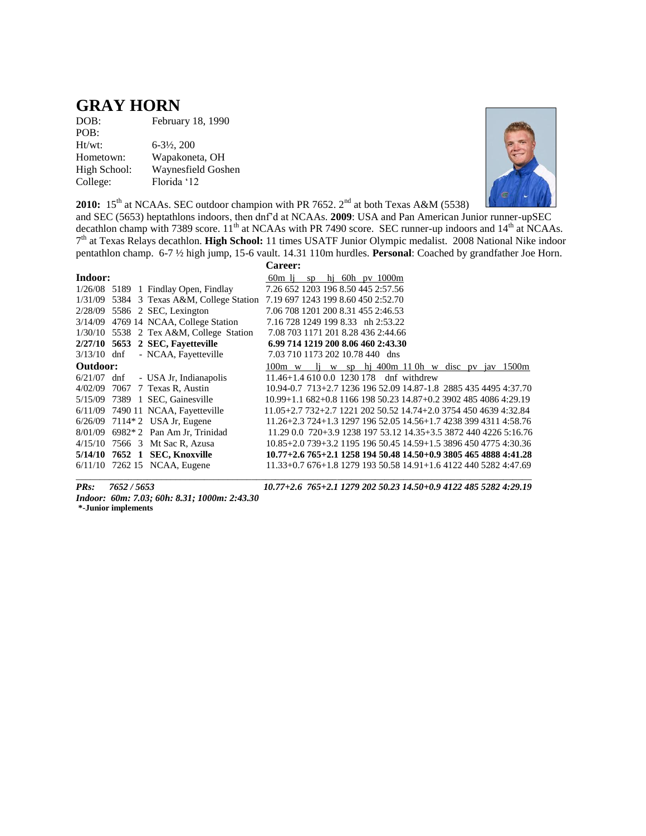### **GRAY HORN**

| February 18, 1990        |
|--------------------------|
|                          |
| $6 - 3\frac{1}{2}$ , 200 |
| Wapakoneta, OH           |
| Waynesfield Goshen       |
| Florida '12              |
|                          |



**2010:**  $15^{th}$  at NCAAs. SEC outdoor champion with PR 7652.  $2^{nd}$  at both Texas A&M (5538)

and SEC (5653) heptathlons indoors, then dnf'd at NCAAs. **2009**: USA and Pan American Junior runner-upSEC decathlon champ with 7389 score.  $11^{th}$  at NCAAs with PR 7490 score. SEC runner-up indoors and  $14^{th}$  at NCAAs. 7 th at Texas Relays decathlon. **High School:** 11 times USATF Junior Olympic medalist. 2008 National Nike indoor pentathlon champ. 6-7 ½ high jump, 15-6 vault. 14.31 110m hurdles. **Personal**: Coached by grandfather Joe Horn. Caroon:

|          |                                           | vareer:                                                                      |
|----------|-------------------------------------------|------------------------------------------------------------------------------|
| Indoor:  |                                           | $60m$ li sp hi $60h$ pv $1000m$                                              |
|          | $1/26/08$ 5189 1 Findlay Open, Findlay    | 7.26 652 1203 196 8.50 445 2:57.56                                           |
|          |                                           | 1/31/09 5384 3 Texas A&M, College Station 7.19 697 1243 199 8.60 450 2:52.70 |
|          | 2/28/09 5586 2 SEC, Lexington             | 7.06 708 1201 200 8.31 455 2:46.53                                           |
|          | 3/14/09 4769 14 NCAA, College Station     | 7.16 728 1249 199 8.33 nh 2:53.22                                            |
|          | $1/30/10$ 5538 2 Tex A&M, College Station | 7.08 703 1171 201 8.28 436 2:44.66                                           |
|          | 2/27/10 5653 2 SEC, Favetteville          | 6.99 714 1219 200 8.06 460 2:43.30                                           |
|          | $3/13/10$ dnf - NCAA, Fayetteville        | 7.03 710 1173 202 10.78 440 dns                                              |
| Outdoor: |                                           | 100m w li w sp hi 400m 110h w disc pv jav 1500m                              |
|          | $6/21/07$ dnf - USA Jr, Indianapolis      | $11.46 + 1.46100.01230178$ dnf withdrew                                      |
|          | 4/02/09 7067 7 Texas R, Austin            | 10.94-0.7 713+2.7 1236 196 52.09 14.87-1.8 2885 435 4495 4:37.70             |
|          | 5/15/09 7389 1 SEC, Gainesville           | $10.99 + 1.1682 + 0.8116619850.2314.87 + 0.2390248540864:29.19$              |
|          | 6/11/09 7490 11 NCAA, Fayetteville        | 11.05+2.7 732+2.7 1221 202 50.52 14.74+2.0 3754 450 4639 4:32.84             |
|          | 6/26/09 7114*2 USA Jr, Eugene             | $11.26 + 2.3724 + 1.3129719652.0514.56 + 1.7423839943114.58.76$              |
|          | $8/01/09$ 6982* 2 Pan Am Jr, Trinidad     | 11.29 0.0 720+3.9 1238 197 53.12 14.35+3.5 3872 440 4226 5:16.76             |
|          | 4/15/10 7566 3 Mt Sac R. Azusa            | 10.85+2.0 739+3.2 1195 196 50.45 14.59+1.5 3896 450 4775 4:30.36             |
|          | 5/14/10 7652 1 SEC, Knoxville             | $10.77 + 2.6765 + 2.1125819450.4814.50 + 0.9380546548884:41.28$              |
|          | $6/11/10$ 7262 15 NCAA, Eugene            | $11.33+0.76+1.8127919350.5814.91+1.6412244052824:47.69$                      |
|          |                                           |                                                                              |

*PRs: 7652 / 5653 10.77+2.6 765+2.1 1279 202 50.23 14.50+0.9 4122 485 5282 4:29.19* 

*Indoor: 60m: 7.03; 60h: 8.31; 1000m: 2:43.30* **\*-Junior implements**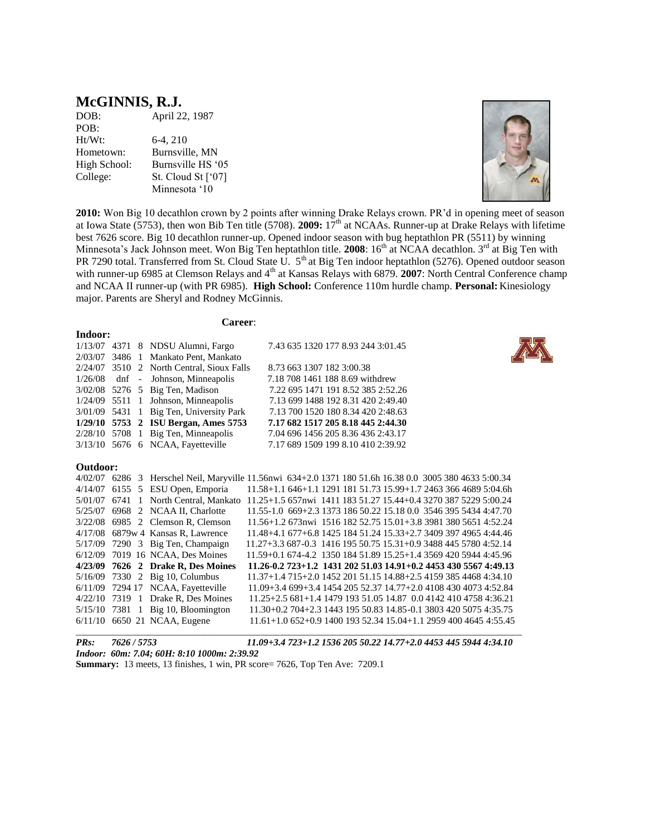# **McGINNIS, R.J.**<br>DOB: April 22

April 22, 1987 POB: Ht/Wt: 6-4, 210 Hometown: Burnsville, MN High School: Burnsville HS '05 College: St. Cloud St ['07] Minnesota '10



**2010:** Won Big 10 decathlon crown by 2 points after winning Drake Relays crown. PR'd in opening meet of season at Iowa State (5753), then won Bib Ten title (5708). **2009:** 17th at NCAAs. Runner-up at Drake Relays with lifetime best 7626 score. Big 10 decathlon runner-up. Opened indoor season with bug heptathlon PR (5511) by winning Minnesota's Jack Johnson meet. Won Big Ten heptathlon title. **2008**: 16<sup>th</sup> at NCAA decathlon. 3<sup>rd</sup> at Big Ten with PR 7290 total. Transferred from St. Cloud State U. 5<sup>th</sup> at Big Ten indoor heptathlon (5276). Opened outdoor season with runner-up 6985 at Clemson Relays and 4<sup>th</sup> at Kansas Relays with 6879. **2007**: North Central Conference champ and NCAA II runner-up (with PR 6985). **High School:** Conference 110m hurdle champ. **Personal:** Kinesiology major. Parents are Sheryl and Rodney McGinnis.

**Career**:

| Indoor:  |         |                                         |                                                                                                         |
|----------|---------|-----------------------------------------|---------------------------------------------------------------------------------------------------------|
|          |         | 1/13/07 4371 8 NDSU Alumni, Fargo       | 7.43 635 1320 177 8.93 244 3:01.45                                                                      |
| 2/03/07  |         | 3486 1 Mankato Pent, Mankato            |                                                                                                         |
| 2/24/07  |         | 3510 2 North Central, Sioux Falls       | 8.73 663 1307 182 3:00.38                                                                               |
| 1/26/08  | $dnf -$ | Johnson, Minneapolis                    | 7.18 708 1461 188 8.69 withdrew                                                                         |
| 3/02/08  |         | 5276 5 Big Ten, Madison                 | 7.22 695 1471 191 8.52 385 2:52.26                                                                      |
| 1/24/09  |         | 5511 1 Johnson, Minneapolis             | 7.13 699 1488 192 8.31 420 2:49.40                                                                      |
|          |         | 3/01/09 5431 1 Big Ten, University Park | 7.13 700 1520 180 8.34 420 2:48.63                                                                      |
|          |         | 1/29/10 5753 2 ISU Bergan, Ames 5753    | 7.17 682 1517 205 8.18 445 2:44.30                                                                      |
|          |         | $2/28/10$ 5708 1 Big Ten, Minneapolis   | 7.04 696 1456 205 8.36 436 2:43.17                                                                      |
|          |         | $3/13/10$ 5676 6 NCAA, Fayetteville     | 7.17 689 1509 199 8.10 410 2:39.92                                                                      |
|          |         |                                         |                                                                                                         |
| Outdoor: |         |                                         |                                                                                                         |
|          |         |                                         | 4/02/07 6286 3 Herschel Neil, Maryville 11.56nwi 634+2.0 1371 180 51.6h 16.38 0.0 3005 380 4633 5:00.34 |
| 4/14/07  |         | 6155 5 ESU Open, Emporia                | 11.58+1.1 646+1.1 1291 181 51.73 15.99+1.7 2463 366 4689 5:04.6h                                        |
| 5/01/07  |         |                                         | 6741 1 North Central, Mankato 11.25+1.5 657nwi 1411 183 51.27 15.44+0.4 3270 387 5229 5:00.24           |
| 5/25/07  |         | 6968 2 NCAA II, Charlotte               | 11.55-1.0 669+2.3 1373 186 50.22 15.18 0.0 3546 395 5434 4:47.70                                        |
| 3/22/08  |         | 6985 2 Clemson R, Clemson               | 11.56+1.2 673nwi 1516 182 52.75 15.01+3.8 3981 380 5651 4:52.24                                         |
|          |         | $4/17/08$ 6879w 4 Kansas R, Lawrence    | 11.48+4.1 677+6.8 1425 184 51.24 15.33+2.7 3409 397 4965 4:44.46                                        |
| 5/17/09  |         | 7290 3 Big Ten, Champaign               | 11.27+3.3 687-0.3 1416 195 50.75 15.31+0.9 3488 445 5780 4:52.14                                        |
| 6/12/09  |         | 7019 16 NCAA, Des Moines                | 11.59+0.1 674-4.2 1350 184 51.89 15.25+1.4 3569 420 5944 4:45.96                                        |
| 4/23/09  |         | 7626 2 Drake R, Des Moines              | $11.26 - 0.2723 + 1.2143120251.0314.91 + 0.2445343055674:49.13$                                         |
| 5/16/09  |         | 7330 2 Big 10, Columbus                 | 11.37+1.4 715+2.0 1452 201 51.15 14.88+2.5 4159 385 4468 4:34.10                                        |
|          |         | 6/11/09 7294 17 NCAA, Fayetteville      | $11.09 + 3.469 + 3.4145420552.3714.77 + 2.0410843040734.52.84$                                          |
| 4/22/10  |         | 7319 1 Drake R, Des Moines              | $11.25+2.5681+1.4147919351.0514.870.0414241047584:36.21$                                                |
| 5/15/10  |         | 7381 1 Big 10, Bloomington              | 11.30+0.2 704+2.3 1443 195 50.83 14.85-0.1 3803 420 5075 4:35.75                                        |
|          |         | 6/11/10 6650 21 NCAA, Eugene            | 11.61+1.0 652+0.9 1400 193 52.34 15.04+1.1 2959 400 4645 4:55.45                                        |

 $\Box$ *PRs: 7626 / 5753 11.09+3.4 723+1.2 1536 205 50.22 14.77+2.0 4453 445 5944 4:34.10 Indoor: 60m: 7.04; 60H: 8:10 1000m: 2:39.92*

**Summary:** 13 meets, 13 finishes, 1 win, PR score= 7626, Top Ten Ave: 7209.1